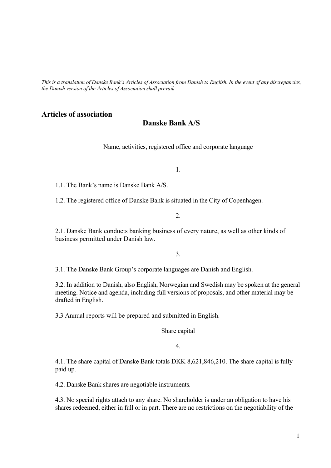*This is a translation of Danske Bank's Articles of Association from Danish to English. In the event of any discrepancies, the Danish version of the Articles of Association shall prevail.* 

# **Articles of association**

# **Danske Bank A/S**

Name, activities, registered office and corporate language

1.

1.1. The Bank's name is Danske Bank A/S.

1.2. The registered office of Danske Bank is situated in the City of Copenhagen.

2.

2.1. Danske Bank conducts banking business of every nature, as well as other kinds of business permitted under Danish law.

3.

3.1. The Danske Bank Group's corporate languages are Danish and English.

3.2. In addition to Danish, also English, Norwegian and Swedish may be spoken at the general meeting. Notice and agenda, including full versions of proposals, and other material may be drafted in English.

3.3 Annual reports will be prepared and submitted in English.

#### Share capital

4.

4.1. The share capital of Danske Bank totals DKK 8,621,846,210. The share capital is fully paid up.

4.2. Danske Bank shares are negotiable instruments.

4.3. No special rights attach to any share. No shareholder is under an obligation to have his shares redeemed, either in full or in part. There are no restrictions on the negotiability of the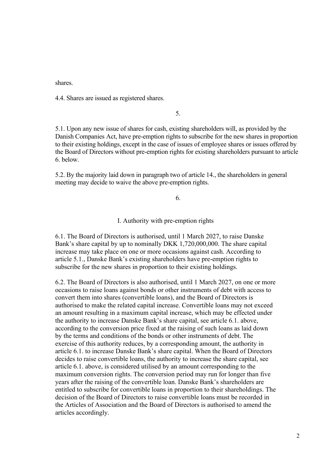shares.

4.4. Shares are issued as registered shares.

5.

5.1. Upon any new issue of shares for cash, existing shareholders will, as provided by the Danish Companies Act, have pre-emption rights to subscribe for the new shares in proportion to their existing holdings, except in the case of issues of employee shares or issues offered by the Board of Directors without pre-emption rights for existing shareholders pursuant to article 6. below.

5.2. By the majority laid down in paragraph two of article 14., the shareholders in general meeting may decide to waive the above pre-emption rights.

6.

I. Authority with pre-emption rights

6.1. The Board of Directors is authorised, until 1 March 2027, to raise Danske Bank's share capital by up to nominally DKK 1,720,000,000. The share capital increase may take place on one or more occasions against cash. According to article 5.1., Danske Bank's existing shareholders have pre-emption rights to subscribe for the new shares in proportion to their existing holdings.

6.2. The Board of Directors is also authorised, until 1 March 2027, on one or more occasions to raise loans against bonds or other instruments of debt with access to convert them into shares (convertible loans), and the Board of Directors is authorised to make the related capital increase. Convertible loans may not exceed an amount resulting in a maximum capital increase, which may be effected under the authority to increase Danske Bank's share capital, see article 6.1. above, according to the conversion price fixed at the raising of such loans as laid down by the terms and conditions of the bonds or other instruments of debt. The exercise of this authority reduces, by a corresponding amount, the authority in article 6.1. to increase Danske Bank's share capital. When the Board of Directors decides to raise convertible loans, the authority to increase the share capital, see article 6.1. above, is considered utilised by an amount corresponding to the maximum conversion rights. The conversion period may run for longer than five years after the raising of the convertible loan. Danske Bank's shareholders are entitled to subscribe for convertible loans in proportion to their shareholdings. The decision of the Board of Directors to raise convertible loans must be recorded in the Articles of Association and the Board of Directors is authorised to amend the articles accordingly.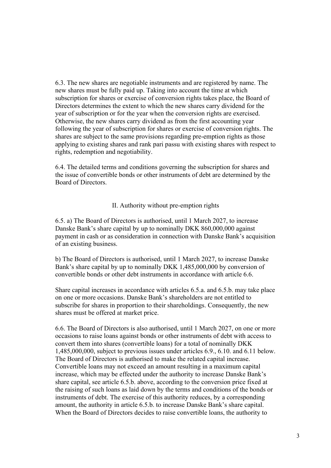6.3. The new shares are negotiable instruments and are registered by name. The new shares must be fully paid up. Taking into account the time at which subscription for shares or exercise of conversion rights takes place, the Board of Directors determines the extent to which the new shares carry dividend for the year of subscription or for the year when the conversion rights are exercised. Otherwise, the new shares carry dividend as from the first accounting year following the year of subscription for shares or exercise of conversion rights. The shares are subject to the same provisions regarding pre-emption rights as those applying to existing shares and rank pari passu with existing shares with respect to rights, redemption and negotiability.

6.4. The detailed terms and conditions governing the subscription for shares and the issue of convertible bonds or other instruments of debt are determined by the Board of Directors.

## II. Authority without pre-emption rights

6.5. a) The Board of Directors is authorised, until 1 March 2027, to increase Danske Bank's share capital by up to nominally DKK 860,000,000 against payment in cash or as consideration in connection with Danske Bank's acquisition of an existing business.

b) The Board of Directors is authorised, until 1 March 2027, to increase Danske Bank's share capital by up to nominally DKK 1,485,000,000 by conversion of convertible bonds or other debt instruments in accordance with article 6.6.

Share capital increases in accordance with articles 6.5.a. and 6.5.b. may take place on one or more occasions. Danske Bank's shareholders are not entitled to subscribe for shares in proportion to their shareholdings. Consequently, the new shares must be offered at market price.

6.6. The Board of Directors is also authorised, until 1 March 2027, on one or more occasions to raise loans against bonds or other instruments of debt with access to convert them into shares (convertible loans) for a total of nominally DKK 1,485,000,000, subject to previous issues under articles 6.9., 6.10. and 6.11 below. The Board of Directors is authorised to make the related capital increase. Convertible loans may not exceed an amount resulting in a maximum capital increase, which may be effected under the authority to increase Danske Bank's share capital, see article 6.5.b. above, according to the conversion price fixed at the raising of such loans as laid down by the terms and conditions of the bonds or instruments of debt. The exercise of this authority reduces, by a corresponding amount, the authority in article 6.5.b. to increase Danske Bank's share capital. When the Board of Directors decides to raise convertible loans, the authority to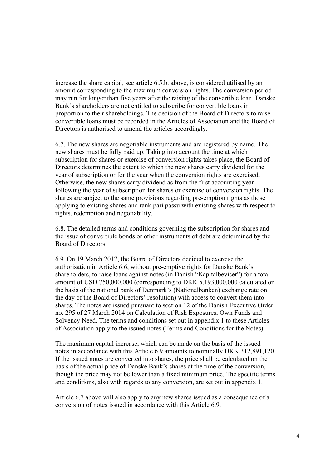increase the share capital, see article 6.5.b. above, is considered utilised by an amount corresponding to the maximum conversion rights. The conversion period may run for longer than five years after the raising of the convertible loan. Danske Bank's shareholders are not entitled to subscribe for convertible loans in proportion to their shareholdings. The decision of the Board of Directors to raise convertible loans must be recorded in the Articles of Association and the Board of Directors is authorised to amend the articles accordingly.

6.7. The new shares are negotiable instruments and are registered by name. The new shares must be fully paid up. Taking into account the time at which subscription for shares or exercise of conversion rights takes place, the Board of Directors determines the extent to which the new shares carry dividend for the year of subscription or for the year when the conversion rights are exercised. Otherwise, the new shares carry dividend as from the first accounting year following the year of subscription for shares or exercise of conversion rights. The shares are subject to the same provisions regarding pre-emption rights as those applying to existing shares and rank pari passu with existing shares with respect to rights, redemption and negotiability.

6.8. The detailed terms and conditions governing the subscription for shares and the issue of convertible bonds or other instruments of debt are determined by the Board of Directors.

6.9. On 19 March 2017, the Board of Directors decided to exercise the authorisation in Article 6.6, without pre-emptive rights for Danske Bank's shareholders, to raise loans against notes (in Danish "Kapitalbeviser") for a total amount of USD 750,000,000 (corresponding to DKK 5,193,000,000 calculated on the basis of the national bank of Denmark's (Nationalbanken) exchange rate on the day of the Board of Directors' resolution) with access to convert them into shares. The notes are issued pursuant to section 12 of the Danish Executive Order no. 295 of 27 March 2014 on Calculation of Risk Exposures, Own Funds and Solvency Need. The terms and conditions set out in appendix 1 to these Articles of Association apply to the issued notes (Terms and Conditions for the Notes).

The maximum capital increase, which can be made on the basis of the issued notes in accordance with this Article 6.9 amounts to nominally DKK 312,891,120. If the issued notes are converted into shares, the price shall be calculated on the basis of the actual price of Danske Bank's shares at the time of the conversion, though the price may not be lower than a fixed minimum price. The specific terms and conditions, also with regards to any conversion, are set out in appendix 1.

Article 6.7 above will also apply to any new shares issued as a consequence of a conversion of notes issued in accordance with this Article 6.9.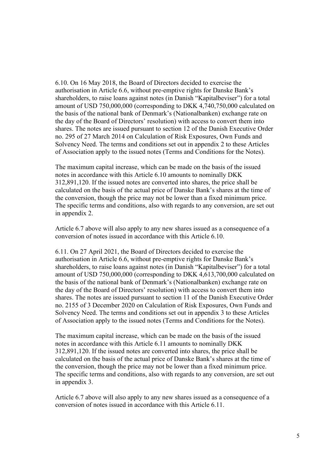6.10. On 16 May 2018, the Board of Directors decided to exercise the authorisation in Article 6.6, without pre-emptive rights for Danske Bank's shareholders, to raise loans against notes (in Danish "Kapitalbeviser") for a total amount of USD 750,000,000 (corresponding to DKK 4,740,750,000 calculated on the basis of the national bank of Denmark's (Nationalbanken) exchange rate on the day of the Board of Directors' resolution) with access to convert them into shares. The notes are issued pursuant to section 12 of the Danish Executive Order no. 295 of 27 March 2014 on Calculation of Risk Exposures, Own Funds and Solvency Need. The terms and conditions set out in appendix 2 to these Articles of Association apply to the issued notes (Terms and Conditions for the Notes).

The maximum capital increase, which can be made on the basis of the issued notes in accordance with this Article 6.10 amounts to nominally DKK 312,891,120. If the issued notes are converted into shares, the price shall be calculated on the basis of the actual price of Danske Bank's shares at the time of the conversion, though the price may not be lower than a fixed minimum price. The specific terms and conditions, also with regards to any conversion, are set out in appendix 2.

Article 6.7 above will also apply to any new shares issued as a consequence of a conversion of notes issued in accordance with this Article 6.10.

6.11. On 27 April 2021, the Board of Directors decided to exercise the authorisation in Article 6.6, without pre-emptive rights for Danske Bank's shareholders, to raise loans against notes (in Danish "Kapitalbeviser") for a total amount of USD 750,000,000 (corresponding to DKK 4,613,700,000 calculated on the basis of the national bank of Denmark's (Nationalbanken) exchange rate on the day of the Board of Directors' resolution) with access to convert them into shares. The notes are issued pursuant to section 11 of the Danish Executive Order no. 2155 of 3 December 2020 on Calculation of Risk Exposures, Own Funds and Solvency Need. The terms and conditions set out in appendix 3 to these Articles of Association apply to the issued notes (Terms and Conditions for the Notes).

The maximum capital increase, which can be made on the basis of the issued notes in accordance with this Article 6.11 amounts to nominally DKK 312,891,120. If the issued notes are converted into shares, the price shall be calculated on the basis of the actual price of Danske Bank's shares at the time of the conversion, though the price may not be lower than a fixed minimum price. The specific terms and conditions, also with regards to any conversion, are set out in appendix 3.

Article 6.7 above will also apply to any new shares issued as a consequence of a conversion of notes issued in accordance with this Article 6.11.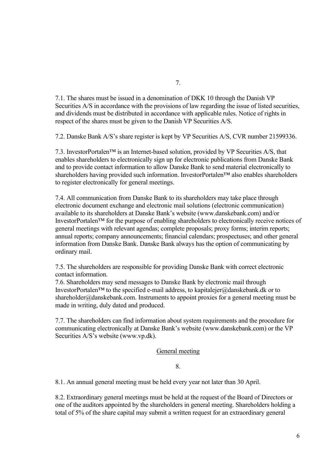7.1. The shares must be issued in a denomination of DKK 10 through the Danish VP Securities A/S in accordance with the provisions of law regarding the issue of listed securities, and dividends must be distributed in accordance with applicable rules. Notice of rights in respect of the shares must be given to the Danish VP Securities A/S.

7.2. Danske Bank A/S's share register is kept by VP Securities A/S, CVR number 21599336.

7.3. InvestorPortalen™ is an Internet-based solution, provided by VP Securities A/S, that enables shareholders to electronically sign up for electronic publications from Danske Bank and to provide contact information to allow Danske Bank to send material electronically to shareholders having provided such information. InvestorPortalen<sup>™</sup> also enables shareholders to register electronically for general meetings.

7.4. All communication from Danske Bank to its shareholders may take place through electronic document exchange and electronic mail solutions (electronic communication) available to its shareholders at Danske Bank's website (www.danskebank.com) and/or InvestorPortalen™ for the purpose of enabling shareholders to electronically receive notices of general meetings with relevant agendas; complete proposals; proxy forms; interim reports; annual reports; company announcements; financial calendars; prospectuses; and other general information from Danske Bank. Danske Bank always has the option of communicating by ordinary mail.

7.5. The shareholders are responsible for providing Danske Bank with correct electronic contact information.

7.6. Shareholders may send messages to Danske Bank by electronic mail through InvestorPortalen™ to the specified e-mail address, to kapitalejer@danskebank.dk or to shareholder@danskebank.com. Instruments to appoint proxies for a general meeting must be made in writing, duly dated and produced.

7.7. The shareholders can find information about system requirements and the procedure for communicating electronically at Danske Bank's website (www.danskebank.com) or the VP Securities A/S's website (www.vp.dk).

## General meeting

8.

8.1. An annual general meeting must be held every year not later than 30 April.

8.2. Extraordinary general meetings must be held at the request of the Board of Directors or one of the auditors appointed by the shareholders in general meeting. Shareholders holding a total of 5% of the share capital may submit a written request for an extraordinary general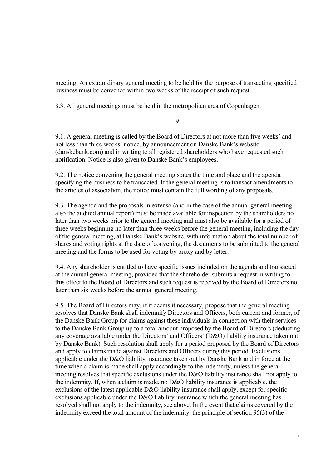meeting. An extraordinary general meeting to be held for the purpose of transacting specified business must be convened within two weeks of the receipt of such request.

8.3. All general meetings must be held in the metropolitan area of Copenhagen.

9.

9.1. A general meeting is called by the Board of Directors at not more than five weeks' and not less than three weeks' notice, by announcement on Danske Bank's website (danskebank.com) and in writing to all registered shareholders who have requested such notification. Notice is also given to Danske Bank's employees.

9.2. The notice convening the general meeting states the time and place and the agenda specifying the business to be transacted. If the general meeting is to transact amendments to the articles of association, the notice must contain the full wording of any proposals.

9.3. The agenda and the proposals in extenso (and in the case of the annual general meeting also the audited annual report) must be made available for inspection by the shareholders no later than two weeks prior to the general meeting and must also be available for a period of three weeks beginning no later than three weeks before the general meeting, including the day of the general meeting, at Danske Bank's website, with information about the total number of shares and voting rights at the date of convening, the documents to be submitted to the general meeting and the forms to be used for voting by proxy and by letter.

9.4. Any shareholder is entitled to have specific issues included on the agenda and transacted at the annual general meeting, provided that the shareholder submits a request in writing to this effect to the Board of Directors and such request is received by the Board of Directors no later than six weeks before the annual general meeting.

9.5. The Board of Directors may, if it deems it necessary, propose that the general meeting resolves that Danske Bank shall indemnify Directors and Officers, both current and former, of the Danske Bank Group for claims against these individuals in connection with their services to the Danske Bank Group up to a total amount proposed by the Board of Directors (deducting any coverage available under the Directors' and Officers' (D&O) liability insurance taken out by Danske Bank). Such resolution shall apply for a period proposed by the Board of Directors and apply to claims made against Directors and Officers during this period. Exclusions applicable under the D&O liability insurance taken out by Danske Bank and in force at the time when a claim is made shall apply accordingly to the indemnity, unless the general meeting resolves that specific exclusions under the D&O liability insurance shall not apply to the indemnity. If, when a claim is made, no D&O liability insurance is applicable, the exclusions of the latest applicable D&O liability insurance shall apply, except for specific exclusions applicable under the D&O liability insurance which the general meeting has resolved shall not apply to the indemnity, see above. In the event that claims covered by the indemnity exceed the total amount of the indemnity, the principle of section 95(3) of the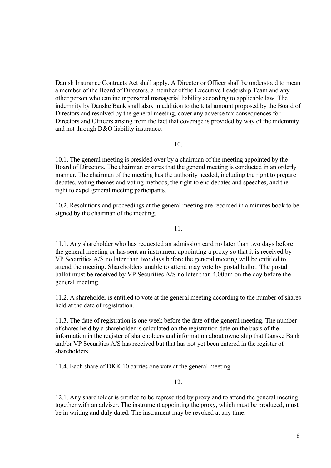Danish Insurance Contracts Act shall apply. A Director or Officer shall be understood to mean a member of the Board of Directors, a member of the Executive Leadership Team and any other person who can incur personal managerial liability according to applicable law. The indemnity by Danske Bank shall also, in addition to the total amount proposed by the Board of Directors and resolved by the general meeting, cover any adverse tax consequences for Directors and Officers arising from the fact that coverage is provided by way of the indemnity and not through D&O liability insurance.

10.

10.1. The general meeting is presided over by a chairman of the meeting appointed by the Board of Directors. The chairman ensures that the general meeting is conducted in an orderly manner. The chairman of the meeting has the authority needed, including the right to prepare debates, voting themes and voting methods, the right to end debates and speeches, and the right to expel general meeting participants.

10.2. Resolutions and proceedings at the general meeting are recorded in a minutes book to be signed by the chairman of the meeting.

11.

11.1. Any shareholder who has requested an admission card no later than two days before the general meeting or has sent an instrument appointing a proxy so that it is received by VP Securities A/S no later than two days before the general meeting will be entitled to attend the meeting. Shareholders unable to attend may vote by postal ballot. The postal ballot must be received by VP Securities A/S no later than 4.00pm on the day before the general meeting.

11.2. A shareholder is entitled to vote at the general meeting according to the number of shares held at the date of registration.

11.3. The date of registration is one week before the date of the general meeting. The number of shares held by a shareholder is calculated on the registration date on the basis of the information in the register of shareholders and information about ownership that Danske Bank and/or VP Securities A/S has received but that has not yet been entered in the register of shareholders.

11.4. Each share of DKK 10 carries one vote at the general meeting.

12.

12.1. Any shareholder is entitled to be represented by proxy and to attend the general meeting together with an adviser. The instrument appointing the proxy, which must be produced, must be in writing and duly dated. The instrument may be revoked at any time.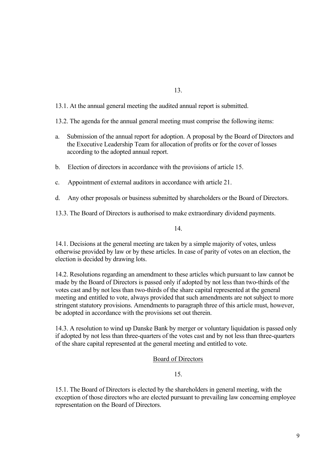13.

13.1. At the annual general meeting the audited annual report is submitted.

13.2. The agenda for the annual general meeting must comprise the following items:

- a. Submission of the annual report for adoption. A proposal by the Board of Directors and the Executive Leadership Team for allocation of profits or for the cover of losses according to the adopted annual report.
- b. Election of directors in accordance with the provisions of article 15.
- c. Appointment of external auditors in accordance with article 21.
- d. Any other proposals or business submitted by shareholders or the Board of Directors.

13.3. The Board of Directors is authorised to make extraordinary dividend payments.

14.

14.1. Decisions at the general meeting are taken by a simple majority of votes, unless otherwise provided by law or by these articles. In case of parity of votes on an election, the election is decided by drawing lots.

14.2. Resolutions regarding an amendment to these articles which pursuant to law cannot be made by the Board of Directors is passed only if adopted by not less than two-thirds of the votes cast and by not less than two-thirds of the share capital represented at the general meeting and entitled to vote, always provided that such amendments are not subject to more stringent statutory provisions. Amendments to paragraph three of this article must, however, be adopted in accordance with the provisions set out therein.

14.3. A resolution to wind up Danske Bank by merger or voluntary liquidation is passed only if adopted by not less than three-quarters of the votes cast and by not less than three-quarters of the share capital represented at the general meeting and entitled to vote.

#### Board of Directors

# 15.

15.1. The Board of Directors is elected by the shareholders in general meeting, with the exception of those directors who are elected pursuant to prevailing law concerning employee representation on the Board of Directors.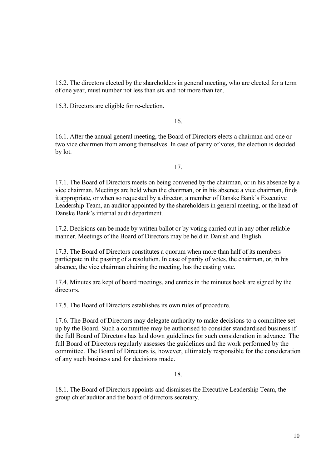15.2. The directors elected by the shareholders in general meeting, who are elected for a term of one year, must number not less than six and not more than ten.

15.3. Directors are eligible for re-election.

16.

16.1. After the annual general meeting, the Board of Directors elects a chairman and one or two vice chairmen from among themselves. In case of parity of votes, the election is decided by lot.

17.

17.1. The Board of Directors meets on being convened by the chairman, or in his absence by a vice chairman. Meetings are held when the chairman, or in his absence a vice chairman, finds it appropriate, or when so requested by a director, a member of Danske Bank's Executive Leadership Team, an auditor appointed by the shareholders in general meeting, or the head of Danske Bank's internal audit department.

17.2. Decisions can be made by written ballot or by voting carried out in any other reliable manner. Meetings of the Board of Directors may be held in Danish and English.

17.3. The Board of Directors constitutes a quorum when more than half of its members participate in the passing of a resolution. In case of parity of votes, the chairman, or, in his absence, the vice chairman chairing the meeting, has the casting vote.

17.4. Minutes are kept of board meetings, and entries in the minutes book are signed by the directors.

17.5. The Board of Directors establishes its own rules of procedure.

17.6. The Board of Directors may delegate authority to make decisions to a committee set up by the Board. Such a committee may be authorised to consider standardised business if the full Board of Directors has laid down guidelines for such consideration in advance. The full Board of Directors regularly assesses the guidelines and the work performed by the committee. The Board of Directors is, however, ultimately responsible for the consideration of any such business and for decisions made.

18.

18.1. The Board of Directors appoints and dismisses the Executive Leadership Team, the group chief auditor and the board of directors secretary.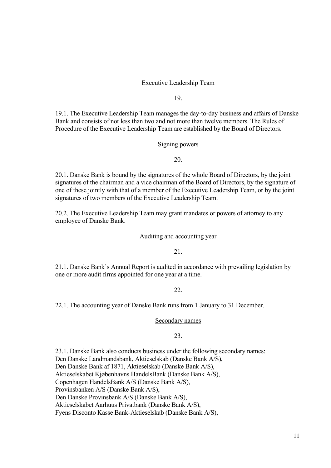## Executive Leadership Team

19.

19.1. The Executive Leadership Team manages the day-to-day business and affairs of Danske Bank and consists of not less than two and not more than twelve members. The Rules of Procedure of the Executive Leadership Team are established by the Board of Directors.

#### Signing powers

20.

20.1. Danske Bank is bound by the signatures of the whole Board of Directors, by the joint signatures of the chairman and a vice chairman of the Board of Directors, by the signature of one of these jointly with that of a member of the Executive Leadership Team, or by the joint signatures of two members of the Executive Leadership Team.

20.2. The Executive Leadership Team may grant mandates or powers of attorney to any employee of Danske Bank.

# Auditing and accounting year

21.

21.1. Danske Bank's Annual Report is audited in accordance with prevailing legislation by one or more audit firms appointed for one year at a time.

22.

22.1. The accounting year of Danske Bank runs from 1 January to 31 December.

Secondary names

### $23.$

23.1. Danske Bank also conducts business under the following secondary names: Den Danske Landmandsbank, Aktieselskab (Danske Bank A/S), Den Danske Bank af 1871, Aktieselskab (Danske Bank A/S), Aktieselskabet Kjøbenhavns HandelsBank (Danske Bank A/S), Copenhagen HandelsBank A/S (Danske Bank A/S), Provinsbanken A/S (Danske Bank A/S), Den Danske Provinsbank A/S (Danske Bank A/S), Aktieselskabet Aarhuus Privatbank (Danske Bank A/S), Fyens Disconto Kasse Bank-Aktieselskab (Danske Bank A/S),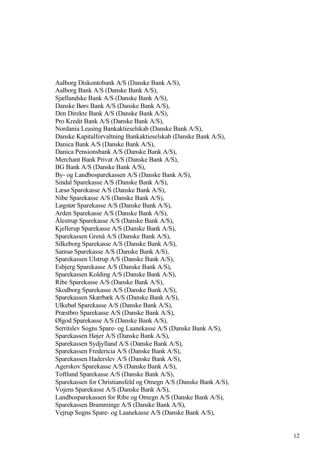Aalborg Diskontobank A/S (Danske Bank A/S), Aalborg Bank A/S (Danske Bank A/S), Sjællandske Bank A/S (Danske Bank A/S), Danske Børs Bank A/S (Danske Bank A/S), Den Direkte Bank A/S (Danske Bank A/S), Pro Kredit Bank A/S (Danske Bank A/S), Nordania Leasing Bankaktieselskab (Danske Bank A/S), Danske Kapitalforvaltning Bankaktieselskab (Danske Bank A/S), Danica Bank A/S (Danske Bank A/S), Danica Pensionsbank A/S (Danske Bank A/S), Merchant Bank Privat A/S (Danske Bank A/S), BG Bank A/S (Danske Bank A/S), By- og Landbosparekassen A/S (Danske Bank A/S), Sindal Sparekasse A/S (Danske Bank A/S), Læsø Sparekasse A/S (Danske Bank A/S), Nibe Sparekasse A/S (Danske Bank A/S), Løgstør Sparekasse A/S (Danske Bank A/S), Arden Sparekasse A/S (Danske Bank A/S), Ålestrup Sparekasse A/S (Danske Bank A/S), Kjellerup Sparekasse A/S (Danske Bank A/S), Sparekassen Grenå A/S (Danske Bank A/S), Silkeborg Sparekasse A/S (Danske Bank A/S), Samsø Sparekasse A/S (Danske Bank A/S), Sparekassen Ulstrup A/S (Danske Bank A/S), Esbjerg Sparekasse A/S (Danske Bank A/S), Sparekassen Kolding A/S (Danske Bank A/S), Ribe Sparekasse A/S (Danske Bank A/S), Skodborg Sparekasse A/S (Danske Bank A/S), Sparekassen Skærbæk A/S (Danske Bank A/S), Ulkebøl Sparekasse A/S (Danske Bank A/S), Præstbro Sparekasse A/S (Danske Bank A/S), Ølgod Sparekasse A/S (Danske Bank A/S), Serritslev Sogns Spare- og Laanekasse A/S (Danske Bank A/S), Sparekassen Højer A/S (Danske Bank A/S), Sparekassen Sydjylland A/S (Danske Bank A/S), Sparekassen Fredericia A/S (Danske Bank A/S), Sparekassen Haderslev A/S (Danske Bank A/S), Agerskov Sparekasse A/S (Danske Bank A/S), Toftlund Sparekasse A/S (Danske Bank A/S), Sparekassen for Christiansfeld og Omegn A/S (Danske Bank A/S), Vojens Sparekasse A/S (Danske Bank A/S), Landbosparekassen for Ribe og Omegn A/S (Danske Bank A/S), Sparekassen Bramminge A/S (Danske Bank A/S), Vejrup Sogns Spare- og Laanekasse A/S (Danske Bank A/S),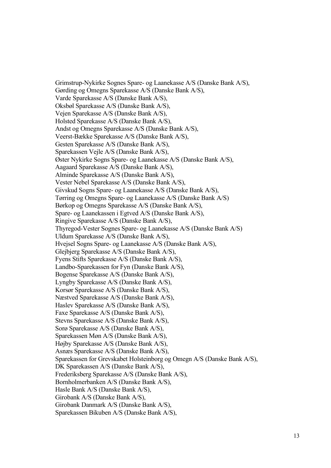Grimstrup-Nykirke Sognes Spare- og Laanekasse A/S (Danske Bank A/S), Gørding og Omegns Sparekasse A/S (Danske Bank A/S), Varde Sparekasse A/S (Danske Bank A/S), Oksbøl Sparekasse A/S (Danske Bank A/S), Vejen Sparekasse A/S (Danske Bank A/S), Holsted Sparekasse A/S (Danske Bank A/S), Andst og Omegns Sparekasse A/S (Danske Bank A/S), Veerst-Bække Sparekasse A/S (Danske Bank A/S), Gesten Sparekasse A/S (Danske Bank A/S), Sparekassen Vejle A/S (Danske Bank A/S), Øster Nykirke Sogns Spare- og Laanekasse A/S (Danske Bank A/S), Aagaard Sparekasse A/S (Danske Bank A/S), Alminde Sparekasse A/S (Danske Bank A/S), Vester Nebel Sparekasse A/S (Danske Bank A/S), Givskud Sogns Spare- og Laanekasse A/S (Danske Bank A/S), Tørring og Omegns Spare- og Laanekasse A/S (Danske Bank A/S) Børkop og Omegns Sparekasse A/S (Danske Bank A/S), Spare- og Laanekassen i Egtved A/S (Danske Bank A/S), Ringive Sparekasse A/S (Danske Bank A/S), Thyregod-Vester Sognes Spare- og Laanekasse A/S (Danske Bank A/S) Uldum Sparekasse A/S (Danske Bank A/S), Hvejsel Sogns Spare- og Laanekasse A/S (Danske Bank A/S), Glejbjerg Sparekasse A/S (Danske Bank A/S), Fyens Stifts Sparekasse A/S (Danske Bank A/S), Landbo-Sparekassen for Fyn (Danske Bank A/S), Bogense Sparekasse A/S (Danske Bank A/S), Lyngby Sparekasse A/S (Danske Bank A/S), Korsør Sparekasse A/S (Danske Bank A/S), Næstved Sparekasse A/S (Danske Bank A/S), Haslev Sparekasse A/S (Danske Bank A/S), Faxe Sparekasse A/S (Danske Bank A/S), Stevns Sparekasse A/S (Danske Bank A/S), Sorø Sparekasse A/S (Danske Bank A/S), Sparekassen Møn A/S (Danske Bank A/S), Højby Sparekasse A/S (Danske Bank A/S), Asnæs Sparekasse A/S (Danske Bank A/S), Sparekassen for Grevskabet Holsteinborg og Omegn A/S (Danske Bank A/S), DK Sparekassen A/S (Danske Bank A/S), Frederiksberg Sparekasse A/S (Danske Bank A/S), Bornholmerbanken A/S (Danske Bank A/S), Hasle Bank A/S (Danske Bank A/S), Girobank A/S (Danske Bank A/S), Girobank Danmark A/S (Danske Bank A/S), Sparekassen Bikuben A/S (Danske Bank A/S),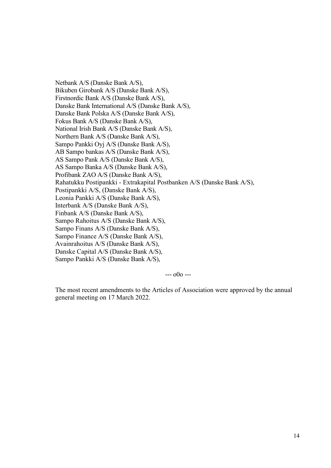Netbank A/S (Danske Bank A/S), Bikuben Girobank A/S (Danske Bank A/S), Firstnordic Bank A/S (Danske Bank A/S), Danske Bank International A/S (Danske Bank A/S), Danske Bank Polska A/S (Danske Bank A/S), Fokus Bank A/S (Danske Bank A/S), National Irish Bank A/S (Danske Bank A/S), Northern Bank A/S (Danske Bank A/S), Sampo Pankki Oyj A/S (Danske Bank A/S), AB Sampo bankas A/S (Danske Bank A/S), AS Sampo Pank A/S (Danske Bank A/S), AS Sampo Banka A/S (Danske Bank A/S), Profibank ZAO A/S (Danske Bank A/S), Rahatukku Postipankki - Extrakapital Postbanken A/S (Danske Bank A/S), Postipankki A/S, (Danske Bank A/S), Leonia Pankki A/S (Danske Bank A/S), Interbank A/S (Danske Bank A/S), Finbank A/S (Danske Bank A/S), Sampo Rahoitus A/S (Danske Bank A/S), Sampo Finans A/S (Danske Bank A/S), Sampo Finance A/S (Danske Bank A/S), Avainrahoitus A/S (Danske Bank A/S), Danske Capital A/S (Danske Bank A/S), Sampo Pankki A/S (Danske Bank A/S),

 $- - 000 - -$ 

The most recent amendments to the Articles of Association were approved by the annual general meeting on 17 March 2022.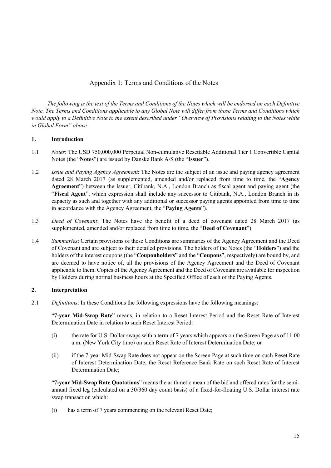# Appendix 1: Terms and Conditions of the Notes

*The following is the text of the Terms and Conditions of the Notes which will be endorsed on each Definitive Note. The Terms and Conditions applicable to any Global Note will differ from those Terms and Conditions which would apply to a Definitive Note to the extent described under "Overview of Provisions relating to the Notes while in Global Form" above.* 

#### **1. Introduction**

- 1.1 *Notes*: The USD 750,000,000 Perpetual Non-cumulative Resettable Additional Tier 1 Convertible Capital Notes (the "**Notes**") are issued by Danske Bank A/S (the "**Issuer**").
- 1.2 *Issue and Paying Agency Agreement*: The Notes are the subject of an issue and paying agency agreement dated 28 March 2017 (as supplemented, amended and/or replaced from time to time, the "**Agency Agreement**") between the Issuer, Citibank, N.A., London Branch as fiscal agent and paying agent (the "**Fiscal Agent**", which expression shall include any successor to Citibank, N.A., London Branch in its capacity as such and together with any additional or successor paying agents appointed from time to time in accordance with the Agency Agreement, the "**Paying Agents**").
- 1.3 *Deed of Covenant*: The Notes have the benefit of a deed of covenant dated 28 March 2017 (as supplemented, amended and/or replaced from time to time, the "**Deed of Covenant**").
- 1.4 *Summaries*: Certain provisions of these Conditions are summaries of the Agency Agreement and the Deed of Covenant and are subject to their detailed provisions. The holders of the Notes (the "**Holders**") and the holders of the interest coupons (the "**Couponholders**" and the "**Coupons**", respectively) are bound by, and are deemed to have notice of, all the provisions of the Agency Agreement and the Deed of Covenant applicable to them. Copies of the Agency Agreement and the Deed of Covenant are available for inspection by Holders during normal business hours at the Specified Office of each of the Paying Agents.

## **2. Interpretation**

2.1 *Definitions*: In these Conditions the following expressions have the following meanings:

"**7-year Mid-Swap Rate**" means, in relation to a Reset Interest Period and the Reset Rate of Interest Determination Date in relation to such Reset Interest Period:

- (i) the rate for U.S. Dollar swaps with a term of 7 years which appears on the Screen Page as of 11:00 a.m. (New York City time) on such Reset Rate of Interest Determination Date; or
- (ii) if the 7-year Mid-Swap Rate does not appear on the Screen Page at such time on such Reset Rate of Interest Determination Date, the Reset Reference Bank Rate on such Reset Rate of Interest Determination Date;

"**7-year Mid-Swap Rate Quotations**" means the arithmetic mean of the bid and offered rates for the semiannual fixed leg (calculated on a 30/360 day count basis) of a fixed-for-floating U.S. Dollar interest rate swap transaction which:

(i) has a term of 7 years commencing on the relevant Reset Date;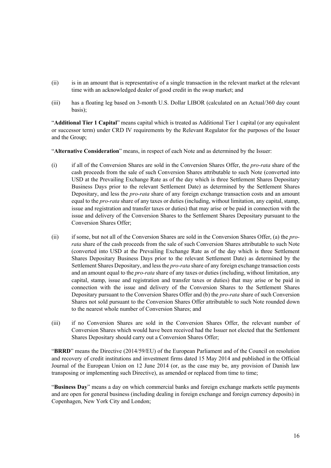- (ii) is in an amount that is representative of a single transaction in the relevant market at the relevant time with an acknowledged dealer of good credit in the swap market; and
- (iii) has a floating leg based on 3-month U.S. Dollar LIBOR (calculated on an Actual/360 day count basis);

"**Additional Tier 1 Capital**" means capital which is treated as Additional Tier 1 capital (or any equivalent or successor term) under CRD IV requirements by the Relevant Regulator for the purposes of the Issuer and the Group;

"**Alternative Consideration**" means, in respect of each Note and as determined by the Issuer:

- (i) if all of the Conversion Shares are sold in the Conversion Shares Offer, the *pro-rata* share of the cash proceeds from the sale of such Conversion Shares attributable to such Note (converted into USD at the Prevailing Exchange Rate as of the day which is three Settlement Shares Depositary Business Days prior to the relevant Settlement Date) as determined by the Settlement Shares Depositary, and less the *pro-rata* share of any foreign exchange transaction costs and an amount equal to the *pro-rata* share of any taxes or duties (including, without limitation, any capital, stamp, issue and registration and transfer taxes or duties) that may arise or be paid in connection with the issue and delivery of the Conversion Shares to the Settlement Shares Depositary pursuant to the Conversion Shares Offer;
- (ii) if some, but not all of the Conversion Shares are sold in the Conversion Shares Offer, (a) the *prorata* share of the cash proceeds from the sale of such Conversion Shares attributable to such Note (converted into USD at the Prevailing Exchange Rate as of the day which is three Settlement Shares Depositary Business Days prior to the relevant Settlement Date) as determined by the Settlement Shares Depositary, and less the *pro-rata* share of any foreign exchange transaction costs and an amount equal to the *pro-rata* share of any taxes or duties (including, without limitation, any capital, stamp, issue and registration and transfer taxes or duties) that may arise or be paid in connection with the issue and delivery of the Conversion Shares to the Settlement Shares Depositary pursuant to the Conversion Shares Offer and (b) the *pro-rata* share of such Conversion Shares not sold pursuant to the Conversion Shares Offer attributable to such Note rounded down to the nearest whole number of Conversion Shares; and
- (iii) if no Conversion Shares are sold in the Conversion Shares Offer, the relevant number of Conversion Shares which would have been received had the Issuer not elected that the Settlement Shares Depositary should carry out a Conversion Shares Offer;

"**BRRD**" means the Directive (2014/59/EU) of the European Parliament and of the Council on resolution and recovery of credit institutions and investment firms dated 15 May 2014 and published in the Official Journal of the European Union on 12 June 2014 (or, as the case may be, any provision of Danish law transposing or implementing such Directive), as amended or replaced from time to time;

"**Business Day**" means a day on which commercial banks and foreign exchange markets settle payments and are open for general business (including dealing in foreign exchange and foreign currency deposits) in Copenhagen, New York City and London;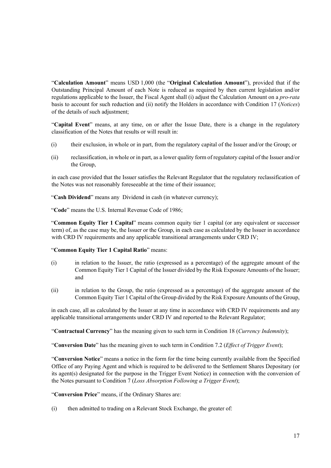"**Calculation Amount**" means USD 1,000 (the "**Original Calculation Amount**"), provided that if the Outstanding Principal Amount of each Note is reduced as required by then current legislation and/or regulations applicable to the Issuer, the Fiscal Agent shall (i) adjust the Calculation Amount on a *pro-rata* basis to account for such reduction and (ii) notify the Holders in accordance with Condition 17 (*Notices*) of the details of such adjustment;

"**Capital Event**" means, at any time, on or after the Issue Date, there is a change in the regulatory classification of the Notes that results or will result in:

- (i) their exclusion, in whole or in part, from the regulatory capital of the Issuer and/or the Group; or
- (ii) reclassification, in whole or in part, as a lower quality form of regulatory capital of the Issuer and/or the Group,

in each case provided that the Issuer satisfies the Relevant Regulator that the regulatory reclassification of the Notes was not reasonably foreseeable at the time of their issuance;

"**Cash Dividend**" means any Dividend in cash (in whatever currency);

"**Code**" means the U.S. Internal Revenue Code of 1986;

"**Common Equity Tier 1 Capital**" means common equity tier 1 capital (or any equivalent or successor term) of, as the case may be, the Issuer or the Group, in each case as calculated by the Issuer in accordance with CRD IV requirements and any applicable transitional arrangements under CRD IV;

#### "**Common Equity Tier 1 Capital Ratio**" means:

- (i) in relation to the Issuer, the ratio (expressed as a percentage) of the aggregate amount of the Common Equity Tier 1 Capital of the Issuer divided by the Risk Exposure Amounts of the Issuer; and
- (ii) in relation to the Group, the ratio (expressed as a percentage) of the aggregate amount of the Common Equity Tier 1 Capital of the Group divided by the Risk Exposure Amounts of the Group,

in each case, all as calculated by the Issuer at any time in accordance with CRD IV requirements and any applicable transitional arrangements under CRD IV and reported to the Relevant Regulator;

"**Contractual Currency**" has the meaning given to such term in Condition 18 (*Currency Indemnity*);

"**Conversion Date**" has the meaning given to such term in Condition 7.2 (*Effect of Trigger Event*);

"**Conversion Notice**" means a notice in the form for the time being currently available from the Specified Office of any Paying Agent and which is required to be delivered to the Settlement Shares Depositary (or its agent(s) designated for the purpose in the Trigger Event Notice) in connection with the conversion of the Notes pursuant to Condition 7 (*Loss Absorption Following a Trigger Event*);

"**Conversion Price**" means, if the Ordinary Shares are:

(i) then admitted to trading on a Relevant Stock Exchange, the greater of: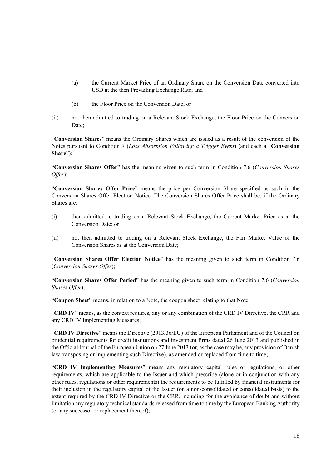- (a) the Current Market Price of an Ordinary Share on the Conversion Date converted into USD at the then Prevailing Exchange Rate; and
- (b) the Floor Price on the Conversion Date; or
- (ii) not then admitted to trading on a Relevant Stock Exchange, the Floor Price on the Conversion Date;

"**Conversion Shares**" means the Ordinary Shares which are issued as a result of the conversion of the Notes pursuant to Condition 7 (*Loss Absorption Following a Trigger Event*) (and each a "**Conversion Share**");

"**Conversion Shares Offer**" has the meaning given to such term in Condition 7.6 (*Conversion Shares Offer*);

"**Conversion Shares Offer Price**" means the price per Conversion Share specified as such in the Conversion Shares Offer Election Notice. The Conversion Shares Offer Price shall be, if the Ordinary Shares are:

- (i) then admitted to trading on a Relevant Stock Exchange, the Current Market Price as at the Conversion Date; or
- (ii) not then admitted to trading on a Relevant Stock Exchange, the Fair Market Value of the Conversion Shares as at the Conversion Date;

"**Conversion Shares Offer Election Notice**" has the meaning given to such term in Condition 7.6 (*Conversion Shares Offer*);

"**Conversion Shares Offer Period**" has the meaning given to such term in Condition 7.6 (*Conversion Shares Offer*);

"**Coupon Sheet**" means, in relation to a Note, the coupon sheet relating to that Note;

"**CRD IV**" means, as the context requires, any or any combination of the CRD IV Directive, the CRR and any CRD IV Implementing Measures;

"**CRD IV Directive**" means the Directive (2013/36/EU) of the European Parliament and of the Council on prudential requirements for credit institutions and investment firms dated 26 June 2013 and published in the Official Journal of the European Union on 27 June 2013 (or, as the case may be, any provision of Danish law transposing or implementing such Directive), as amended or replaced from time to time;

"**CRD IV Implementing Measures**" means any regulatory capital rules or regulations, or other requirements, which are applicable to the Issuer and which prescribe (alone or in conjunction with any other rules, regulations or other requirements) the requirements to be fulfilled by financial instruments for their inclusion in the regulatory capital of the Issuer (on a non-consolidated or consolidated basis) to the extent required by the CRD IV Directive or the CRR, including for the avoidance of doubt and without limitation any regulatory technical standards released from time to time by the European Banking Authority (or any successor or replacement thereof);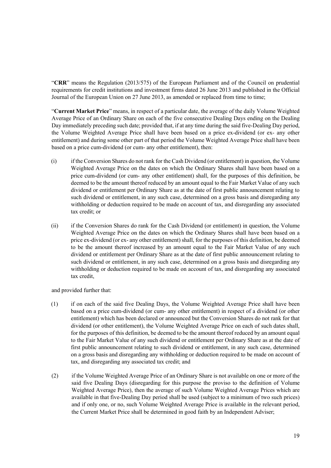"**CRR**" means the Regulation (2013/575) of the European Parliament and of the Council on prudential requirements for credit institutions and investment firms dated 26 June 2013 and published in the Official Journal of the European Union on 27 June 2013, as amended or replaced from time to time;

"**Current Market Price**" means, in respect of a particular date, the average of the daily Volume Weighted Average Price of an Ordinary Share on each of the five consecutive Dealing Days ending on the Dealing Day immediately preceding such date; provided that, if at any time during the said five-Dealing Day period, the Volume Weighted Average Price shall have been based on a price ex-dividend (or ex- any other entitlement) and during some other part of that period the Volume Weighted Average Price shall have been based on a price cum-dividend (or cum- any other entitlement), then:

- (i) if the Conversion Shares do not rank for the Cash Dividend (or entitlement) in question, the Volume Weighted Average Price on the dates on which the Ordinary Shares shall have been based on a price cum-dividend (or cum- any other entitlement) shall, for the purposes of this definition, be deemed to be the amount thereof reduced by an amount equal to the Fair Market Value of any such dividend or entitlement per Ordinary Share as at the date of first public announcement relating to such dividend or entitlement, in any such case, determined on a gross basis and disregarding any withholding or deduction required to be made on account of tax, and disregarding any associated tax credit; or
- (ii) if the Conversion Shares do rank for the Cash Dividend (or entitlement) in question, the Volume Weighted Average Price on the dates on which the Ordinary Shares shall have been based on a price ex-dividend (or ex- any other entitlement) shall, for the purposes of this definition, be deemed to be the amount thereof increased by an amount equal to the Fair Market Value of any such dividend or entitlement per Ordinary Share as at the date of first public announcement relating to such dividend or entitlement, in any such case, determined on a gross basis and disregarding any withholding or deduction required to be made on account of tax, and disregarding any associated tax credit,

and provided further that:

- (1) if on each of the said five Dealing Days, the Volume Weighted Average Price shall have been based on a price cum-dividend (or cum- any other entitlement) in respect of a dividend (or other entitlement) which has been declared or announced but the Conversion Shares do not rank for that dividend (or other entitlement), the Volume Weighted Average Price on each of such dates shall, for the purposes of this definition, be deemed to be the amount thereof reduced by an amount equal to the Fair Market Value of any such dividend or entitlement per Ordinary Share as at the date of first public announcement relating to such dividend or entitlement, in any such case, determined on a gross basis and disregarding any withholding or deduction required to be made on account of tax, and disregarding any associated tax credit; and
- (2) if the Volume Weighted Average Price of an Ordinary Share is not available on one or more of the said five Dealing Days (disregarding for this purpose the proviso to the definition of Volume Weighted Average Price), then the average of such Volume Weighted Average Prices which are available in that five-Dealing Day period shall be used (subject to a minimum of two such prices) and if only one, or no, such Volume Weighted Average Price is available in the relevant period, the Current Market Price shall be determined in good faith by an Independent Adviser;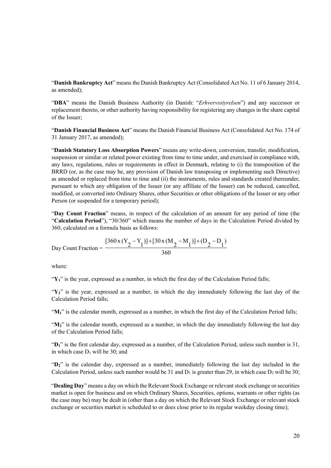"**Danish Bankruptcy Act**" means the Danish Bankruptcy Act (Consolidated Act No. 11 of 6 January 2014, as amended);

"**DBA**" means the Danish Business Authority (in Danish: "*Erhvervsstyrelsen*") and any successor or replacement thereto, or other authority having responsibility for registering any changes in the share capital of the Issuer;

"**Danish Financial Business Act**" means the Danish Financial Business Act (Consolidated Act No. 174 of 31 January 2017, as amended);

"**Danish Statutory Loss Absorption Powers**" means any write-down, conversion, transfer, modification, suspension or similar or related power existing from time to time under, and exercised in compliance with, any laws, regulations, rules or requirements in effect in Denmark, relating to (i) the transposition of the BRRD (or, as the case may be, any provision of Danish law transposing or implementing such Directive) as amended or replaced from time to time and (ii) the instruments, rules and standards created thereunder, pursuant to which any obligation of the Issuer (or any affiliate of the Issuer) can be reduced, cancelled, modified, or converted into Ordinary Shares, other Securities or other obligations of the Issuer or any other Person (or suspended for a temporary period);

"**Day Count Fraction**" means, in respect of the calculation of an amount for any period of time (the "**Calculation Period**"), "30/360" which means the number of days in the Calculation Period divided by 360, calculated on a formula basis as follows:

Day Count Fraction = 
$$
\frac{[360x(Y_2 - Y_1)] + [30x(M_2 - M_1)] + (D_2 - D_1)}{360}
$$

where:

 $\mathbf{Y}_1$ " is the year, expressed as a number, in which the first day of the Calculation Period falls;

 $Y_2$ " is the year, expressed as a number, in which the day immediately following the last day of the Calculation Period falls;

" $M_1$ " is the calendar month, expressed as a number, in which the first day of the Calculation Period falls;

"M<sub>2</sub>" is the calendar month, expressed as a number, in which the day immediately following the last day of the Calculation Period falls;

"**D1**" is the first calendar day, expressed as a number, of the Calculation Period, unless such number is 31, in which case  $D_1$  will be 30; and

"**D2**" is the calendar day, expressed as a number, immediately following the last day included in the Calculation Period, unless such number would be 31 and  $D_1$  is greater than 29, in which case  $D_2$  will be 30;

"**Dealing Day**" means a day on which the Relevant Stock Exchange or relevant stock exchange or securities market is open for business and on which Ordinary Shares, Securities, options, warrants or other rights (as the case may be) may be dealt in (other than a day on which the Relevant Stock Exchange or relevant stock exchange or securities market is scheduled to or does close prior to its regular weekday closing time);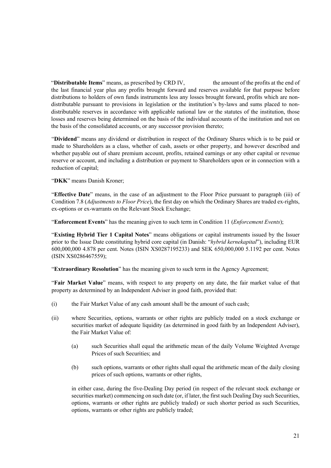"**Distributable Items**" means, as prescribed by CRD IV, the amount of the profits at the end of the last financial year plus any profits brought forward and reserves available for that purpose before distributions to holders of own funds instruments less any losses brought forward, profits which are nondistributable pursuant to provisions in legislation or the institution's by-laws and sums placed to nondistributable reserves in accordance with applicable national law or the statutes of the institution, those losses and reserves being determined on the basis of the individual accounts of the institution and not on the basis of the consolidated accounts, or any successor provision thereto;

"**Dividend**" means any dividend or distribution in respect of the Ordinary Shares which is to be paid or made to Shareholders as a class, whether of cash, assets or other property, and however described and whether payable out of share premium account, profits, retained earnings or any other capital or revenue reserve or account, and including a distribution or payment to Shareholders upon or in connection with a reduction of capital;

"**DKK**" means Danish Kroner;

"**Effective Date**" means, in the case of an adjustment to the Floor Price pursuant to paragraph (iii) of Condition 7.8 (*Adjustments to Floor Price*), the first day on which the Ordinary Shares are traded ex-rights, ex-options or ex-warrants on the Relevant Stock Exchange;

"**Enforcement Events**" has the meaning given to such term in Condition 11 (*Enforcement Events*);

"**Existing Hybrid Tier 1 Capital Notes**" means obligations or capital instruments issued by the Issuer prior to the Issue Date constituting hybrid core capital (in Danish: "*hybrid kernekapital*"), including EUR 600,000,000 4.878 per cent. Notes (ISIN XS0287195233) and SEK 650,000,000 5.1192 per cent. Notes (ISIN XS0286467559);

"**Extraordinary Resolution**" has the meaning given to such term in the Agency Agreement;

"**Fair Market Value**" means, with respect to any property on any date, the fair market value of that property as determined by an Independent Adviser in good faith, provided that:

- (i) the Fair Market Value of any cash amount shall be the amount of such cash;
- (ii) where Securities, options, warrants or other rights are publicly traded on a stock exchange or securities market of adequate liquidity (as determined in good faith by an Independent Adviser), the Fair Market Value of:
	- (a) such Securities shall equal the arithmetic mean of the daily Volume Weighted Average Prices of such Securities; and
	- (b) such options, warrants or other rights shall equal the arithmetic mean of the daily closing prices of such options, warrants or other rights,

in either case, during the five-Dealing Day period (in respect of the relevant stock exchange or securities market) commencing on such date (or, if later, the first such Dealing Day such Securities, options, warrants or other rights are publicly traded) or such shorter period as such Securities, options, warrants or other rights are publicly traded;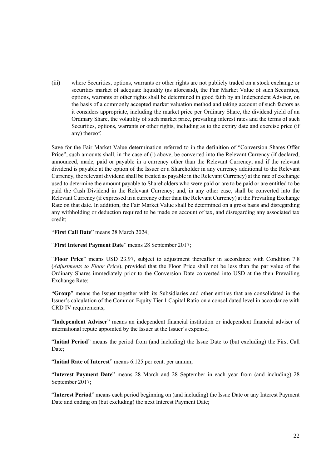(iii) where Securities, options, warrants or other rights are not publicly traded on a stock exchange or securities market of adequate liquidity (as aforesaid), the Fair Market Value of such Securities, options, warrants or other rights shall be determined in good faith by an Independent Adviser, on the basis of a commonly accepted market valuation method and taking account of such factors as it considers appropriate, including the market price per Ordinary Share, the dividend yield of an Ordinary Share, the volatility of such market price, prevailing interest rates and the terms of such Securities, options, warrants or other rights, including as to the expiry date and exercise price (if any) thereof.

Save for the Fair Market Value determination referred to in the definition of "Conversion Shares Offer Price", such amounts shall, in the case of (i) above, be converted into the Relevant Currency (if declared, announced, made, paid or payable in a currency other than the Relevant Currency, and if the relevant dividend is payable at the option of the Issuer or a Shareholder in any currency additional to the Relevant Currency, the relevant dividend shall be treated as payable in the Relevant Currency) at the rate of exchange used to determine the amount payable to Shareholders who were paid or are to be paid or are entitled to be paid the Cash Dividend in the Relevant Currency; and, in any other case, shall be converted into the Relevant Currency (if expressed in a currency other than the Relevant Currency) at the Prevailing Exchange Rate on that date. In addition, the Fair Market Value shall be determined on a gross basis and disregarding any withholding or deduction required to be made on account of tax, and disregarding any associated tax credit;

"**First Call Date**" means 28 March 2024;

"**First Interest Payment Date**" means 28 September 2017;

"**Floor Price**" means USD 23.97, subject to adjustment thereafter in accordance with Condition 7.8 (*Adjustments to Floor Price*), provided that the Floor Price shall not be less than the par value of the Ordinary Shares immediately prior to the Conversion Date converted into USD at the then Prevailing Exchange Rate;

"**Group**" means the Issuer together with its Subsidiaries and other entities that are consolidated in the Issuer's calculation of the Common Equity Tier 1 Capital Ratio on a consolidated level in accordance with CRD IV requirements;

"**Independent Adviser**" means an independent financial institution or independent financial adviser of international repute appointed by the Issuer at the Issuer's expense;

"**Initial Period**" means the period from (and including) the Issue Date to (but excluding) the First Call Date;

"**Initial Rate of Interest**" means 6.125 per cent. per annum;

"**Interest Payment Date**" means 28 March and 28 September in each year from (and including) 28 September 2017;

"**Interest Period**" means each period beginning on (and including) the Issue Date or any Interest Payment Date and ending on (but excluding) the next Interest Payment Date;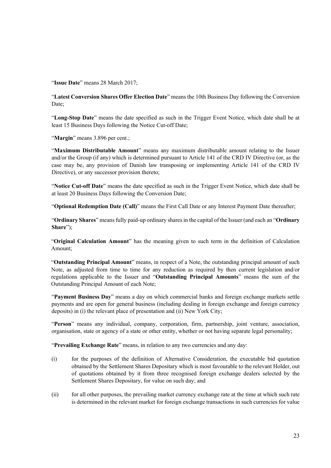"**Issue Date**" means 28 March 2017;

"**Latest Conversion Shares Offer Election Date**" means the 10th Business Day following the Conversion Date;

"**Long-Stop Date**" means the date specified as such in the Trigger Event Notice, which date shall be at least 15 Business Days following the Notice Cut-off Date;

"**Margin**" means 3.896 per cent.;

"**Maximum Distributable Amount**" means any maximum distributable amount relating to the Issuer and/or the Group (if any) which is determined pursuant to Article 141 of the CRD IV Directive (or, as the case may be, any provision of Danish law transposing or implementing Article 141 of the CRD IV Directive), or any successor provision thereto;

"**Notice Cut-off Date**" means the date specified as such in the Trigger Event Notice, which date shall be at least 20 Business Days following the Conversion Date;

"**Optional Redemption Date (Call)**" means the First Call Date or any Interest Payment Date thereafter;

"**Ordinary Shares**" means fully paid-up ordinary shares in the capital of the Issuer (and each an "**Ordinary Share**");

"**Original Calculation Amount**" has the meaning given to such term in the definition of Calculation Amount;

"**Outstanding Principal Amount**" means, in respect of a Note, the outstanding principal amount of such Note, as adjusted from time to time for any reduction as required by then current legislation and/or regulations applicable to the Issuer and "**Outstanding Principal Amounts**" means the sum of the Outstanding Principal Amount of each Note;

"**Payment Business Day**" means a day on which commercial banks and foreign exchange markets settle payments and are open for general business (including dealing in foreign exchange and foreign currency deposits) in (i) the relevant place of presentation and (ii) New York City;

"**Person**" means any individual, company, corporation, firm, partnership, joint venture, association, organisation, state or agency of a state or other entity, whether or not having separate legal personality;

"**Prevailing Exchange Rate**" means, in relation to any two currencies and any day:

- (i) for the purposes of the definition of Alternative Consideration, the executable bid quotation obtained by the Settlement Shares Depositary which is most favourable to the relevant Holder, out of quotations obtained by it from three recognised foreign exchange dealers selected by the Settlement Shares Depositary, for value on such day; and
- (ii) for all other purposes, the prevailing market currency exchange rate at the time at which such rate is determined in the relevant market for foreign exchange transactions in such currencies for value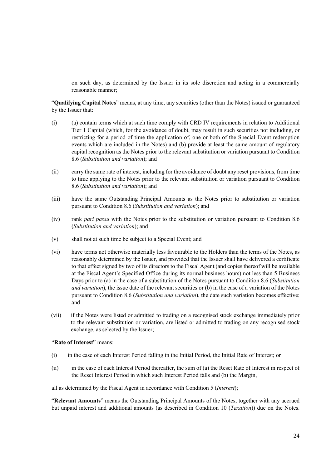on such day, as determined by the Issuer in its sole discretion and acting in a commercially reasonable manner;

"**Qualifying Capital Notes**" means, at any time, any securities (other than the Notes) issued or guaranteed by the Issuer that:

- (i) (a) contain terms which at such time comply with CRD IV requirements in relation to Additional Tier 1 Capital (which, for the avoidance of doubt, may result in such securities not including, or restricting for a period of time the application of, one or both of the Special Event redemption events which are included in the Notes) and (b) provide at least the same amount of regulatory capital recognition as the Notes prior to the relevant substitution or variation pursuant to Condition 8.6 (*Substitution and variation*); and
- (ii) carry the same rate of interest, including for the avoidance of doubt any reset provisions, from time to time applying to the Notes prior to the relevant substitution or variation pursuant to Condition 8.6 (*Substitution and variation*); and
- (iii) have the same Outstanding Principal Amounts as the Notes prior to substitution or variation pursuant to Condition 8.6 (*Substitution and variation*); and
- (iv) rank *pari passu* with the Notes prior to the substitution or variation pursuant to Condition 8.6 (*Substitution and variation*); and
- (v) shall not at such time be subject to a Special Event; and
- (vi) have terms not otherwise materially less favourable to the Holders than the terms of the Notes, as reasonably determined by the Issuer, and provided that the Issuer shall have delivered a certificate to that effect signed by two of its directors to the Fiscal Agent (and copies thereof will be available at the Fiscal Agent's Specified Office during its normal business hours) not less than 5 Business Days prior to (a) in the case of a substitution of the Notes pursuant to Condition 8.6 (*Substitution and variation*), the issue date of the relevant securities or (b) in the case of a variation of the Notes pursuant to Condition 8.6 (*Substitution and variation*), the date such variation becomes effective; and
- (vii) if the Notes were listed or admitted to trading on a recognised stock exchange immediately prior to the relevant substitution or variation, are listed or admitted to trading on any recognised stock exchange, as selected by the Issuer;

#### "**Rate of Interest**" means:

- (i) in the case of each Interest Period falling in the Initial Period, the Initial Rate of Interest; or
- (ii) in the case of each Interest Period thereafter, the sum of (a) the Reset Rate of Interest in respect of the Reset Interest Period in which such Interest Period falls and (b) the Margin,

all as determined by the Fiscal Agent in accordance with Condition 5 (*Interest*);

"**Relevant Amounts**" means the Outstanding Principal Amounts of the Notes, together with any accrued but unpaid interest and additional amounts (as described in Condition 10 (*Taxation*)) due on the Notes.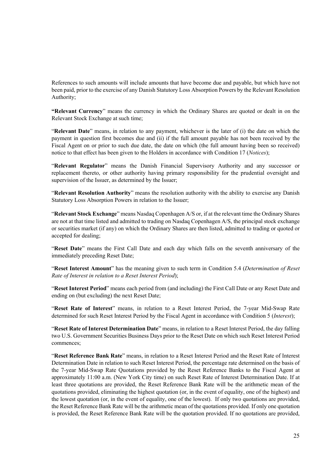References to such amounts will include amounts that have become due and payable, but which have not been paid, prior to the exercise of any Danish Statutory Loss Absorption Powers by the Relevant Resolution Authority;

**"Relevant Currency**" means the currency in which the Ordinary Shares are quoted or dealt in on the Relevant Stock Exchange at such time;

"**Relevant Date**" means, in relation to any payment, whichever is the later of (i) the date on which the payment in question first becomes due and (ii) if the full amount payable has not been received by the Fiscal Agent on or prior to such due date, the date on which (the full amount having been so received) notice to that effect has been given to the Holders in accordance with Condition 17 (*Notices*);

"**Relevant Regulator**" means the Danish Financial Supervisory Authority and any successor or replacement thereto, or other authority having primary responsibility for the prudential oversight and supervision of the Issuer, as determined by the Issuer;

"**Relevant Resolution Authority**" means the resolution authority with the ability to exercise any Danish Statutory Loss Absorption Powers in relation to the Issuer;

"**Relevant Stock Exchange**" means Nasdaq Copenhagen A/S or, if at the relevant time the Ordinary Shares are not at that time listed and admitted to trading on Nasdaq Copenhagen A/S, the principal stock exchange or securities market (if any) on which the Ordinary Shares are then listed, admitted to trading or quoted or accepted for dealing;

"**Reset Date**" means the First Call Date and each day which falls on the seventh anniversary of the immediately preceding Reset Date;

"**Reset Interest Amount**" has the meaning given to such term in Condition 5.4 (*Determination of Reset Rate of Interest in relation to a Reset Interest Period*);

"**Reset Interest Period**" means each period from (and including) the First Call Date or any Reset Date and ending on (but excluding) the next Reset Date;

"**Reset Rate of Interest**" means, in relation to a Reset Interest Period, the 7-year Mid-Swap Rate determined for such Reset Interest Period by the Fiscal Agent in accordance with Condition 5 (*Interest*);

"**Reset Rate of Interest Determination Date**" means, in relation to a Reset Interest Period, the day falling two U.S. Government Securities Business Days prior to the Reset Date on which such Reset Interest Period commences;

"**Reset Reference Bank Rate**" means, in relation to a Reset Interest Period and the Reset Rate of Interest Determination Date in relation to such Reset Interest Period, the percentage rate determined on the basis of the 7-year Mid-Swap Rate Quotations provided by the Reset Reference Banks to the Fiscal Agent at approximately 11:00 a.m. (New York City time) on such Reset Rate of Interest Determination Date. If at least three quotations are provided, the Reset Reference Bank Rate will be the arithmetic mean of the quotations provided, eliminating the highest quotation (or, in the event of equality, one of the highest) and the lowest quotation (or, in the event of equality, one of the lowest). If only two quotations are provided, the Reset Reference Bank Rate will be the arithmetic mean of the quotations provided. If only one quotation is provided, the Reset Reference Bank Rate will be the quotation provided. If no quotations are provided,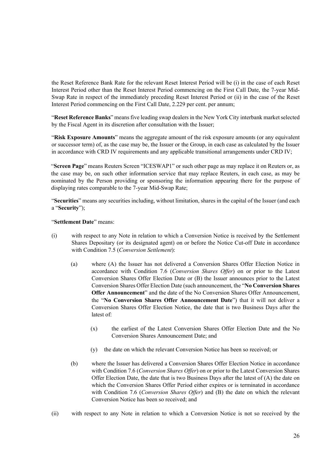the Reset Reference Bank Rate for the relevant Reset Interest Period will be (i) in the case of each Reset Interest Period other than the Reset Interest Period commencing on the First Call Date, the 7-year Mid-Swap Rate in respect of the immediately preceding Reset Interest Period or (ii) in the case of the Reset Interest Period commencing on the First Call Date, 2.229 per cent. per annum;

"**Reset Reference Banks**" means five leading swap dealers in the New York City interbank market selected by the Fiscal Agent in its discretion after consultation with the Issuer;

"**Risk Exposure Amounts**" means the aggregate amount of the risk exposure amounts (or any equivalent or successor term) of, as the case may be, the Issuer or the Group, in each case as calculated by the Issuer in accordance with CRD IV requirements and any applicable transitional arrangements under CRD IV;

"**Screen Page**" means Reuters Screen "ICESWAP1" or such other page as may replace it on Reuters or, as the case may be, on such other information service that may replace Reuters, in each case, as may be nominated by the Person providing or sponsoring the information appearing there for the purpose of displaying rates comparable to the 7-year Mid-Swap Rate;

"**Securities**" means any securities including, without limitation, shares in the capital of the Issuer (and each a "**Security**");

"**Settlement Date**" means:

- (i) with respect to any Note in relation to which a Conversion Notice is received by the Settlement Shares Depositary (or its designated agent) on or before the Notice Cut-off Date in accordance with Condition 7.5 (*Conversion Settlement*):
	- (a) where (A) the Issuer has not delivered a Conversion Shares Offer Election Notice in accordance with Condition 7.6 (*Conversion Shares Offer*) on or prior to the Latest Conversion Shares Offer Election Date or (B) the Issuer announces prior to the Latest Conversion Shares Offer Election Date (such announcement, the "**No Conversion Shares Offer Announcement**" and the date of the No Conversion Shares Offer Announcement, the "**No Conversion Shares Offer Announcement Date**") that it will not deliver a Conversion Shares Offer Election Notice, the date that is two Business Days after the latest of:
		- (x) the earliest of the Latest Conversion Shares Offer Election Date and the No Conversion Shares Announcement Date; and
		- (y) the date on which the relevant Conversion Notice has been so received; or
	- (b) where the Issuer has delivered a Conversion Shares Offer Election Notice in accordance with Condition 7.6 (*Conversion Shares Offer*) on or prior to the Latest Conversion Shares Offer Election Date, the date that is two Business Days after the latest of  $(A)$  the date on which the Conversion Shares Offer Period either expires or is terminated in accordance with Condition 7.6 (*Conversion Shares Offer*) and (B) the date on which the relevant Conversion Notice has been so received; and
- (ii) with respect to any Note in relation to which a Conversion Notice is not so received by the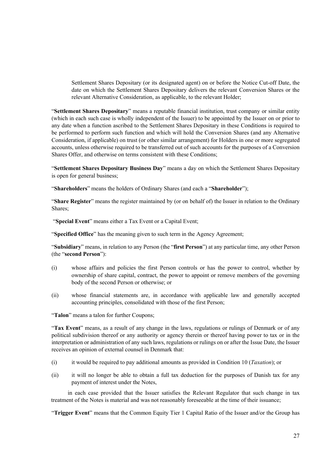Settlement Shares Depositary (or its designated agent) on or before the Notice Cut-off Date, the date on which the Settlement Shares Depositary delivers the relevant Conversion Shares or the relevant Alternative Consideration, as applicable, to the relevant Holder;

"**Settlement Shares Depositary**" means a reputable financial institution, trust company or similar entity (which in each such case is wholly independent of the Issuer) to be appointed by the Issuer on or prior to any date when a function ascribed to the Settlement Shares Depositary in these Conditions is required to be performed to perform such function and which will hold the Conversion Shares (and any Alternative Consideration, if applicable) on trust (or other similar arrangement) for Holders in one or more segregated accounts, unless otherwise required to be transferred out of such accounts for the purposes of a Conversion Shares Offer, and otherwise on terms consistent with these Conditions;

"**Settlement Shares Depositary Business Day**" means a day on which the Settlement Shares Depositary is open for general business;

"**Shareholders**" means the holders of Ordinary Shares (and each a "**Shareholder**");

"**Share Register**" means the register maintained by (or on behalf of) the Issuer in relation to the Ordinary Shares;

"**Special Event**" means either a Tax Event or a Capital Event;

"**Specified Office**" has the meaning given to such term in the Agency Agreement;

"**Subsidiary**" means, in relation to any Person (the "**first Person**") at any particular time, any other Person (the "**second Person**"):

- (i) whose affairs and policies the first Person controls or has the power to control, whether by ownership of share capital, contract, the power to appoint or remove members of the governing body of the second Person or otherwise; or
- (ii) whose financial statements are, in accordance with applicable law and generally accepted accounting principles, consolidated with those of the first Person;

"**Talon**" means a talon for further Coupons;

"**Tax Event**" means, as a result of any change in the laws, regulations or rulings of Denmark or of any political subdivision thereof or any authority or agency therein or thereof having power to tax or in the interpretation or administration of any such laws, regulations or rulings on or after the Issue Date, the Issuer receives an opinion of external counsel in Denmark that:

- (i) it would be required to pay additional amounts as provided in Condition 10 (*Taxation*); or
- (ii) it will no longer be able to obtain a full tax deduction for the purposes of Danish tax for any payment of interest under the Notes,

 in each case provided that the Issuer satisfies the Relevant Regulator that such change in tax treatment of the Notes is material and was not reasonably foreseeable at the time of their issuance;

"**Trigger Event**" means that the Common Equity Tier 1 Capital Ratio of the Issuer and/or the Group has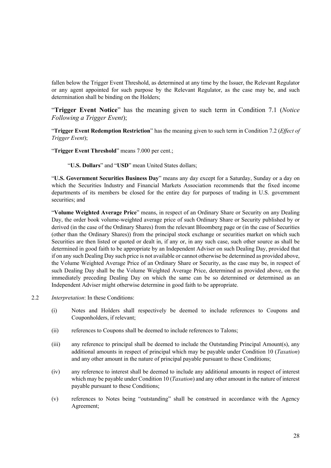fallen below the Trigger Event Threshold, as determined at any time by the Issuer, the Relevant Regulator or any agent appointed for such purpose by the Relevant Regulator, as the case may be, and such determination shall be binding on the Holders;

"**Trigger Event Notice**" has the meaning given to such term in Condition 7.1 (*Notice Following a Trigger Event*);

"**Trigger Event Redemption Restriction**" has the meaning given to such term in Condition 7.2 (*Effect of Trigger Event*);

"**Trigger Event Threshold**" means 7.000 per cent.;

"**U.S. Dollars**" and "**USD**" mean United States dollars;

"**U.S. Government Securities Business Day**" means any day except for a Saturday, Sunday or a day on which the Securities Industry and Financial Markets Association recommends that the fixed income departments of its members be closed for the entire day for purposes of trading in U.S. government securities; and

"**Volume Weighted Average Price**" means, in respect of an Ordinary Share or Security on any Dealing Day, the order book volume-weighted average price of such Ordinary Share or Security published by or derived (in the case of the Ordinary Shares) from the relevant Bloomberg page or (in the case of Securities (other than the Ordinary Shares)) from the principal stock exchange or securities market on which such Securities are then listed or quoted or dealt in, if any or, in any such case, such other source as shall be determined in good faith to be appropriate by an Independent Adviser on such Dealing Day, provided that if on any such Dealing Day such price is not available or cannot otherwise be determined as provided above, the Volume Weighted Average Price of an Ordinary Share or Security, as the case may be, in respect of such Dealing Day shall be the Volume Weighted Average Price, determined as provided above, on the immediately preceding Dealing Day on which the same can be so determined or determined as an Independent Adviser might otherwise determine in good faith to be appropriate.

- 2.2 *Interpretation*: In these Conditions:
	- (i) Notes and Holders shall respectively be deemed to include references to Coupons and Couponholders, if relevant;
	- (ii) references to Coupons shall be deemed to include references to Talons;
	- (iii) any reference to principal shall be deemed to include the Outstanding Principal Amount(s), any additional amounts in respect of principal which may be payable under Condition 10 (*Taxation*) and any other amount in the nature of principal payable pursuant to these Conditions;
	- (iv) any reference to interest shall be deemed to include any additional amounts in respect of interest which may be payable under Condition 10 (*Taxation*) and any other amount in the nature of interest payable pursuant to these Conditions;
	- (v) references to Notes being "outstanding" shall be construed in accordance with the Agency Agreement;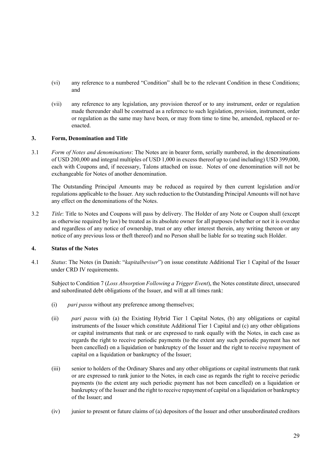- (vi) any reference to a numbered "Condition" shall be to the relevant Condition in these Conditions; and
- (vii) any reference to any legislation, any provision thereof or to any instrument, order or regulation made thereunder shall be construed as a reference to such legislation, provision, instrument, order or regulation as the same may have been, or may from time to time be, amended, replaced or reenacted.

#### **3. Form, Denomination and Title**

3.1 *Form of Notes and denominations*: The Notes are in bearer form, serially numbered, in the denominations of USD 200,000 and integral multiples of USD 1,000 in excess thereof up to (and including) USD 399,000, each with Coupons and, if necessary, Talons attached on issue. Notes of one denomination will not be exchangeable for Notes of another denomination.

The Outstanding Principal Amounts may be reduced as required by then current legislation and/or regulations applicable to the Issuer. Any such reduction to the Outstanding Principal Amounts will not have any effect on the denominations of the Notes.

3.2 *Title*: Title to Notes and Coupons will pass by delivery. The Holder of any Note or Coupon shall (except as otherwise required by law) be treated as its absolute owner for all purposes (whether or not it is overdue and regardless of any notice of ownership, trust or any other interest therein, any writing thereon or any notice of any previous loss or theft thereof) and no Person shall be liable for so treating such Holder.

#### **4. Status of the Notes**

4.1 *Status*: The Notes (in Danish: "*kapitalbeviser*") on issue constitute Additional Tier 1 Capital of the Issuer under CRD IV requirements.

Subject to Condition 7 (*Loss Absorption Following a Trigger Event*), the Notes constitute direct, unsecured and subordinated debt obligations of the Issuer, and will at all times rank:

- (i) *pari passu* without any preference among themselves;
- (ii) *pari passu* with (a) the Existing Hybrid Tier 1 Capital Notes, (b) any obligations or capital instruments of the Issuer which constitute Additional Tier 1 Capital and (c) any other obligations or capital instruments that rank or are expressed to rank equally with the Notes, in each case as regards the right to receive periodic payments (to the extent any such periodic payment has not been cancelled) on a liquidation or bankruptcy of the Issuer and the right to receive repayment of capital on a liquidation or bankruptcy of the Issuer;
- (iii) senior to holders of the Ordinary Shares and any other obligations or capital instruments that rank or are expressed to rank junior to the Notes, in each case as regards the right to receive periodic payments (to the extent any such periodic payment has not been cancelled) on a liquidation or bankruptcy of the Issuer and the right to receive repayment of capital on a liquidation or bankruptcy of the Issuer; and
- (iv) junior to present or future claims of (a) depositors of the Issuer and other unsubordinated creditors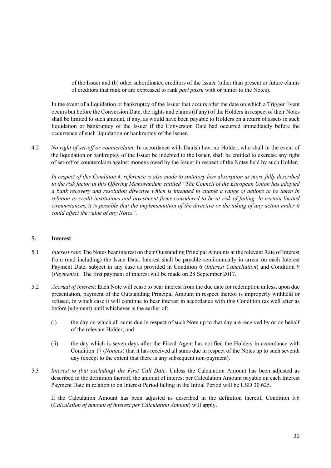of the Issuer and (b) other subordinated creditors of the Issuer (other than present or future claims of creditors that rank or are expressed to rank *pari passu* with or junior to the Notes).

In the event of a liquidation or bankruptcy of the Issuer that occurs after the date on which a Trigger Event occurs but before the Conversion Date, the rights and claims (if any) of the Holders in respect of their Notes shall be limited to such amount, if any, as would have been payable to Holders on a return of assets in such liquidation or bankruptcy of the Issuer if the Conversion Date had occurred immediately before the occurrence of such liquidation or bankruptcy of the Issuer.

4.2 *No right of set-off or counterclaim*: In accordance with Danish law, no Holder, who shall in the event of the liquidation or bankruptcy of the Issuer be indebted to the Issuer, shall be entitled to exercise any right of set-off or counterclaim against moneys owed by the Issuer in respect of the Notes held by such Holder.

*In respect of this Condition 4, reference is also made to statutory loss absorption as more fully described in the risk factor in this Offering Memorandum entitled "The Council of the European Union has adopted a bank recovery and resolution directive which is intended to enable a range of actions to be taken in relation to credit institutions and investment firms considered to be at risk of failing. In certain limited circumstances, it is possible that the implementation of the directive or the taking of any action under it could affect the value of any Notes".* 

#### **5. Interest**

- 5.1 *Interest rate*: The Notes bear interest on their Outstanding Principal Amounts at the relevant Rate of Interest from (and including) the Issue Date. Interest shall be payable semi-annually in arrear on each Interest Payment Date, subject in any case as provided in Condition 6 (*Interest Cancellation*) and Condition 9 (*Payments*). The first payment of interest will be made on 28 September 2017.
- 5.2 *Accrual of interest*: Each Note will cease to bear interest from the due date for redemption unless, upon due presentation, payment of the Outstanding Principal Amount in respect thereof is improperly withheld or refused, in which case it will continue to bear interest in accordance with this Condition (as well after as before judgment) until whichever is the earlier of:
	- (i) the day on which all sums due in respect of such Note up to that day are received by or on behalf of the relevant Holder; and
	- (ii) the day which is seven days after the Fiscal Agent has notified the Holders in accordance with Condition 17 (*Notices*) that it has received all sums due in respect of the Notes up to such seventh day (except to the extent that there is any subsequent non-payment).
- 5.3 *Interest to (but excluding) the First Call Date*: Unless the Calculation Amount has been adjusted as described in the definition thereof, the amount of interest per Calculation Amount payable on each Interest Payment Date in relation to an Interest Period falling in the Initial Period will be USD 30.625.

If the Calculation Amount has been adjusted as described in the definition thereof, Condition 5.6 (*Calculation of amount of interest per Calculation Amount*) will apply.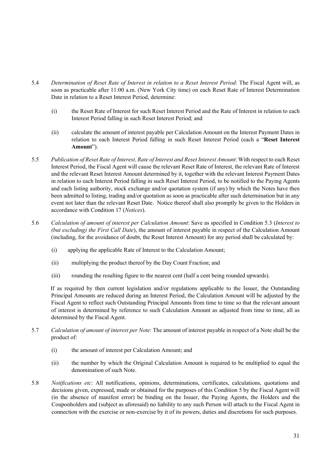- 5.4 *Determination of Reset Rate of Interest in relation to a Reset Interest Period*: The Fiscal Agent will, as soon as practicable after 11:00 a.m. (New York City time) on each Reset Rate of Interest Determination Date in relation to a Reset Interest Period, determine:
	- (i) the Reset Rate of Interest for such Reset Interest Period and the Rate of Interest in relation to each Interest Period falling in such Reset Interest Period; and
	- (ii) calculate the amount of interest payable per Calculation Amount on the Interest Payment Dates in relation to each Interest Period falling in such Reset Interest Period (each a "**Reset Interest Amount**").
- 5.5 *Publication of Reset Rate of Interest, Rate of Interest and Reset Interest Amount*: With respect to each Reset Interest Period, the Fiscal Agent will cause the relevant Reset Rate of Interest, the relevant Rate of Interest and the relevant Reset Interest Amount determined by it, together with the relevant Interest Payment Dates in relation to each Interest Period falling in such Reset Interest Period, to be notified to the Paying Agents and each listing authority, stock exchange and/or quotation system (if any) by which the Notes have then been admitted to listing, trading and/or quotation as soon as practicable after such determination but in any event not later than the relevant Reset Date. Notice thereof shall also promptly be given to the Holders in accordance with Condition 17 (*Notices*).
- 5.6 *Calculation of amount of interest per Calculation Amount*: Save as specified in Condition 5.3 (*Interest to (but excluding) the First Call Date*), the amount of interest payable in respect of the Calculation Amount (including, for the avoidance of doubt, the Reset Interest Amount) for any period shall be calculated by:
	- (i) applying the applicable Rate of Interest to the Calculation Amount;
	- (ii) multiplying the product thereof by the Day Count Fraction; and
	- (iii) rounding the resulting figure to the nearest cent (half a cent being rounded upwards).

If as required by then current legislation and/or regulations applicable to the Issuer, the Outstanding Principal Amounts are reduced during an Interest Period, the Calculation Amount will be adjusted by the Fiscal Agent to reflect such Outstanding Principal Amounts from time to time so that the relevant amount of interest is determined by reference to such Calculation Amount as adjusted from time to time, all as determined by the Fiscal Agent.

- 5.7 *Calculation of amount of interest per Note*: The amount of interest payable in respect of a Note shall be the product of:
	- (i) the amount of interest per Calculation Amount; and
	- (ii) the number by which the Original Calculation Amount is required to be multiplied to equal the denomination of such Note.
- 5.8 *Notifications etc*: All notifications, opinions, determinations, certificates, calculations, quotations and decisions given, expressed, made or obtained for the purposes of this Condition 5 by the Fiscal Agent will (in the absence of manifest error) be binding on the Issuer, the Paying Agents, the Holders and the Couponholders and (subject as aforesaid) no liability to any such Person will attach to the Fiscal Agent in connection with the exercise or non-exercise by it of its powers, duties and discretions for such purposes.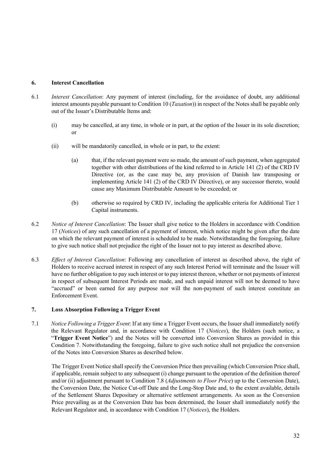### **6. Interest Cancellation**

- 6.1 *Interest Cancellation*: Any payment of interest (including, for the avoidance of doubt, any additional interest amounts payable pursuant to Condition 10 (*Taxation*)) in respect of the Notes shall be payable only out of the Issuer's Distributable Items and:
	- (i) may be cancelled, at any time, in whole or in part, at the option of the Issuer in its sole discretion; or
	- (ii) will be mandatorily cancelled, in whole or in part, to the extent:
		- (a) that, if the relevant payment were so made, the amount of such payment, when aggregated together with other distributions of the kind referred to in Article 141 (2) of the CRD IV Directive (or, as the case may be, any provision of Danish law transposing or implementing Article 141 (2) of the CRD IV Directive), or any successor thereto, would cause any Maximum Distributable Amount to be exceeded; or
		- (b) otherwise so required by CRD IV, including the applicable criteria for Additional Tier 1 Capital instruments.
- 6.2 *Notice of Interest Cancellation*: The Issuer shall give notice to the Holders in accordance with Condition 17 (*Notices*) of any such cancellation of a payment of interest, which notice might be given after the date on which the relevant payment of interest is scheduled to be made. Notwithstanding the foregoing, failure to give such notice shall not prejudice the right of the Issuer not to pay interest as described above.
- 6.3 *Effect of Interest Cancellation*: Following any cancellation of interest as described above, the right of Holders to receive accrued interest in respect of any such Interest Period will terminate and the Issuer will have no further obligation to pay such interest or to pay interest thereon, whether or not payments of interest in respect of subsequent Interest Periods are made, and such unpaid interest will not be deemed to have "accrued" or been earned for any purpose nor will the non-payment of such interest constitute an Enforcement Event.

#### **7. Loss Absorption Following a Trigger Event**

7.1 *Notice Following a Trigger Event*: If at any time a Trigger Event occurs, the Issuer shall immediately notify the Relevant Regulator and, in accordance with Condition 17 (*Notices*), the Holders (such notice, a "**Trigger Event Notice**") and the Notes will be converted into Conversion Shares as provided in this Condition 7. Notwithstanding the foregoing, failure to give such notice shall not prejudice the conversion of the Notes into Conversion Shares as described below.

The Trigger Event Notice shall specify the Conversion Price then prevailing (which Conversion Price shall, if applicable, remain subject to any subsequent (i) change pursuant to the operation of the definition thereof and/or (ii) adjustment pursuant to Condition 7.8 (*Adjustments to Floor Price*) up to the Conversion Date), the Conversion Date, the Notice Cut-off Date and the Long-Stop Date and, to the extent available, details of the Settlement Shares Depositary or alternative settlement arrangements. As soon as the Conversion Price prevailing as at the Conversion Date has been determined, the Issuer shall immediately notify the Relevant Regulator and, in accordance with Condition 17 (*Notices*), the Holders.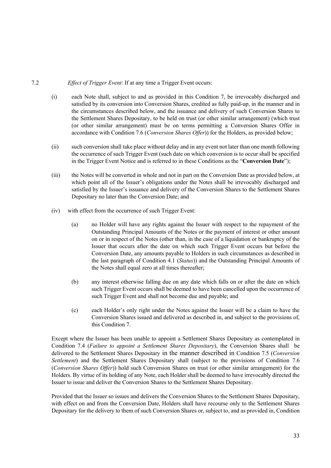### 7.2 *Effect of Trigger Event*: If at any time a Trigger Event occurs:

- (i) each Note shall, subject to and as provided in this Condition 7, be irrevocably discharged and satisfied by its conversion into Conversion Shares, credited as fully paid-up, in the manner and in the circumstances described below, and the issuance and delivery of such Conversion Shares to the Settlement Shares Depositary, to be held on trust (or other similar arrangement) (which trust (or other similar arrangement) must be on terms permitting a Conversion Shares Offer in accordance with Condition 7.6 (*Conversion Shares Offer*)) for the Holders, as provided below;
- (ii) such conversion shall take place without delay and in any event not later than one month following the occurrence of such Trigger Event (such date on which conversion is to occur shall be specified in the Trigger Event Notice and is referred to in these Conditions as the "**Conversion Date**");
- (iii) the Notes will be converted in whole and not in part on the Conversion Date as provided below, at which point all of the Issuer's obligations under the Notes shall be irrevocably discharged and satisfied by the Issuer's issuance and delivery of the Conversion Shares to the Settlement Shares Depositary no later than the Conversion Date; and
- (iv) with effect from the occurrence of such Trigger Event:
	- (a) no Holder will have any rights against the Issuer with respect to the repayment of the Outstanding Principal Amounts of the Notes or the payment of interest or other amount on or in respect of the Notes (other than, in the case of a liquidation or bankruptcy of the Issuer that occurs after the date on which such Trigger Event occurs but before the Conversion Date, any amounts payable to Holders in such circumstances as described in the last paragraph of Condition 4.1 (*Status*)) and the Outstanding Principal Amounts of the Notes shall equal zero at all times thereafter;
	- (b) any interest otherwise falling due on any date which falls on or after the date on which such Trigger Event occurs shall be deemed to have been cancelled upon the occurrence of such Trigger Event and shall not become due and payable; and
	- (c) each Holder's only right under the Notes against the Issuer will be a claim to have the Conversion Shares issued and delivered as described in, and subject to the provisions of, this Condition 7.

Except where the Issuer has been unable to appoint a Settlement Shares Depositary as contemplated in Condition 7.4 (*Failure to appoint a Settlement Shares Depositary*), the Conversion Shares shall be delivered to the Settlement Shares Depositary in the manner described in Condition 7.5 (*Conversion Settlement*) and the Settlement Shares Depositary shall (subject to the provisions of Condition 7.6 (*Conversion Shares Offer*)) hold such Conversion Shares on trust (or other similar arrangement) for the Holders. By virtue of its holding of any Note, each Holder shall be deemed to have irrevocably directed the Issuer to issue and deliver the Conversion Shares to the Settlement Shares Depositary.

Provided that the Issuer so issues and delivers the Conversion Shares to the Settlement Shares Depositary, with effect on and from the Conversion Date, Holders shall have recourse only to the Settlement Shares Depositary for the delivery to them of such Conversion Shares or, subject to, and as provided in, Condition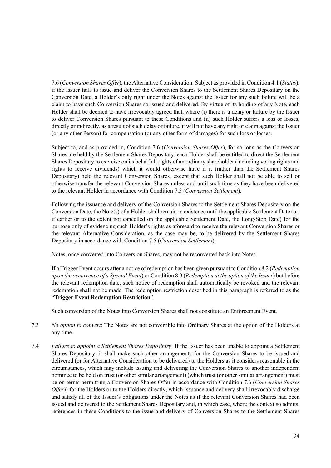7.6 (*Conversion Shares Offer*), the Alternative Consideration. Subject as provided in Condition 4.1 (*Status*), if the Issuer fails to issue and deliver the Conversion Shares to the Settlement Shares Depositary on the Conversion Date, a Holder's only right under the Notes against the Issuer for any such failure will be a claim to have such Conversion Shares so issued and delivered. By virtue of its holding of any Note, each Holder shall be deemed to have irrevocably agreed that, where (i) there is a delay or failure by the Issuer to deliver Conversion Shares pursuant to these Conditions and (ii) such Holder suffers a loss or losses, directly or indirectly, as a result of such delay or failure, it will not have any right or claim against the Issuer (or any other Person) for compensation (or any other form of damages) for such loss or losses.

Subject to, and as provided in, Condition 7.6 (*Conversion Shares Offer*), for so long as the Conversion Shares are held by the Settlement Shares Depositary, each Holder shall be entitled to direct the Settlement Shares Depositary to exercise on its behalf all rights of an ordinary shareholder (including voting rights and rights to receive dividends) which it would otherwise have if it (rather than the Settlement Shares Depositary) held the relevant Conversion Shares, except that such Holder shall not be able to sell or otherwise transfer the relevant Conversion Shares unless and until such time as they have been delivered to the relevant Holder in accordance with Condition 7.5 (*Conversion Settlement*).

Following the issuance and delivery of the Conversion Shares to the Settlement Shares Depositary on the Conversion Date, the Note(s) of a Holder shall remain in existence until the applicable Settlement Date (or, if earlier or to the extent not cancelled on the applicable Settlement Date, the Long-Stop Date) for the purpose only of evidencing such Holder's rights as aforesaid to receive the relevant Conversion Shares or the relevant Alternative Consideration, as the case may be, to be delivered by the Settlement Shares Depositary in accordance with Condition 7.5 (*Conversion Settlement*).

Notes, once converted into Conversion Shares, may not be reconverted back into Notes.

If a Trigger Event occurs after a notice of redemption has been given pursuant to Condition 8.2 (*Redemption upon the occurrence of a Special Event*) or Condition 8.3 (*Redemption at the option of the Issuer*) but before the relevant redemption date, such notice of redemption shall automatically be revoked and the relevant redemption shall not be made. The redemption restriction described in this paragraph is referred to as the "**Trigger Event Redemption Restriction**".

Such conversion of the Notes into Conversion Shares shall not constitute an Enforcement Event.

- 7.3 *No option to convert*: The Notes are not convertible into Ordinary Shares at the option of the Holders at any time.
- 7.4 *Failure to appoint a Settlement Shares Depositary*: If the Issuer has been unable to appoint a Settlement Shares Depositary, it shall make such other arrangements for the Conversion Shares to be issued and delivered (or for Alternative Consideration to be delivered) to the Holders as it considers reasonable in the circumstances, which may include issuing and delivering the Conversion Shares to another independent nominee to be held on trust (or other similar arrangement) (which trust (or other similar arrangement) must be on terms permitting a Conversion Shares Offer in accordance with Condition 7.6 (*Conversion Shares Offer*)) for the Holders or to the Holders directly, which issuance and delivery shall irrevocably discharge and satisfy all of the Issuer's obligations under the Notes as if the relevant Conversion Shares had been issued and delivered to the Settlement Shares Depositary and, in which case, where the context so admits, references in these Conditions to the issue and delivery of Conversion Shares to the Settlement Shares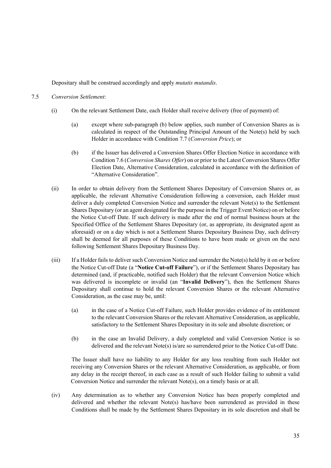Depositary shall be construed accordingly and apply *mutatis mutandis*.

#### 7.5 *Conversion Settlement*:

- (i) On the relevant Settlement Date, each Holder shall receive delivery (free of payment) of:
	- (a) except where sub-paragraph (b) below applies, such number of Conversion Shares as is calculated in respect of the Outstanding Principal Amount of the Note(s) held by such Holder in accordance with Condition 7.7 (*Conversion Price*); or
	- (b) if the Issuer has delivered a Conversion Shares Offer Election Notice in accordance with Condition 7.6 (*Conversion Shares Offer*) on or prior to the Latest Conversion Shares Offer Election Date, Alternative Consideration, calculated in accordance with the definition of "Alternative Consideration".
- (ii) In order to obtain delivery from the Settlement Shares Depositary of Conversion Shares or, as applicable, the relevant Alternative Consideration following a conversion, each Holder must deliver a duly completed Conversion Notice and surrender the relevant Note(s) to the Settlement Shares Depositary (or an agent designated for the purpose in the Trigger Event Notice) on or before the Notice Cut-off Date. If such delivery is made after the end of normal business hours at the Specified Office of the Settlement Shares Depositary (or, as appropriate, its designated agent as aforesaid) or on a day which is not a Settlement Shares Depositary Business Day, such delivery shall be deemed for all purposes of these Conditions to have been made or given on the next following Settlement Shares Depositary Business Day.
- (iii) If a Holder fails to deliver such Conversion Notice and surrender the Note(s) held by it on or before the Notice Cut-off Date (a "**Notice Cut-off Failure**"), or if the Settlement Shares Depositary has determined (and, if practicable, notified such Holder) that the relevant Conversion Notice which was delivered is incomplete or invalid (an "**Invalid Delivery**"), then the Settlement Shares Depositary shall continue to hold the relevant Conversion Shares or the relevant Alternative Consideration, as the case may be, until:
	- (a) in the case of a Notice Cut-off Failure, such Holder provides evidence of its entitlement to the relevant Conversion Shares or the relevant Alternative Consideration, as applicable, satisfactory to the Settlement Shares Depositary in its sole and absolute discretion; or
	- (b) in the case an Invalid Delivery, a duly completed and valid Conversion Notice is so delivered and the relevant Note(s) is/are so surrendered prior to the Notice Cut-off Date.

The Issuer shall have no liability to any Holder for any loss resulting from such Holder not receiving any Conversion Shares or the relevant Alternative Consideration, as applicable, or from any delay in the receipt thereof, in each case as a result of such Holder failing to submit a valid Conversion Notice and surrender the relevant Note(s), on a timely basis or at all.

(iv) Any determination as to whether any Conversion Notice has been properly completed and delivered and whether the relevant Note(s) has/have been surrendered as provided in these Conditions shall be made by the Settlement Shares Depositary in its sole discretion and shall be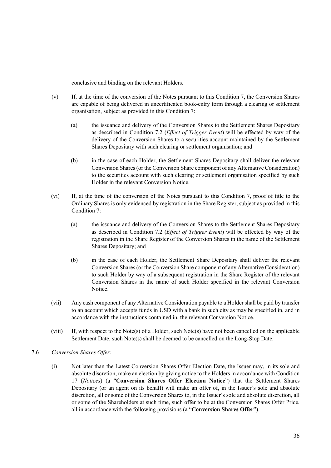conclusive and binding on the relevant Holders.

- (v) If, at the time of the conversion of the Notes pursuant to this Condition 7, the Conversion Shares are capable of being delivered in uncertificated book-entry form through a clearing or settlement organisation, subject as provided in this Condition 7:
	- (a) the issuance and delivery of the Conversion Shares to the Settlement Shares Depositary as described in Condition 7.2 (*Effect of Trigger Event*) will be effected by way of the delivery of the Conversion Shares to a securities account maintained by the Settlement Shares Depositary with such clearing or settlement organisation; and
	- (b) in the case of each Holder, the Settlement Shares Depositary shall deliver the relevant Conversion Shares (or the Conversion Share component of any Alternative Consideration) to the securities account with such clearing or settlement organisation specified by such Holder in the relevant Conversion Notice.
- (vi) If, at the time of the conversion of the Notes pursuant to this Condition 7, proof of title to the Ordinary Shares is only evidenced by registration in the Share Register, subject as provided in this Condition 7:
	- (a) the issuance and delivery of the Conversion Shares to the Settlement Shares Depositary as described in Condition 7.2 (*Effect of Trigger Event*) will be effected by way of the registration in the Share Register of the Conversion Shares in the name of the Settlement Shares Depositary; and
	- (b) in the case of each Holder, the Settlement Share Depositary shall deliver the relevant Conversion Shares (or the Conversion Share component of any Alternative Consideration) to such Holder by way of a subsequent registration in the Share Register of the relevant Conversion Shares in the name of such Holder specified in the relevant Conversion Notice.
- (vii) Any cash component of any Alternative Consideration payable to a Holder shall be paid by transfer to an account which accepts funds in USD with a bank in such city as may be specified in, and in accordance with the instructions contained in, the relevant Conversion Notice.
- (viii) If, with respect to the Note(s) of a Holder, such Note(s) have not been cancelled on the applicable Settlement Date, such Note(s) shall be deemed to be cancelled on the Long-Stop Date.
- 7.6 *Conversion Shares Offer:* 
	- (i) Not later than the Latest Conversion Shares Offer Election Date, the Issuer may, in its sole and absolute discretion, make an election by giving notice to the Holders in accordance with Condition 17 (*Notices*) (a "**Conversion Shares Offer Election Notice**") that the Settlement Shares Depositary (or an agent on its behalf) will make an offer of, in the Issuer's sole and absolute discretion, all or some of the Conversion Shares to, in the Issuer's sole and absolute discretion, all or some of the Shareholders at such time, such offer to be at the Conversion Shares Offer Price, all in accordance with the following provisions (a "**Conversion Shares Offer**").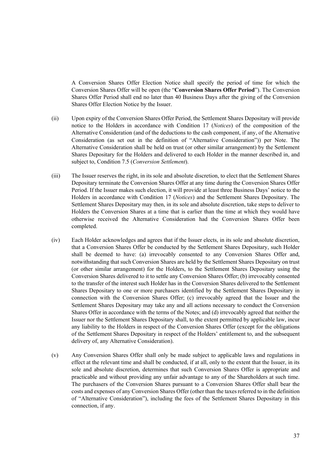A Conversion Shares Offer Election Notice shall specify the period of time for which the Conversion Shares Offer will be open (the "**Conversion Shares Offer Period**"). The Conversion Shares Offer Period shall end no later than 40 Business Days after the giving of the Conversion Shares Offer Election Notice by the Issuer.

- (ii) Upon expiry of the Conversion Shares Offer Period, the Settlement Shares Depositary will provide notice to the Holders in accordance with Condition 17 (*Notices*) of the composition of the Alternative Consideration (and of the deductions to the cash component, if any, of the Alternative Consideration (as set out in the definition of "Alternative Consideration")) per Note. The Alternative Consideration shall be held on trust (or other similar arrangement) by the Settlement Shares Depositary for the Holders and delivered to each Holder in the manner described in, and subject to, Condition 7.5 (*Conversion Settlement*).
- (iii) The Issuer reserves the right, in its sole and absolute discretion, to elect that the Settlement Shares Depositary terminate the Conversion Shares Offer at any time during the Conversion Shares Offer Period. If the Issuer makes such election, it will provide at least three Business Days' notice to the Holders in accordance with Condition 17 (*Notices*) and the Settlement Shares Depositary. The Settlement Shares Depositary may then, in its sole and absolute discretion, take steps to deliver to Holders the Conversion Shares at a time that is earlier than the time at which they would have otherwise received the Alternative Consideration had the Conversion Shares Offer been completed.
- (iv) Each Holder acknowledges and agrees that if the Issuer elects, in its sole and absolute discretion, that a Conversion Shares Offer be conducted by the Settlement Shares Depositary, such Holder shall be deemed to have: (a) irrevocably consented to any Conversion Shares Offer and, notwithstanding that such Conversion Shares are held by the Settlement Shares Depositary on trust (or other similar arrangement) for the Holders, to the Settlement Shares Depositary using the Conversion Shares delivered to it to settle any Conversion Shares Offer; (b) irrevocably consented to the transfer of the interest such Holder has in the Conversion Shares delivered to the Settlement Shares Depositary to one or more purchasers identified by the Settlement Shares Depositary in connection with the Conversion Shares Offer; (c) irrevocably agreed that the Issuer and the Settlement Shares Depositary may take any and all actions necessary to conduct the Conversion Shares Offer in accordance with the terms of the Notes; and (d) irrevocably agreed that neither the Issuer nor the Settlement Shares Depositary shall, to the extent permitted by applicable law, incur any liability to the Holders in respect of the Conversion Shares Offer (except for the obligations of the Settlement Shares Depositary in respect of the Holders' entitlement to, and the subsequent delivery of, any Alternative Consideration).
- (v) Any Conversion Shares Offer shall only be made subject to applicable laws and regulations in effect at the relevant time and shall be conducted, if at all, only to the extent that the Issuer, in its sole and absolute discretion, determines that such Conversion Shares Offer is appropriate and practicable and without providing any unfair advantage to any of the Shareholders at such time. The purchasers of the Conversion Shares pursuant to a Conversion Shares Offer shall bear the costs and expenses of any Conversion Shares Offer (other than the taxes referred to in the definition of "Alternative Consideration"), including the fees of the Settlement Shares Depositary in this connection, if any.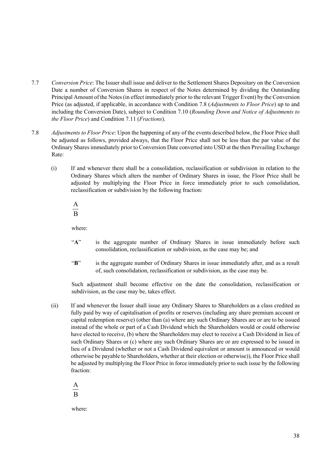- 7.7 *Conversion Price*: The Issuer shall issue and deliver to the Settlement Shares Depositary on the Conversion Date a number of Conversion Shares in respect of the Notes determined by dividing the Outstanding Principal Amount of the Notes (in effect immediately prior to the relevant Trigger Event) by the Conversion Price (as adjusted, if applicable, in accordance with Condition 7.8 (*Adjustments to Floor Price*) up to and including the Conversion Date), subject to Condition 7.10 (*Rounding Down and Notice of Adjustments to the Floor Price*) and Condition 7.11 (*Fractions*).
- 7.8 *Adjustments to Floor Price*: Upon the happening of any of the events described below, the Floor Price shall be adjusted as follows, provided always, that the Floor Price shall not be less than the par value of the Ordinary Shares immediately prior to Conversion Date converted into USD at the then Prevailing Exchange Rate:
	- (i) If and whenever there shall be a consolidation, reclassification or subdivision in relation to the Ordinary Shares which alters the number of Ordinary Shares in issue, the Floor Price shall be adjusted by multiplying the Floor Price in force immediately prior to such consolidation, reclassification or subdivision by the following fraction:

 $\overline{B}$ A

where:

- "A" is the aggregate number of Ordinary Shares in issue immediately before such consolidation, reclassification or subdivision, as the case may be; and
- "**B**" is the aggregate number of Ordinary Shares in issue immediately after, and as a result of, such consolidation, reclassification or subdivision, as the case may be.

Such adjustment shall become effective on the date the consolidation, reclassification or subdivision, as the case may be, takes effect.

(ii) If and whenever the Issuer shall issue any Ordinary Shares to Shareholders as a class credited as fully paid by way of capitalisation of profits or reserves (including any share premium account or capital redemption reserve) (other than (a) where any such Ordinary Shares are or are to be issued instead of the whole or part of a Cash Dividend which the Shareholders would or could otherwise have elected to receive, (b) where the Shareholders may elect to receive a Cash Dividend in lieu of such Ordinary Shares or (c) where any such Ordinary Shares are or are expressed to be issued in lieu of a Dividend (whether or not a Cash Dividend equivalent or amount is announced or would otherwise be payable to Shareholders, whether at their election or otherwise)), the Floor Price shall be adjusted by multiplying the Floor Price in force immediately prior to such issue by the following fraction:

B A

where: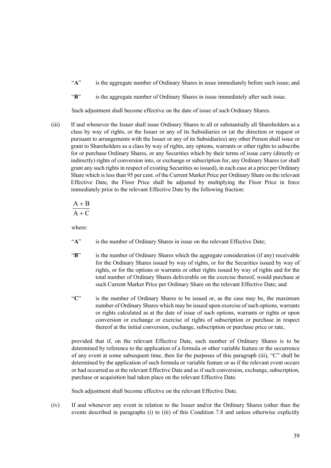- "A" is the aggregate number of Ordinary Shares in issue immediately before such issue; and
- "**B**" is the aggregate number of Ordinary Shares in issue immediately after such issue.

Such adjustment shall become effective on the date of issue of such Ordinary Shares.

(iii) If and whenever the Issuer shall issue Ordinary Shares to all or substantially all Shareholders as a class by way of rights, or the Issuer or any of its Subsidiaries or (at the direction or request or pursuant to arrangements with the Issuer or any of its Subsidiaries) any other Person shall issue or grant to Shareholders as a class by way of rights, any options, warrants or other rights to subscribe for or purchase Ordinary Shares, or any Securities which by their terms of issue carry (directly or indirectly) rights of conversion into, or exchange or subscription for, any Ordinary Shares (or shall grant any such rights in respect of existing Securities so issued), in each case at a price per Ordinary Share which is less than 95 per cent. of the Current Market Price per Ordinary Share on the relevant Effective Date, the Floor Price shall be adjusted by multiplying the Floor Price in force immediately prior to the relevant Effective Date by the following fraction:

$$
\frac{A+B}{A+C}
$$

where:

- "**A**" is the number of Ordinary Shares in issue on the relevant Effective Date;
- "**B**" is the number of Ordinary Shares which the aggregate consideration (if any) receivable for the Ordinary Shares issued by way of rights, or for the Securities issued by way of rights, or for the options or warrants or other rights issued by way of rights and for the total number of Ordinary Shares deliverable on the exercise thereof, would purchase at such Current Market Price per Ordinary Share on the relevant Effective Date; and
- "**C**" is the number of Ordinary Shares to be issued or, as the case may be, the maximum number of Ordinary Shares which may be issued upon exercise of such options, warrants or rights calculated as at the date of issue of such options, warrants or rights or upon conversion or exchange or exercise of rights of subscription or purchase in respect thereof at the initial conversion, exchange, subscription or purchase price or rate,

provided that if, on the relevant Effective Date, such number of Ordinary Shares is to be determined by reference to the application of a formula or other variable feature or the occurrence of any event at some subsequent time, then for the purposes of this paragraph (iii), "C" shall be determined by the application of such formula or variable feature or as if the relevant event occurs or had occurred as at the relevant Effective Date and as if such conversion, exchange, subscription, purchase or acquisition had taken place on the relevant Effective Date.

Such adjustment shall become effective on the relevant Effective Date.

(iv) If and whenever any event in relation to the Issuer and/or the Ordinary Shares (other than the events described in paragraphs (i) to (iii) of this Condition 7.8 and unless otherwise explicitly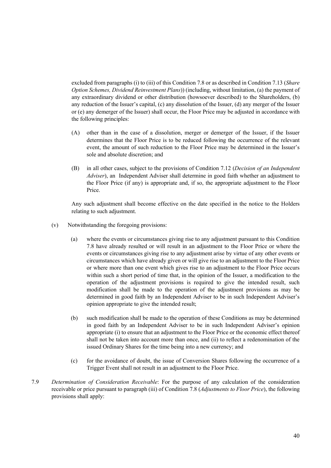excluded from paragraphs (i) to (iii) of this Condition 7.8 or as described in Condition 7.13 (*Share Option Schemes, Dividend Reinvestment Plans*)) (including, without limitation, (a) the payment of any extraordinary dividend or other distribution (howsoever described) to the Shareholders, (b) any reduction of the Issuer's capital, (c) any dissolution of the Issuer, (d) any merger of the Issuer or (e) any demerger of the Issuer) shall occur, the Floor Price may be adjusted in accordance with the following principles:

- (A) other than in the case of a dissolution, merger or demerger of the Issuer, if the Issuer determines that the Floor Price is to be reduced following the occurrence of the relevant event, the amount of such reduction to the Floor Price may be determined in the Issuer's sole and absolute discretion; and
- (B) in all other cases, subject to the provisions of Condition 7.12 (*Decision of an Independent Adviser*), an Independent Adviser shall determine in good faith whether an adjustment to the Floor Price (if any) is appropriate and, if so, the appropriate adjustment to the Floor Price.

Any such adjustment shall become effective on the date specified in the notice to the Holders relating to such adjustment.

- (v) Notwithstanding the foregoing provisions:
	- (a) where the events or circumstances giving rise to any adjustment pursuant to this Condition 7.8 have already resulted or will result in an adjustment to the Floor Price or where the events or circumstances giving rise to any adjustment arise by virtue of any other events or circumstances which have already given or will give rise to an adjustment to the Floor Price or where more than one event which gives rise to an adjustment to the Floor Price occurs within such a short period of time that, in the opinion of the Issuer, a modification to the operation of the adjustment provisions is required to give the intended result, such modification shall be made to the operation of the adjustment provisions as may be determined in good faith by an Independent Adviser to be in such Independent Adviser's opinion appropriate to give the intended result;
	- (b) such modification shall be made to the operation of these Conditions as may be determined in good faith by an Independent Adviser to be in such Independent Adviser's opinion appropriate (i) to ensure that an adjustment to the Floor Price or the economic effect thereof shall not be taken into account more than once, and (ii) to reflect a redenomination of the issued Ordinary Shares for the time being into a new currency; and
	- (c) for the avoidance of doubt, the issue of Conversion Shares following the occurrence of a Trigger Event shall not result in an adjustment to the Floor Price.
- 7.9 *Determination of Consideration Receivable*: For the purpose of any calculation of the consideration receivable or price pursuant to paragraph (iii) of Condition 7.8 (*Adjustments to Floor Price*), the following provisions shall apply: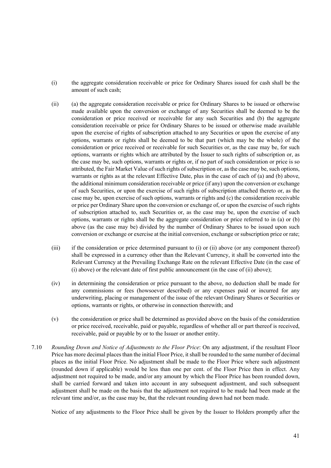- (i) the aggregate consideration receivable or price for Ordinary Shares issued for cash shall be the amount of such cash;
- (ii) (a) the aggregate consideration receivable or price for Ordinary Shares to be issued or otherwise made available upon the conversion or exchange of any Securities shall be deemed to be the consideration or price received or receivable for any such Securities and (b) the aggregate consideration receivable or price for Ordinary Shares to be issued or otherwise made available upon the exercise of rights of subscription attached to any Securities or upon the exercise of any options, warrants or rights shall be deemed to be that part (which may be the whole) of the consideration or price received or receivable for such Securities or, as the case may be, for such options, warrants or rights which are attributed by the Issuer to such rights of subscription or, as the case may be, such options, warrants or rights or, if no part of such consideration or price is so attributed, the Fair Market Value of such rights of subscription or, as the case may be, such options, warrants or rights as at the relevant Effective Date, plus in the case of each of (a) and (b) above, the additional minimum consideration receivable or price (if any) upon the conversion or exchange of such Securities, or upon the exercise of such rights of subscription attached thereto or, as the case may be, upon exercise of such options, warrants or rights and (c) the consideration receivable or price per Ordinary Share upon the conversion or exchange of, or upon the exercise of such rights of subscription attached to, such Securities or, as the case may be, upon the exercise of such options, warrants or rights shall be the aggregate consideration or price referred to in (a) or (b) above (as the case may be) divided by the number of Ordinary Shares to be issued upon such conversion or exchange or exercise at the initial conversion, exchange or subscription price or rate;
- (iii) if the consideration or price determined pursuant to (i) or (ii) above (or any component thereof) shall be expressed in a currency other than the Relevant Currency, it shall be converted into the Relevant Currency at the Prevailing Exchange Rate on the relevant Effective Date (in the case of (i) above) or the relevant date of first public announcement (in the case of (ii) above);
- (iv) in determining the consideration or price pursuant to the above, no deduction shall be made for any commissions or fees (howsoever described) or any expenses paid or incurred for any underwriting, placing or management of the issue of the relevant Ordinary Shares or Securities or options, warrants or rights, or otherwise in connection therewith; and
- (v) the consideration or price shall be determined as provided above on the basis of the consideration or price received, receivable, paid or payable, regardless of whether all or part thereof is received, receivable, paid or payable by or to the Issuer or another entity.
- 7.10 *Rounding Down and Notice of Adjustments to the Floor Price*: On any adjustment, if the resultant Floor Price has more decimal places than the initial Floor Price, it shall be rounded to the same number of decimal places as the initial Floor Price. No adjustment shall be made to the Floor Price where such adjustment (rounded down if applicable) would be less than one per cent. of the Floor Price then in effect. Any adjustment not required to be made, and/or any amount by which the Floor Price has been rounded down, shall be carried forward and taken into account in any subsequent adjustment, and such subsequent adjustment shall be made on the basis that the adjustment not required to be made had been made at the relevant time and/or, as the case may be, that the relevant rounding down had not been made.

Notice of any adjustments to the Floor Price shall be given by the Issuer to Holders promptly after the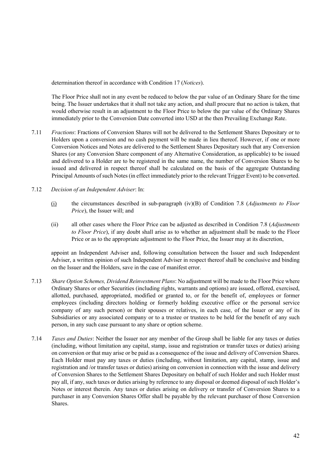determination thereof in accordance with Condition 17 (*Notices*).

The Floor Price shall not in any event be reduced to below the par value of an Ordinary Share for the time being. The Issuer undertakes that it shall not take any action, and shall procure that no action is taken, that would otherwise result in an adjustment to the Floor Price to below the par value of the Ordinary Shares immediately prior to the Conversion Date converted into USD at the then Prevailing Exchange Rate.

- 7.11 *Fractions*: Fractions of Conversion Shares will not be delivered to the Settlement Shares Depositary or to Holders upon a conversion and no cash payment will be made in lieu thereof. However, if one or more Conversion Notices and Notes are delivered to the Settlement Shares Depositary such that any Conversion Shares (or any Conversion Share component of any Alternative Consideration, as applicable) to be issued and delivered to a Holder are to be registered in the same name, the number of Conversion Shares to be issued and delivered in respect thereof shall be calculated on the basis of the aggregate Outstanding Principal Amounts of such Notes (in effect immediately prior to the relevant Trigger Event) to be converted.
- 7.12 *Decision of an Independent Adviser*: In:
	- (i) the circumstances described in sub-paragraph (iv)(B) of Condition 7.8 (*Adjustments to Floor Price*), the Issuer will; and
	- (ii) all other cases where the Floor Price can be adjusted as described in Condition 7.8 (*Adjustments to Floor Price*), if any doubt shall arise as to whether an adjustment shall be made to the Floor Price or as to the appropriate adjustment to the Floor Price, the Issuer may at its discretion,

appoint an Independent Adviser and, following consultation between the Issuer and such Independent Adviser, a written opinion of such Independent Adviser in respect thereof shall be conclusive and binding on the Issuer and the Holders, save in the case of manifest error.

- 7.13 *Share Option Schemes, Dividend Reinvestment Plans*: No adjustment will be made to the Floor Price where Ordinary Shares or other Securities (including rights, warrants and options) are issued, offered, exercised, allotted, purchased, appropriated, modified or granted to, or for the benefit of, employees or former employees (including directors holding or formerly holding executive office or the personal service company of any such person) or their spouses or relatives, in each case, of the Issuer or any of its Subsidiaries or any associated company or to a trustee or trustees to be held for the benefit of any such person, in any such case pursuant to any share or option scheme.
- 7.14 *Taxes and Duties*: Neither the Issuer nor any member of the Group shall be liable for any taxes or duties (including, without limitation any capital, stamp, issue and registration or transfer taxes or duties) arising on conversion or that may arise or be paid as a consequence of the issue and delivery of Conversion Shares. Each Holder must pay any taxes or duties (including, without limitation, any capital, stamp, issue and registration and /or transfer taxes or duties) arising on conversion in connection with the issue and delivery of Conversion Shares to the Settlement Shares Depositary on behalf of such Holder and such Holder must pay all, if any, such taxes or duties arising by reference to any disposal or deemed disposal of such Holder's Notes or interest therein. Any taxes or duties arising on delivery or transfer of Conversion Shares to a purchaser in any Conversion Shares Offer shall be payable by the relevant purchaser of those Conversion Shares.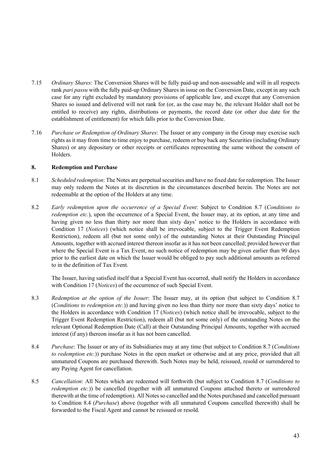- 7.15 *Ordinary Shares*: The Conversion Shares will be fully paid-up and non-assessable and will in all respects rank *pari passu* with the fully paid-up Ordinary Shares in issue on the Conversion Date, except in any such case for any right excluded by mandatory provisions of applicable law, and except that any Conversion Shares so issued and delivered will not rank for (or, as the case may be, the relevant Holder shall not be entitled to receive) any rights, distributions or payments, the record date (or other due date for the establishment of entitlement) for which falls prior to the Conversion Date.
- 7.16 *Purchase or Redemption of Ordinary Shares*: The Issuer or any company in the Group may exercise such rights as it may from time to time enjoy to purchase, redeem or buy back any Securities (including Ordinary Shares) or any depositary or other receipts or certificates representing the same without the consent of Holders.

## **8. Redemption and Purchase**

- 8.1 *Scheduled redemption*: The Notes are perpetual securities and have no fixed date for redemption. The Issuer may only redeem the Notes at its discretion in the circumstances described herein. The Notes are not redeemable at the option of the Holders at any time.
- 8.2 *Early redemption upon the occurrence of a Special Event*: Subject to Condition 8.7 (*Conditions to redemption etc.*), upon the occurrence of a Special Event, the Issuer may, at its option, at any time and having given no less than thirty nor more than sixty days' notice to the Holders in accordance with Condition 17 (*Notices*) (which notice shall be irrevocable, subject to the Trigger Event Redemption Restriction), redeem all (but not some only) of the outstanding Notes at their Outstanding Principal Amounts, together with accrued interest thereon insofar as it has not been cancelled; provided however that where the Special Event is a Tax Event, no such notice of redemption may be given earlier than 90 days prior to the earliest date on which the Issuer would be obliged to pay such additional amounts as referred to in the definition of Tax Event.

The Issuer, having satisfied itself that a Special Event has occurred, shall notify the Holders in accordance with Condition 17 (*Notices*) of the occurrence of such Special Event.

- 8.3 *Redemption at the option of the Issuer*: The Issuer may, at its option (but subject to Condition 8.7 (*Conditions to redemption etc.*)) and having given no less than thirty nor more than sixty days' notice to the Holders in accordance with Condition 17 (*Notices*) (which notice shall be irrevocable, subject to the Trigger Event Redemption Restriction), redeem all (but not some only) of the outstanding Notes on the relevant Optional Redemption Date (Call) at their Outstanding Principal Amounts, together with accrued interest (if any) thereon insofar as it has not been cancelled.
- 8.4 *Purchase*: The Issuer or any of its Subsidiaries may at any time (but subject to Condition 8.7 (*Conditions to redemption etc.*)) purchase Notes in the open market or otherwise and at any price, provided that all unmatured Coupons are purchased therewith. Such Notes may be held, reissued, resold or surrendered to any Paying Agent for cancellation.
- 8.5 *Cancellation*: All Notes which are redeemed will forthwith (but subject to Condition 8.7 (*Conditions to redemption etc.*)) be cancelled (together with all unmatured Coupons attached thereto or surrendered therewith at the time of redemption). All Notes so cancelled and the Notes purchased and cancelled pursuant to Condition 8.4 (*Purchase*) above (together with all unmatured Coupons cancelled therewith) shall be forwarded to the Fiscal Agent and cannot be reissued or resold.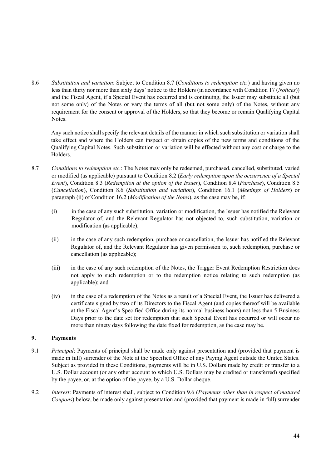8.6 *Substitution and variation*: Subject to Condition 8.7 (*Conditions to redemption etc.*) and having given no less than thirty nor more than sixty days' notice to the Holders (in accordance with Condition 17 (*Notices*)) and the Fiscal Agent, if a Special Event has occurred and is continuing, the Issuer may substitute all (but not some only) of the Notes or vary the terms of all (but not some only) of the Notes, without any requirement for the consent or approval of the Holders, so that they become or remain Qualifying Capital Notes.

Any such notice shall specify the relevant details of the manner in which such substitution or variation shall take effect and where the Holders can inspect or obtain copies of the new terms and conditions of the Qualifying Capital Notes. Such substitution or variation will be effected without any cost or charge to the Holders.

- 8.7 *Conditions to redemption etc.*: The Notes may only be redeemed, purchased, cancelled, substituted, varied or modified (as applicable) pursuant to Condition 8.2 (*Early redemption upon the occurrence of a Special Event*), Condition 8.3 (*Redemption at the option of the Issuer*), Condition 8.4 (*Purchase*), Condition 8.5 (*Cancellation*), Condition 8.6 (*Substitution and variation*), Condition 16.1 (*Meetings of Holders*) or paragraph (ii) of Condition 16.2 (*Modification of the Notes*), as the case may be, if:
	- (i) in the case of any such substitution, variation or modification, the Issuer has notified the Relevant Regulator of, and the Relevant Regulator has not objected to, such substitution, variation or modification (as applicable);
	- (ii) in the case of any such redemption, purchase or cancellation, the Issuer has notified the Relevant Regulator of, and the Relevant Regulator has given permission to, such redemption, purchase or cancellation (as applicable);
	- (iii) in the case of any such redemption of the Notes, the Trigger Event Redemption Restriction does not apply to such redemption or to the redemption notice relating to such redemption (as applicable); and
	- (iv) in the case of a redemption of the Notes as a result of a Special Event, the Issuer has delivered a certificate signed by two of its Directors to the Fiscal Agent (and copies thereof will be available at the Fiscal Agent's Specified Office during its normal business hours) not less than 5 Business Days prior to the date set for redemption that such Special Event has occurred or will occur no more than ninety days following the date fixed for redemption, as the case may be.

## **9. Payments**

- 9.1 *Principal*: Payments of principal shall be made only against presentation and (provided that payment is made in full) surrender of the Note at the Specified Office of any Paying Agent outside the United States. Subject as provided in these Conditions, payments will be in U.S. Dollars made by credit or transfer to a U.S. Dollar account (or any other account to which U.S. Dollars may be credited or transferred) specified by the payee, or, at the option of the payee, by a U.S. Dollar cheque.
- 9.2 *Interest*: Payments of interest shall, subject to Condition 9.6 (*Payments other than in respect of matured Coupons*) below, be made only against presentation and (provided that payment is made in full) surrender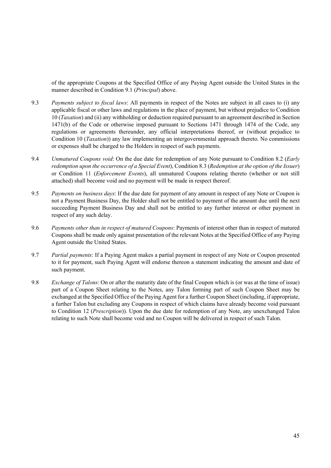of the appropriate Coupons at the Specified Office of any Paying Agent outside the United States in the manner described in Condition 9.1 (*Principal*) above.

- 9.3 *Payments subject to fiscal laws*: All payments in respect of the Notes are subject in all cases to (i) any applicable fiscal or other laws and regulations in the place of payment, but without prejudice to Condition 10 (*Taxation*) and (ii) any withholding or deduction required pursuant to an agreement described in Section 1471(b) of the Code or otherwise imposed pursuant to Sections 1471 through 1474 of the Code, any regulations or agreements thereunder, any official interpretations thereof, or (without prejudice to Condition 10 (*Taxation*)) any law implementing an intergovernmental approach thereto. No commissions or expenses shall be charged to the Holders in respect of such payments.
- 9.4 *Unmatured Coupons void*: On the due date for redemption of any Note pursuant to Condition 8.2 (*Early redemption upon the occurrence of a Special Event*), Condition 8.3 (*Redemption at the option of the Issuer*) or Condition 11 (*Enforcement Events*), all unmatured Coupons relating thereto (whether or not still attached) shall become void and no payment will be made in respect thereof.
- 9.5 *Payments on business days*: If the due date for payment of any amount in respect of any Note or Coupon is not a Payment Business Day, the Holder shall not be entitled to payment of the amount due until the next succeeding Payment Business Day and shall not be entitled to any further interest or other payment in respect of any such delay.
- 9.6 *Payments other than in respect of matured Coupons*: Payments of interest other than in respect of matured Coupons shall be made only against presentation of the relevant Notes at the Specified Office of any Paying Agent outside the United States.
- 9.7 *Partial payments*: If a Paying Agent makes a partial payment in respect of any Note or Coupon presented to it for payment, such Paying Agent will endorse thereon a statement indicating the amount and date of such payment.
- 9.8 *Exchange of Talons*: On or after the maturity date of the final Coupon which is (or was at the time of issue) part of a Coupon Sheet relating to the Notes, any Talon forming part of such Coupon Sheet may be exchanged at the Specified Office of the Paying Agent for a further Coupon Sheet (including, if appropriate, a further Talon but excluding any Coupons in respect of which claims have already become void pursuant to Condition 12 (*Prescription*)). Upon the due date for redemption of any Note, any unexchanged Talon relating to such Note shall become void and no Coupon will be delivered in respect of such Talon.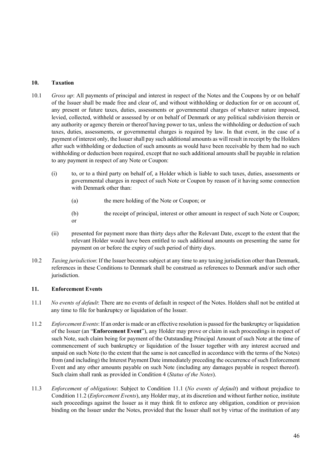## **10. Taxation**

- 10.1 *Gross up*: All payments of principal and interest in respect of the Notes and the Coupons by or on behalf of the Issuer shall be made free and clear of, and without withholding or deduction for or on account of, any present or future taxes, duties, assessments or governmental charges of whatever nature imposed, levied, collected, withheld or assessed by or on behalf of Denmark or any political subdivision therein or any authority or agency therein or thereof having power to tax, unless the withholding or deduction of such taxes, duties, assessments, or governmental charges is required by law. In that event, in the case of a payment of interest only, the Issuer shall pay such additional amounts as will result in receipt by the Holders after such withholding or deduction of such amounts as would have been receivable by them had no such withholding or deduction been required, except that no such additional amounts shall be payable in relation to any payment in respect of any Note or Coupon:
	- (i) to, or to a third party on behalf of, a Holder which is liable to such taxes, duties, assessments or governmental charges in respect of such Note or Coupon by reason of it having some connection with Denmark other than:
		- (a) the mere holding of the Note or Coupon; or
		- (b) the receipt of principal, interest or other amount in respect of such Note or Coupon; or
	- (ii) presented for payment more than thirty days after the Relevant Date, except to the extent that the relevant Holder would have been entitled to such additional amounts on presenting the same for payment on or before the expiry of such period of thirty days.
- 10.2 *Taxing jurisdiction*: If the Issuer becomes subject at any time to any taxing jurisdiction other than Denmark, references in these Conditions to Denmark shall be construed as references to Denmark and/or such other jurisdiction.

# **11. Enforcement Events**

- 11.1 *No events of default*: There are no events of default in respect of the Notes. Holders shall not be entitled at any time to file for bankruptcy or liquidation of the Issuer.
- 11.2 *Enforcement Events*: If an order is made or an effective resolution is passed for the bankruptcy or liquidation of the Issuer (an "**Enforcement Event**"), any Holder may prove or claim in such proceedings in respect of such Note, such claim being for payment of the Outstanding Principal Amount of such Note at the time of commencement of such bankruptcy or liquidation of the Issuer together with any interest accrued and unpaid on such Note (to the extent that the same is not cancelled in accordance with the terms of the Notes) from (and including) the Interest Payment Date immediately preceding the occurrence of such Enforcement Event and any other amounts payable on such Note (including any damages payable in respect thereof). Such claim shall rank as provided in Condition 4 (*Status of the Notes*).
- 11.3 *Enforcement of obligations*: Subject to Condition 11.1 (*No events of default*) and without prejudice to Condition 11.2 (*Enforcement Events*), any Holder may, at its discretion and without further notice, institute such proceedings against the Issuer as it may think fit to enforce any obligation, condition or provision binding on the Issuer under the Notes, provided that the Issuer shall not by virtue of the institution of any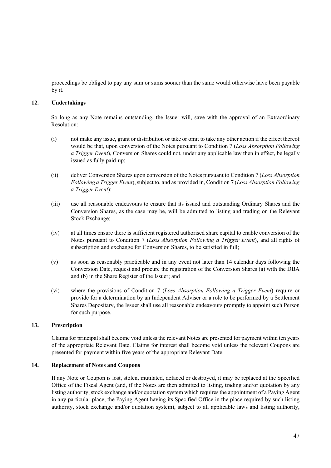proceedings be obliged to pay any sum or sums sooner than the same would otherwise have been payable by it.

### **12. Undertakings**

So long as any Note remains outstanding, the Issuer will, save with the approval of an Extraordinary Resolution:

- (i) not make any issue, grant or distribution or take or omit to take any other action if the effect thereof would be that, upon conversion of the Notes pursuant to Condition 7 (*Loss Absorption Following a Trigger Event*), Conversion Shares could not, under any applicable law then in effect, be legally issued as fully paid-up;
- (ii) deliver Conversion Shares upon conversion of the Notes pursuant to Condition 7 (*Loss Absorption Following a Trigger Event*), subject to, and as provided in, Condition 7 (*Loss Absorption Following a Trigger Event*);
- (iii) use all reasonable endeavours to ensure that its issued and outstanding Ordinary Shares and the Conversion Shares, as the case may be, will be admitted to listing and trading on the Relevant Stock Exchange;
- (iv) at all times ensure there is sufficient registered authorised share capital to enable conversion of the Notes pursuant to Condition 7 (*Loss Absorption Following a Trigger Event*), and all rights of subscription and exchange for Conversion Shares, to be satisfied in full;
- (v) as soon as reasonably practicable and in any event not later than 14 calendar days following the Conversion Date, request and procure the registration of the Conversion Shares (a) with the DBA and (b) in the Share Register of the Issuer; and
- (vi) where the provisions of Condition 7 (*Loss Absorption Following a Trigger Event*) require or provide for a determination by an Independent Adviser or a role to be performed by a Settlement Shares Depositary, the Issuer shall use all reasonable endeavours promptly to appoint such Person for such purpose.

### **13. Prescription**

Claims for principal shall become void unless the relevant Notes are presented for payment within ten years of the appropriate Relevant Date. Claims for interest shall become void unless the relevant Coupons are presented for payment within five years of the appropriate Relevant Date.

#### **14. Replacement of Notes and Coupons**

If any Note or Coupon is lost, stolen, mutilated, defaced or destroyed, it may be replaced at the Specified Office of the Fiscal Agent (and, if the Notes are then admitted to listing, trading and/or quotation by any listing authority, stock exchange and/or quotation system which requires the appointment of a Paying Agent in any particular place, the Paying Agent having its Specified Office in the place required by such listing authority, stock exchange and/or quotation system), subject to all applicable laws and listing authority,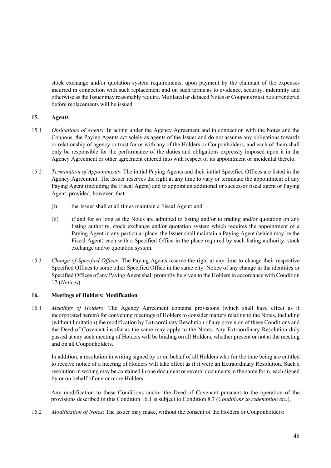stock exchange and/or quotation system requirements, upon payment by the claimant of the expenses incurred in connection with such replacement and on such terms as to evidence, security, indemnity and otherwise as the Issuer may reasonably require. Mutilated or defaced Notes or Coupons must be surrendered before replacements will be issued.

### **15. Agents**

- 15.1 *Obligations of Agents*: In acting under the Agency Agreement and in connection with the Notes and the Coupons, the Paying Agents act solely as agents of the Issuer and do not assume any obligations towards or relationship of agency or trust for or with any of the Holders or Couponholders, and each of them shall only be responsible for the performance of the duties and obligations expressly imposed upon it in the Agency Agreement or other agreement entered into with respect of its appointment or incidental thereto.
- 15.2 *Termination of Appointments*: The initial Paying Agents and their initial Specified Offices are listed in the Agency Agreement. The Issuer reserves the right at any time to vary or terminate the appointment of any Paying Agent (including the Fiscal Agent) and to appoint an additional or successor fiscal agent or Paying Agent; provided, however, that:
	- (i) the Issuer shall at all times maintain a Fiscal Agent; and
	- (ii) if and for so long as the Notes are admitted to listing and/or to trading and/or quotation on any listing authority, stock exchange and/or quotation system which requires the appointment of a Paying Agent in any particular place, the Issuer shall maintain a Paying Agent (which may be the Fiscal Agent) each with a Specified Office in the place required by such listing authority, stock exchange and/or quotation system.
- 15.3 *Change of Specified Offices*: The Paying Agents reserve the right at any time to change their respective Specified Offices to some other Specified Office in the same city. Notice of any change in the identities or Specified Offices of any Paying Agent shall promptly be given to the Holders in accordance with Condition 17 (*Notices*).

# **16. Meetings of Holders; Modification**

16.1 *Meetings of Holders*: The Agency Agreement contains provisions (which shall have effect as if incorporated herein) for convening meetings of Holders to consider matters relating to the Notes, including (without limitation) the modification by Extraordinary Resolution of any provision of these Conditions and the Deed of Covenant insofar as the same may apply to the Notes. Any Extraordinary Resolution duly passed at any such meeting of Holders will be binding on all Holders, whether present or not at the meeting and on all Couponholders.

In addition, a resolution in writing signed by or on behalf of all Holders who for the time being are entitled to receive notice of a meeting of Holders will take effect as if it were an Extraordinary Resolution. Such a resolution in writing may be contained in one document or several documents in the same form, each signed by or on behalf of one or more Holders.

Any modification to these Conditions and/or the Deed of Covenant pursuant to the operation of the provisions described in this Condition 16.1 is subject to Condition 8.7 (*Conditions to redemption etc.*).

16.2 *Modification of Notes*: The Issuer may make, without the consent of the Holders or Couponholders: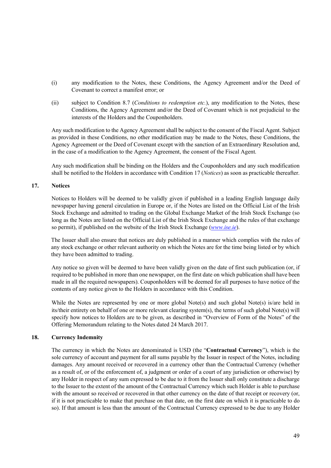- (i) any modification to the Notes, these Conditions, the Agency Agreement and/or the Deed of Covenant to correct a manifest error; or
- (ii) subject to Condition 8.7 (*Conditions to redemption etc.*), any modification to the Notes, these Conditions, the Agency Agreement and/or the Deed of Covenant which is not prejudicial to the interests of the Holders and the Couponholders.

Any such modification to the Agency Agreement shall be subject to the consent of the Fiscal Agent. Subject as provided in these Conditions, no other modification may be made to the Notes, these Conditions, the Agency Agreement or the Deed of Covenant except with the sanction of an Extraordinary Resolution and, in the case of a modification to the Agency Agreement, the consent of the Fiscal Agent.

Any such modification shall be binding on the Holders and the Couponholders and any such modification shall be notified to the Holders in accordance with Condition 17 (*Notices*) as soon as practicable thereafter.

## **17. Notices**

Notices to Holders will be deemed to be validly given if published in a leading English language daily newspaper having general circulation in Europe or, if the Notes are listed on the Official List of the Irish Stock Exchange and admitted to trading on the Global Exchange Market of the Irish Stock Exchange (so long as the Notes are listed on the Official List of the Irish Stock Exchange and the rules of that exchange so permit), if published on the website of the Irish Stock Exchange (*www.ise.ie*).

The Issuer shall also ensure that notices are duly published in a manner which complies with the rules of any stock exchange or other relevant authority on which the Notes are for the time being listed or by which they have been admitted to trading.

Any notice so given will be deemed to have been validly given on the date of first such publication (or, if required to be published in more than one newspaper, on the first date on which publication shall have been made in all the required newspapers). Couponholders will be deemed for all purposes to have notice of the contents of any notice given to the Holders in accordance with this Condition.

While the Notes are represented by one or more global Note(s) and such global Note(s) is/are held in its/their entirety on behalf of one or more relevant clearing system(s), the terms of such global Note(s) will specify how notices to Holders are to be given, as described in "Overview of Form of the Notes" of the Offering Memorandum relating to the Notes dated 24 March 2017.

## **18. Currency Indemnity**

The currency in which the Notes are denominated is USD (the "**Contractual Currency**"), which is the sole currency of account and payment for all sums payable by the Issuer in respect of the Notes, including damages. Any amount received or recovered in a currency other than the Contractual Currency (whether as a result of, or of the enforcement of, a judgment or order of a court of any jurisdiction or otherwise) by any Holder in respect of any sum expressed to be due to it from the Issuer shall only constitute a discharge to the Issuer to the extent of the amount of the Contractual Currency which such Holder is able to purchase with the amount so received or recovered in that other currency on the date of that receipt or recovery (or, if it is not practicable to make that purchase on that date, on the first date on which it is practicable to do so). If that amount is less than the amount of the Contractual Currency expressed to be due to any Holder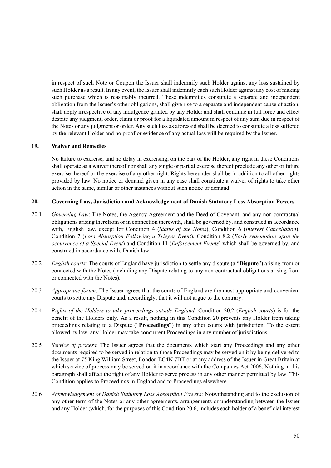in respect of such Note or Coupon the Issuer shall indemnify such Holder against any loss sustained by such Holder as a result. In any event, the Issuer shall indemnify each such Holder against any cost of making such purchase which is reasonably incurred. These indemnities constitute a separate and independent obligation from the Issuer's other obligations, shall give rise to a separate and independent cause of action, shall apply irrespective of any indulgence granted by any Holder and shall continue in full force and effect despite any judgment, order, claim or proof for a liquidated amount in respect of any sum due in respect of the Notes or any judgment or order. Any such loss as aforesaid shall be deemed to constitute a loss suffered by the relevant Holder and no proof or evidence of any actual loss will be required by the Issuer.

### **19. Waiver and Remedies**

No failure to exercise, and no delay in exercising, on the part of the Holder, any right in these Conditions shall operate as a waiver thereof nor shall any single or partial exercise thereof preclude any other or future exercise thereof or the exercise of any other right. Rights hereunder shall be in addition to all other rights provided by law. No notice or demand given in any case shall constitute a waiver of rights to take other action in the same, similar or other instances without such notice or demand.

### **20. Governing Law, Jurisdiction and Acknowledgement of Danish Statutory Loss Absorption Powers**

- 20.1 *Governing Law*: The Notes, the Agency Agreement and the Deed of Covenant, and any non-contractual obligations arising therefrom or in connection therewith, shall be governed by, and construed in accordance with, English law, except for Condition 4 (*Status of the Notes*), Condition 6 (*Interest Cancellation*), Condition 7 (*Loss Absorption Following a Trigger Event*), Condition 8.2 (*Early redemption upon the occurrence of a Special Event*) and Condition 11 (*Enforcement Events*) which shall be governed by, and construed in accordance with, Danish law.
- 20.2 *English courts*: The courts of England have jurisdiction to settle any dispute (a "**Dispute**") arising from or connected with the Notes (including any Dispute relating to any non-contractual obligations arising from or connected with the Notes).
- 20.3 *Appropriate forum*: The Issuer agrees that the courts of England are the most appropriate and convenient courts to settle any Dispute and, accordingly, that it will not argue to the contrary.
- 20.4 *Rights of the Holders to take proceedings outside England*: Condition 20.2 (*English courts*) is for the benefit of the Holders only. As a result, nothing in this Condition 20 prevents any Holder from taking proceedings relating to a Dispute ("**Proceedings**") in any other courts with jurisdiction. To the extent allowed by law, any Holder may take concurrent Proceedings in any number of jurisdictions.
- 20.5 *Service of process*: The Issuer agrees that the documents which start any Proceedings and any other documents required to be served in relation to those Proceedings may be served on it by being delivered to the Issuer at 75 King William Street, London EC4N 7DT or at any address of the Issuer in Great Britain at which service of process may be served on it in accordance with the Companies Act 2006. Nothing in this paragraph shall affect the right of any Holder to serve process in any other manner permitted by law. This Condition applies to Proceedings in England and to Proceedings elsewhere.
- 20.6 *Acknowledgement of Danish Statutory Loss Absorption Powers*: Notwithstanding and to the exclusion of any other term of the Notes or any other agreements, arrangements or understanding between the Issuer and any Holder (which, for the purposes of this Condition 20.6, includes each holder of a beneficial interest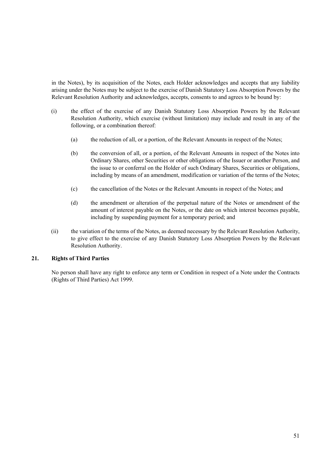in the Notes), by its acquisition of the Notes, each Holder acknowledges and accepts that any liability arising under the Notes may be subject to the exercise of Danish Statutory Loss Absorption Powers by the Relevant Resolution Authority and acknowledges, accepts, consents to and agrees to be bound by:

- (i) the effect of the exercise of any Danish Statutory Loss Absorption Powers by the Relevant Resolution Authority, which exercise (without limitation) may include and result in any of the following, or a combination thereof:
	- (a) the reduction of all, or a portion, of the Relevant Amounts in respect of the Notes;
	- (b) the conversion of all, or a portion, of the Relevant Amounts in respect of the Notes into Ordinary Shares, other Securities or other obligations of the Issuer or another Person, and the issue to or conferral on the Holder of such Ordinary Shares, Securities or obligations, including by means of an amendment, modification or variation of the terms of the Notes;
	- (c) the cancellation of the Notes or the Relevant Amounts in respect of the Notes; and
	- (d) the amendment or alteration of the perpetual nature of the Notes or amendment of the amount of interest payable on the Notes, or the date on which interest becomes payable, including by suspending payment for a temporary period; and
- (ii) the variation of the terms of the Notes, as deemed necessary by the Relevant Resolution Authority, to give effect to the exercise of any Danish Statutory Loss Absorption Powers by the Relevant Resolution Authority.

## **21. Rights of Third Parties**

 No person shall have any right to enforce any term or Condition in respect of a Note under the Contracts (Rights of Third Parties) Act 1999.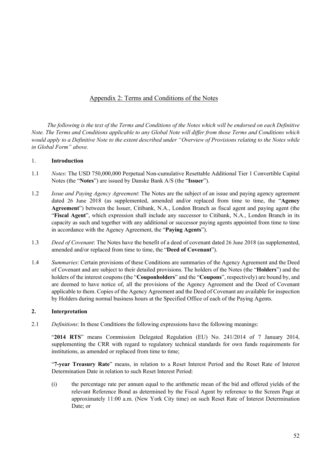# Appendix 2: Terms and Conditions of the Notes

*The following is the text of the Terms and Conditions of the Notes which will be endorsed on each Definitive Note. The Terms and Conditions applicable to any Global Note will differ from those Terms and Conditions which would apply to a Definitive Note to the extent described under "Overview of Provisions relating to the Notes while in Global Form" above.* 

### 1. **Introduction**

- 1.1 *Notes*: The USD 750,000,000 Perpetual Non-cumulative Resettable Additional Tier 1 Convertible Capital Notes (the "**Notes**") are issued by Danske Bank A/S (the "**Issuer**").
- 1.2 *Issue and Paying Agency Agreement*: The Notes are the subject of an issue and paying agency agreement dated 26 June 2018 (as supplemented, amended and/or replaced from time to time, the "**Agency Agreement**") between the Issuer, Citibank, N.A., London Branch as fiscal agent and paying agent (the "**Fiscal Agent**", which expression shall include any successor to Citibank, N.A., London Branch in its capacity as such and together with any additional or successor paying agents appointed from time to time in accordance with the Agency Agreement, the "**Paying Agents**").
- 1.3 *Deed of Covenant*: The Notes have the benefit of a deed of covenant dated 26 June 2018 (as supplemented, amended and/or replaced from time to time, the "**Deed of Covenant**").
- 1.4 *Summaries*: Certain provisions of these Conditions are summaries of the Agency Agreement and the Deed of Covenant and are subject to their detailed provisions. The holders of the Notes (the "**Holders**") and the holders of the interest coupons (the "**Couponholders**" and the "**Coupons**", respectively) are bound by, and are deemed to have notice of, all the provisions of the Agency Agreement and the Deed of Covenant applicable to them. Copies of the Agency Agreement and the Deed of Covenant are available for inspection by Holders during normal business hours at the Specified Office of each of the Paying Agents.

### **2. Interpretation**

2.1 *Definitions*: In these Conditions the following expressions have the following meanings:

"**2014 RTS**" means Commission Delegated Regulation (EU) No. 241/2014 of 7 January 2014, supplementing the CRR with regard to regulatory technical standards for own funds requirements for institutions, as amended or replaced from time to time;

"**7-year Treasury Rate**" means, in relation to a Reset Interest Period and the Reset Rate of Interest Determination Date in relation to such Reset Interest Period:

(i) the percentage rate per annum equal to the arithmetic mean of the bid and offered yields of the relevant Reference Bond as determined by the Fiscal Agent by reference to the Screen Page at approximately 11:00 a.m. (New York City time) on such Reset Rate of Interest Determination Date; or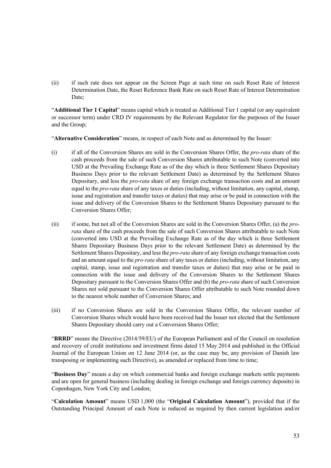(ii) if such rate does not appear on the Screen Page at such time on such Reset Rate of Interest Determination Date, the Reset Reference Bank Rate on such Reset Rate of Interest Determination Date;

"**Additional Tier 1 Capital**" means capital which is treated as Additional Tier 1 capital (or any equivalent or successor term) under CRD IV requirements by the Relevant Regulator for the purposes of the Issuer and the Group;

"**Alternative Consideration**" means, in respect of each Note and as determined by the Issuer:

- (i) if all of the Conversion Shares are sold in the Conversion Shares Offer, the *pro-rata* share of the cash proceeds from the sale of such Conversion Shares attributable to such Note (converted into USD at the Prevailing Exchange Rate as of the day which is three Settlement Shares Depositary Business Days prior to the relevant Settlement Date) as determined by the Settlement Shares Depositary, and less the *pro-rata* share of any foreign exchange transaction costs and an amount equal to the *pro-rata* share of any taxes or duties (including, without limitation, any capital, stamp, issue and registration and transfer taxes or duties) that may arise or be paid in connection with the issue and delivery of the Conversion Shares to the Settlement Shares Depositary pursuant to the Conversion Shares Offer;
- (ii) if some, but not all of the Conversion Shares are sold in the Conversion Shares Offer, (a) the *prorata* share of the cash proceeds from the sale of such Conversion Shares attributable to such Note (converted into USD at the Prevailing Exchange Rate as of the day which is three Settlement Shares Depositary Business Days prior to the relevant Settlement Date) as determined by the Settlement Shares Depositary, and less the *pro-rata* share of any foreign exchange transaction costs and an amount equal to the *pro-rata* share of any taxes or duties (including, without limitation, any capital, stamp, issue and registration and transfer taxes or duties) that may arise or be paid in connection with the issue and delivery of the Conversion Shares to the Settlement Shares Depositary pursuant to the Conversion Shares Offer and (b) the *pro-rata* share of such Conversion Shares not sold pursuant to the Conversion Shares Offer attributable to such Note rounded down to the nearest whole number of Conversion Shares; and
- (iii) if no Conversion Shares are sold in the Conversion Shares Offer, the relevant number of Conversion Shares which would have been received had the Issuer not elected that the Settlement Shares Depositary should carry out a Conversion Shares Offer;

"**BRRD**" means the Directive (2014/59/EU) of the European Parliament and of the Council on resolution and recovery of credit institutions and investment firms dated 15 May 2014 and published in the Official Journal of the European Union on 12 June 2014 (or, as the case may be, any provision of Danish law transposing or implementing such Directive), as amended or replaced from time to time;

"**Business Day**" means a day on which commercial banks and foreign exchange markets settle payments and are open for general business (including dealing in foreign exchange and foreign currency deposits) in Copenhagen, New York City and London;

"**Calculation Amount**" means USD 1,000 (the "**Original Calculation Amount**"), provided that if the Outstanding Principal Amount of each Note is reduced as required by then current legislation and/or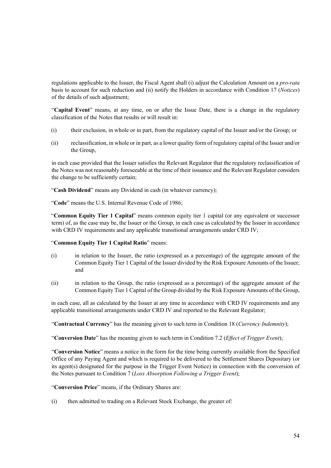regulations applicable to the Issuer, the Fiscal Agent shall (i) adjust the Calculation Amount on a *pro-rata* basis to account for such reduction and (ii) notify the Holders in accordance with Condition 17 (*Notices*) of the details of such adjustment;

"**Capital Event**" means, at any time, on or after the Issue Date, there is a change in the regulatory classification of the Notes that results or will result in:

- (i) their exclusion, in whole or in part, from the regulatory capital of the Issuer and/or the Group; or
- (ii) reclassification, in whole or in part, as a lower quality form of regulatory capital of the Issuer and/or the Group,

in each case provided that the Issuer satisfies the Relevant Regulator that the regulatory reclassification of the Notes was not reasonably foreseeable at the time of their issuance and the Relevant Regulator considers the change to be sufficiently certain;

"**Cash Dividend**" means any Dividend in cash (in whatever currency);

"**Code**" means the U.S. Internal Revenue Code of 1986;

"**Common Equity Tier 1 Capital**" means common equity tier 1 capital (or any equivalent or successor term) of, as the case may be, the Issuer or the Group, in each case as calculated by the Issuer in accordance with CRD IV requirements and any applicable transitional arrangements under CRD IV;

### "**Common Equity Tier 1 Capital Ratio**" means:

- (i) in relation to the Issuer, the ratio (expressed as a percentage) of the aggregate amount of the Common Equity Tier 1 Capital of the Issuer divided by the Risk Exposure Amounts of the Issuer; and
- (ii) in relation to the Group, the ratio (expressed as a percentage) of the aggregate amount of the Common Equity Tier 1 Capital of the Group divided by the Risk Exposure Amounts of the Group,

in each case, all as calculated by the Issuer at any time in accordance with CRD IV requirements and any applicable transitional arrangements under CRD IV and reported to the Relevant Regulator;

"**Contractual Currency**" has the meaning given to such term in Condition 18 (*Currency Indemnity*);

"**Conversion Date**" has the meaning given to such term in Condition 7.2 (*Effect of Trigger Event*);

"**Conversion Notice**" means a notice in the form for the time being currently available from the Specified Office of any Paying Agent and which is required to be delivered to the Settlement Shares Depositary (or its agent(s) designated for the purpose in the Trigger Event Notice) in connection with the conversion of the Notes pursuant to Condition 7 (*Loss Absorption Following a Trigger Event*);

"**Conversion Price**" means, if the Ordinary Shares are:

(i) then admitted to trading on a Relevant Stock Exchange, the greater of: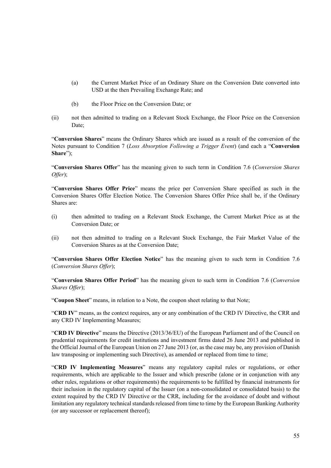- (a) the Current Market Price of an Ordinary Share on the Conversion Date converted into USD at the then Prevailing Exchange Rate; and
- (b) the Floor Price on the Conversion Date; or
- (ii) not then admitted to trading on a Relevant Stock Exchange, the Floor Price on the Conversion Date;

"**Conversion Shares**" means the Ordinary Shares which are issued as a result of the conversion of the Notes pursuant to Condition 7 (*Loss Absorption Following a Trigger Event*) (and each a "**Conversion Share**");

"**Conversion Shares Offer**" has the meaning given to such term in Condition 7.6 (*Conversion Shares Offer*);

"**Conversion Shares Offer Price**" means the price per Conversion Share specified as such in the Conversion Shares Offer Election Notice. The Conversion Shares Offer Price shall be, if the Ordinary Shares are:

- (i) then admitted to trading on a Relevant Stock Exchange, the Current Market Price as at the Conversion Date; or
- (ii) not then admitted to trading on a Relevant Stock Exchange, the Fair Market Value of the Conversion Shares as at the Conversion Date;

"**Conversion Shares Offer Election Notice**" has the meaning given to such term in Condition 7.6 (*Conversion Shares Offer*);

"**Conversion Shares Offer Period**" has the meaning given to such term in Condition 7.6 (*Conversion Shares Offer*);

"**Coupon Sheet**" means, in relation to a Note, the coupon sheet relating to that Note;

"**CRD IV**" means, as the context requires, any or any combination of the CRD IV Directive, the CRR and any CRD IV Implementing Measures;

"**CRD IV Directive**" means the Directive (2013/36/EU) of the European Parliament and of the Council on prudential requirements for credit institutions and investment firms dated 26 June 2013 and published in the Official Journal of the European Union on 27 June 2013 (or, as the case may be, any provision of Danish law transposing or implementing such Directive), as amended or replaced from time to time;

"**CRD IV Implementing Measures**" means any regulatory capital rules or regulations, or other requirements, which are applicable to the Issuer and which prescribe (alone or in conjunction with any other rules, regulations or other requirements) the requirements to be fulfilled by financial instruments for their inclusion in the regulatory capital of the Issuer (on a non-consolidated or consolidated basis) to the extent required by the CRD IV Directive or the CRR, including for the avoidance of doubt and without limitation any regulatory technical standards released from time to time by the European Banking Authority (or any successor or replacement thereof);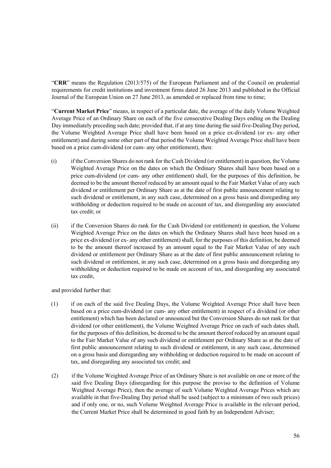"**CRR**" means the Regulation (2013/575) of the European Parliament and of the Council on prudential requirements for credit institutions and investment firms dated 26 June 2013 and published in the Official Journal of the European Union on 27 June 2013, as amended or replaced from time to time;

"**Current Market Price**" means, in respect of a particular date, the average of the daily Volume Weighted Average Price of an Ordinary Share on each of the five consecutive Dealing Days ending on the Dealing Day immediately preceding such date; provided that, if at any time during the said five-Dealing Day period, the Volume Weighted Average Price shall have been based on a price ex-dividend (or ex- any other entitlement) and during some other part of that period the Volume Weighted Average Price shall have been based on a price cum-dividend (or cum- any other entitlement), then:

- (i) if the Conversion Shares do not rank for the Cash Dividend (or entitlement) in question, the Volume Weighted Average Price on the dates on which the Ordinary Shares shall have been based on a price cum-dividend (or cum- any other entitlement) shall, for the purposes of this definition, be deemed to be the amount thereof reduced by an amount equal to the Fair Market Value of any such dividend or entitlement per Ordinary Share as at the date of first public announcement relating to such dividend or entitlement, in any such case, determined on a gross basis and disregarding any withholding or deduction required to be made on account of tax, and disregarding any associated tax credit; or
- (ii) if the Conversion Shares do rank for the Cash Dividend (or entitlement) in question, the Volume Weighted Average Price on the dates on which the Ordinary Shares shall have been based on a price ex-dividend (or ex- any other entitlement) shall, for the purposes of this definition, be deemed to be the amount thereof increased by an amount equal to the Fair Market Value of any such dividend or entitlement per Ordinary Share as at the date of first public announcement relating to such dividend or entitlement, in any such case, determined on a gross basis and disregarding any withholding or deduction required to be made on account of tax, and disregarding any associated tax credit,

and provided further that:

- (1) if on each of the said five Dealing Days, the Volume Weighted Average Price shall have been based on a price cum-dividend (or cum- any other entitlement) in respect of a dividend (or other entitlement) which has been declared or announced but the Conversion Shares do not rank for that dividend (or other entitlement), the Volume Weighted Average Price on each of such dates shall, for the purposes of this definition, be deemed to be the amount thereof reduced by an amount equal to the Fair Market Value of any such dividend or entitlement per Ordinary Share as at the date of first public announcement relating to such dividend or entitlement, in any such case, determined on a gross basis and disregarding any withholding or deduction required to be made on account of tax, and disregarding any associated tax credit; and
- (2) if the Volume Weighted Average Price of an Ordinary Share is not available on one or more of the said five Dealing Days (disregarding for this purpose the proviso to the definition of Volume Weighted Average Price), then the average of such Volume Weighted Average Prices which are available in that five-Dealing Day period shall be used (subject to a minimum of two such prices) and if only one, or no, such Volume Weighted Average Price is available in the relevant period, the Current Market Price shall be determined in good faith by an Independent Adviser;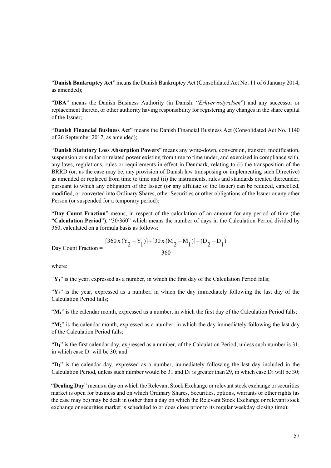"**Danish Bankruptcy Act**" means the Danish Bankruptcy Act (Consolidated Act No. 11 of 6 January 2014, as amended);

"**DBA**" means the Danish Business Authority (in Danish: "*Erhvervsstyrelsen*") and any successor or replacement thereto, or other authority having responsibility for registering any changes in the share capital of the Issuer;

"**Danish Financial Business Act**" means the Danish Financial Business Act (Consolidated Act No. 1140 of 26 September 2017, as amended);

"**Danish Statutory Loss Absorption Powers**" means any write-down, conversion, transfer, modification, suspension or similar or related power existing from time to time under, and exercised in compliance with, any laws, regulations, rules or requirements in effect in Denmark, relating to (i) the transposition of the BRRD (or, as the case may be, any provision of Danish law transposing or implementing such Directive) as amended or replaced from time to time and (ii) the instruments, rules and standards created thereunder, pursuant to which any obligation of the Issuer (or any affiliate of the Issuer) can be reduced, cancelled, modified, or converted into Ordinary Shares, other Securities or other obligations of the Issuer or any other Person (or suspended for a temporary period);

"**Day Count Fraction**" means, in respect of the calculation of an amount for any period of time (the "**Calculation Period**"), "30/360" which means the number of days in the Calculation Period divided by 360, calculated on a formula basis as follows:

Day Count Fraction = 
$$
\frac{[360x(Y_2 - Y_1)] + [30x(M_2 - M_1)] + (D_2 - D_1)}{360}
$$

where:

 $\mathbf{Y}_1$ " is the year, expressed as a number, in which the first day of the Calculation Period falls;

 $Y_2$ " is the year, expressed as a number, in which the day immediately following the last day of the Calculation Period falls;

" $M_1$ " is the calendar month, expressed as a number, in which the first day of the Calculation Period falls;

"M<sub>2</sub>" is the calendar month, expressed as a number, in which the day immediately following the last day of the Calculation Period falls;

"**D1**" is the first calendar day, expressed as a number, of the Calculation Period, unless such number is 31, in which case  $D_1$  will be 30; and

"**D2**" is the calendar day, expressed as a number, immediately following the last day included in the Calculation Period, unless such number would be 31 and  $D_1$  is greater than 29, in which case  $D_2$  will be 30;

"**Dealing Day**" means a day on which the Relevant Stock Exchange or relevant stock exchange or securities market is open for business and on which Ordinary Shares, Securities, options, warrants or other rights (as the case may be) may be dealt in (other than a day on which the Relevant Stock Exchange or relevant stock exchange or securities market is scheduled to or does close prior to its regular weekday closing time);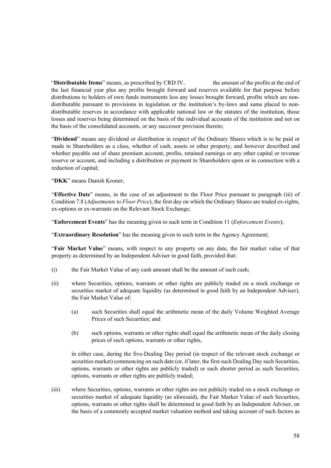"**Distributable Items**" means, as prescribed by CRD IV, the amount of the profits at the end of the last financial year plus any profits brought forward and reserves available for that purpose before distributions to holders of own funds instruments less any losses brought forward, profits which are nondistributable pursuant to provisions in legislation or the institution's by-laws and sums placed to nondistributable reserves in accordance with applicable national law or the statutes of the institution, those losses and reserves being determined on the basis of the individual accounts of the institution and not on the basis of the consolidated accounts, or any successor provision thereto;

"**Dividend**" means any dividend or distribution in respect of the Ordinary Shares which is to be paid or made to Shareholders as a class, whether of cash, assets or other property, and however described and whether payable out of share premium account, profits, retained earnings or any other capital or revenue reserve or account, and including a distribution or payment to Shareholders upon or in connection with a reduction of capital;

"**DKK**" means Danish Kroner;

"**Effective Date**" means, in the case of an adjustment to the Floor Price pursuant to paragraph (iii) of Condition 7.8 (*Adjustments to Floor Price*), the first day on which the Ordinary Shares are traded ex-rights, ex-options or ex-warrants on the Relevant Stock Exchange;

"**Enforcement Events**" has the meaning given to such term in Condition 11 (*Enforcement Events*);

"**Extraordinary Resolution**" has the meaning given to such term in the Agency Agreement;

"**Fair Market Value**" means, with respect to any property on any date, the fair market value of that property as determined by an Independent Adviser in good faith, provided that:

- (i) the Fair Market Value of any cash amount shall be the amount of such cash;
- (ii) where Securities, options, warrants or other rights are publicly traded on a stock exchange or securities market of adequate liquidity (as determined in good faith by an Independent Adviser), the Fair Market Value of:
	- (a) such Securities shall equal the arithmetic mean of the daily Volume Weighted Average Prices of such Securities; and
	- (b) such options, warrants or other rights shall equal the arithmetic mean of the daily closing prices of such options, warrants or other rights,

in either case, during the five-Dealing Day period (in respect of the relevant stock exchange or securities market) commencing on such date (or, if later, the first such Dealing Day such Securities, options, warrants or other rights are publicly traded) or such shorter period as such Securities, options, warrants or other rights are publicly traded;

(iii) where Securities, options, warrants or other rights are not publicly traded on a stock exchange or securities market of adequate liquidity (as aforesaid), the Fair Market Value of such Securities, options, warrants or other rights shall be determined in good faith by an Independent Adviser, on the basis of a commonly accepted market valuation method and taking account of such factors as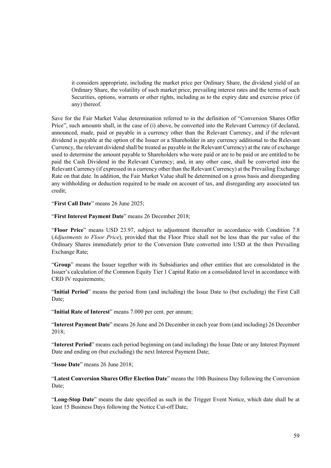it considers appropriate, including the market price per Ordinary Share, the dividend yield of an Ordinary Share, the volatility of such market price, prevailing interest rates and the terms of such Securities, options, warrants or other rights, including as to the expiry date and exercise price (if any) thereof.

Save for the Fair Market Value determination referred to in the definition of "Conversion Shares Offer Price", such amounts shall, in the case of (i) above, be converted into the Relevant Currency (if declared, announced, made, paid or payable in a currency other than the Relevant Currency, and if the relevant dividend is payable at the option of the Issuer or a Shareholder in any currency additional to the Relevant Currency, the relevant dividend shall be treated as payable in the Relevant Currency) at the rate of exchange used to determine the amount payable to Shareholders who were paid or are to be paid or are entitled to be paid the Cash Dividend in the Relevant Currency; and, in any other case, shall be converted into the Relevant Currency (if expressed in a currency other than the Relevant Currency) at the Prevailing Exchange Rate on that date. In addition, the Fair Market Value shall be determined on a gross basis and disregarding any withholding or deduction required to be made on account of tax, and disregarding any associated tax credit;

"**First Call Date**" means 26 June 2025;

"**First Interest Payment Date**" means 26 December 2018;

"**Floor Price**" means USD 23.97, subject to adjustment thereafter in accordance with Condition 7.8 (*Adjustments to Floor Price*), provided that the Floor Price shall not be less than the par value of the Ordinary Shares immediately prior to the Conversion Date converted into USD at the then Prevailing Exchange Rate;

"**Group**" means the Issuer together with its Subsidiaries and other entities that are consolidated in the Issuer's calculation of the Common Equity Tier 1 Capital Ratio on a consolidated level in accordance with CRD IV requirements;

"**Initial Period**" means the period from (and including) the Issue Date to (but excluding) the First Call Date;

"**Initial Rate of Interest**" means 7.000 per cent. per annum;

"**Interest Payment Date**" means 26 June and 26 December in each year from (and including) 26 December 2018;

"**Interest Period**" means each period beginning on (and including) the Issue Date or any Interest Payment Date and ending on (but excluding) the next Interest Payment Date;

"**Issue Date**" means 26 June 2018;

"**Latest Conversion Shares Offer Election Date**" means the 10th Business Day following the Conversion Date;

"**Long-Stop Date**" means the date specified as such in the Trigger Event Notice, which date shall be at least 15 Business Days following the Notice Cut-off Date;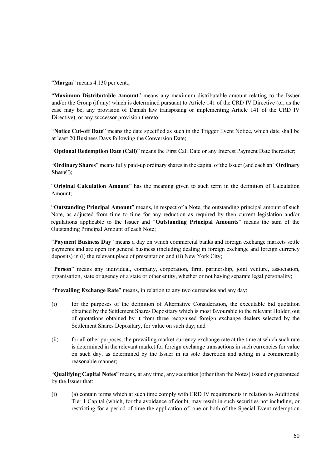"**Margin**" means 4.130 per cent.:

"**Maximum Distributable Amount**" means any maximum distributable amount relating to the Issuer and/or the Group (if any) which is determined pursuant to Article 141 of the CRD IV Directive (or, as the case may be, any provision of Danish law transposing or implementing Article 141 of the CRD IV Directive), or any successor provision thereto;

"**Notice Cut-off Date**" means the date specified as such in the Trigger Event Notice, which date shall be at least 20 Business Days following the Conversion Date;

"**Optional Redemption Date (Call)**" means the First Call Date or any Interest Payment Date thereafter;

"**Ordinary Shares**" means fully paid-up ordinary shares in the capital of the Issuer (and each an "**Ordinary Share**");

"**Original Calculation Amount**" has the meaning given to such term in the definition of Calculation Amount;

"**Outstanding Principal Amount**" means, in respect of a Note, the outstanding principal amount of such Note, as adjusted from time to time for any reduction as required by then current legislation and/or regulations applicable to the Issuer and "**Outstanding Principal Amounts**" means the sum of the Outstanding Principal Amount of each Note;

"**Payment Business Day**" means a day on which commercial banks and foreign exchange markets settle payments and are open for general business (including dealing in foreign exchange and foreign currency deposits) in (i) the relevant place of presentation and (ii) New York City;

"**Person**" means any individual, company, corporation, firm, partnership, joint venture, association, organisation, state or agency of a state or other entity, whether or not having separate legal personality;

"**Prevailing Exchange Rate**" means, in relation to any two currencies and any day:

- (i) for the purposes of the definition of Alternative Consideration, the executable bid quotation obtained by the Settlement Shares Depositary which is most favourable to the relevant Holder, out of quotations obtained by it from three recognised foreign exchange dealers selected by the Settlement Shares Depositary, for value on such day; and
- (ii) for all other purposes, the prevailing market currency exchange rate at the time at which such rate is determined in the relevant market for foreign exchange transactions in such currencies for value on such day, as determined by the Issuer in its sole discretion and acting in a commercially reasonable manner;

"**Qualifying Capital Notes**" means, at any time, any securities (other than the Notes) issued or guaranteed by the Issuer that:

(i) (a) contain terms which at such time comply with CRD IV requirements in relation to Additional Tier 1 Capital (which, for the avoidance of doubt, may result in such securities not including, or restricting for a period of time the application of, one or both of the Special Event redemption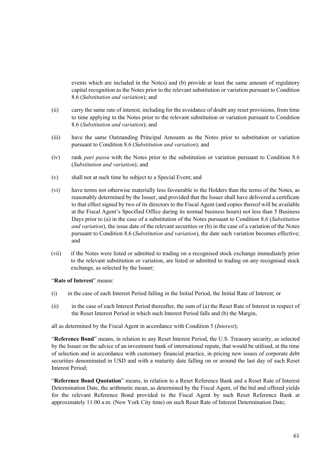events which are included in the Notes) and (b) provide at least the same amount of regulatory capital recognition as the Notes prior to the relevant substitution or variation pursuant to Condition 8.6 (*Substitution and variation*); and

- (ii) carry the same rate of interest, including for the avoidance of doubt any reset provisions, from time to time applying to the Notes prior to the relevant substitution or variation pursuant to Condition 8.6 (*Substitution and variation*); and
- (iii) have the same Outstanding Principal Amounts as the Notes prior to substitution or variation pursuant to Condition 8.6 (*Substitution and variation*); and
- (iv) rank *pari passu* with the Notes prior to the substitution or variation pursuant to Condition 8.6 (*Substitution and variation*); and
- (v) shall not at such time be subject to a Special Event; and
- (vi) have terms not otherwise materially less favourable to the Holders than the terms of the Notes, as reasonably determined by the Issuer, and provided that the Issuer shall have delivered a certificate to that effect signed by two of its directors to the Fiscal Agent (and copies thereof will be available at the Fiscal Agent's Specified Office during its normal business hours) not less than 5 Business Days prior to (a) in the case of a substitution of the Notes pursuant to Condition 8.6 (*Substitution and variation*), the issue date of the relevant securities or (b) in the case of a variation of the Notes pursuant to Condition 8.6 (*Substitution and variation*), the date such variation becomes effective; and
- (vii) if the Notes were listed or admitted to trading on a recognised stock exchange immediately prior to the relevant substitution or variation, are listed or admitted to trading on any recognised stock exchange, as selected by the Issuer;

"**Rate of Interest**" means:

- (i) in the case of each Interest Period falling in the Initial Period, the Initial Rate of Interest; or
- (ii) in the case of each Interest Period thereafter, the sum of (a) the Reset Rate of Interest in respect of the Reset Interest Period in which such Interest Period falls and (b) the Margin,

all as determined by the Fiscal Agent in accordance with Condition 5 (*Interest*);

"**Reference Bond**" means, in relation to any Reset Interest Period, the U.S. Treasury security, as selected by the Issuer on the advice of an investment bank of international repute, that would be utilised, at the time of selection and in accordance with customary financial practice, in pricing new issues of corporate debt securities denominated in USD and with a maturity date falling on or around the last day of such Reset Interest Period;

"**Reference Bond Quotation**" means, in relation to a Reset Reference Bank and a Reset Rate of Interest Determination Date, the arithmetic mean, as determined by the Fiscal Agent, of the bid and offered yields for the relevant Reference Bond provided to the Fiscal Agent by such Reset Reference Bank at approximately 11:00 a.m. (New York City time) on such Reset Rate of Interest Determination Date;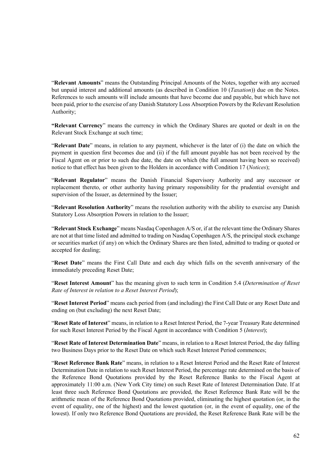"**Relevant Amounts**" means the Outstanding Principal Amounts of the Notes, together with any accrued but unpaid interest and additional amounts (as described in Condition 10 (*Taxation*)) due on the Notes. References to such amounts will include amounts that have become due and payable, but which have not been paid, prior to the exercise of any Danish Statutory Loss Absorption Powers by the Relevant Resolution Authority;

**"Relevant Currency**" means the currency in which the Ordinary Shares are quoted or dealt in on the Relevant Stock Exchange at such time;

"**Relevant Date**" means, in relation to any payment, whichever is the later of (i) the date on which the payment in question first becomes due and (ii) if the full amount payable has not been received by the Fiscal Agent on or prior to such due date, the date on which (the full amount having been so received) notice to that effect has been given to the Holders in accordance with Condition 17 (*Notices*);

"**Relevant Regulator**" means the Danish Financial Supervisory Authority and any successor or replacement thereto, or other authority having primary responsibility for the prudential oversight and supervision of the Issuer, as determined by the Issuer;

"**Relevant Resolution Authority**" means the resolution authority with the ability to exercise any Danish Statutory Loss Absorption Powers in relation to the Issuer;

"**Relevant Stock Exchange**" means Nasdaq Copenhagen A/S or, if at the relevant time the Ordinary Shares are not at that time listed and admitted to trading on Nasdaq Copenhagen A/S, the principal stock exchange or securities market (if any) on which the Ordinary Shares are then listed, admitted to trading or quoted or accepted for dealing;

"**Reset Date**" means the First Call Date and each day which falls on the seventh anniversary of the immediately preceding Reset Date;

"**Reset Interest Amount**" has the meaning given to such term in Condition 5.4 (*Determination of Reset Rate of Interest in relation to a Reset Interest Period*);

"**Reset Interest Period**" means each period from (and including) the First Call Date or any Reset Date and ending on (but excluding) the next Reset Date;

"**Reset Rate of Interest**" means, in relation to a Reset Interest Period, the 7-year Treasury Rate determined for such Reset Interest Period by the Fiscal Agent in accordance with Condition 5 (*Interest*);

"**Reset Rate of Interest Determination Date**" means, in relation to a Reset Interest Period, the day falling two Business Days prior to the Reset Date on which such Reset Interest Period commences;

"**Reset Reference Bank Rate**" means, in relation to a Reset Interest Period and the Reset Rate of Interest Determination Date in relation to such Reset Interest Period, the percentage rate determined on the basis of the Reference Bond Quotations provided by the Reset Reference Banks to the Fiscal Agent at approximately 11:00 a.m. (New York City time) on such Reset Rate of Interest Determination Date. If at least three such Reference Bond Quotations are provided, the Reset Reference Bank Rate will be the arithmetic mean of the Reference Bond Quotations provided, eliminating the highest quotation (or, in the event of equality, one of the highest) and the lowest quotation (or, in the event of equality, one of the lowest). If only two Reference Bond Quotations are provided, the Reset Reference Bank Rate will be the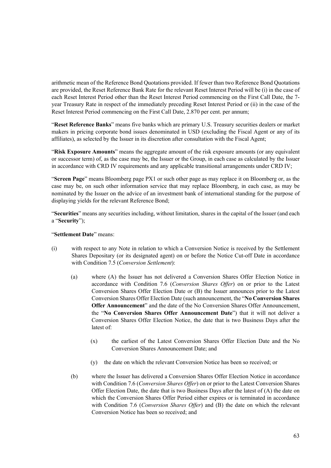arithmetic mean of the Reference Bond Quotations provided. If fewer than two Reference Bond Quotations are provided, the Reset Reference Bank Rate for the relevant Reset Interest Period will be (i) in the case of each Reset Interest Period other than the Reset Interest Period commencing on the First Call Date, the 7 year Treasury Rate in respect of the immediately preceding Reset Interest Period or (ii) in the case of the Reset Interest Period commencing on the First Call Date, 2.870 per cent. per annum;

"**Reset Reference Banks**" means five banks which are primary U.S. Treasury securities dealers or market makers in pricing corporate bond issues denominated in USD (excluding the Fiscal Agent or any of its affiliates), as selected by the Issuer in its discretion after consultation with the Fiscal Agent;

"**Risk Exposure Amounts**" means the aggregate amount of the risk exposure amounts (or any equivalent or successor term) of, as the case may be, the Issuer or the Group, in each case as calculated by the Issuer in accordance with CRD IV requirements and any applicable transitional arrangements under CRD IV;

"**Screen Page**" means Bloomberg page PX1 or such other page as may replace it on Bloomberg or, as the case may be, on such other information service that may replace Bloomberg, in each case, as may be nominated by the Issuer on the advice of an investment bank of international standing for the purpose of displaying yields for the relevant Reference Bond;

"**Securities**" means any securities including, without limitation, shares in the capital of the Issuer (and each a "**Security**");

### "**Settlement Date**" means:

- (i) with respect to any Note in relation to which a Conversion Notice is received by the Settlement Shares Depositary (or its designated agent) on or before the Notice Cut-off Date in accordance with Condition 7.5 (*Conversion Settlement*):
	- (a) where (A) the Issuer has not delivered a Conversion Shares Offer Election Notice in accordance with Condition 7.6 (*Conversion Shares Offer*) on or prior to the Latest Conversion Shares Offer Election Date or (B) the Issuer announces prior to the Latest Conversion Shares Offer Election Date (such announcement, the "**No Conversion Shares Offer Announcement**" and the date of the No Conversion Shares Offer Announcement, the "**No Conversion Shares Offer Announcement Date**") that it will not deliver a Conversion Shares Offer Election Notice, the date that is two Business Days after the latest of:
		- (x) the earliest of the Latest Conversion Shares Offer Election Date and the No Conversion Shares Announcement Date; and
		- (y) the date on which the relevant Conversion Notice has been so received; or
	- (b) where the Issuer has delivered a Conversion Shares Offer Election Notice in accordance with Condition 7.6 (*Conversion Shares Offer*) on or prior to the Latest Conversion Shares Offer Election Date, the date that is two Business Days after the latest of  $(A)$  the date on which the Conversion Shares Offer Period either expires or is terminated in accordance with Condition 7.6 (*Conversion Shares Offer*) and (B) the date on which the relevant Conversion Notice has been so received; and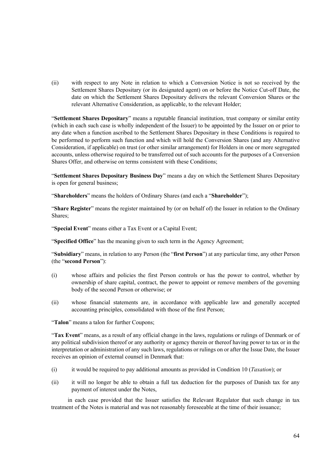(ii) with respect to any Note in relation to which a Conversion Notice is not so received by the Settlement Shares Depositary (or its designated agent) on or before the Notice Cut-off Date, the date on which the Settlement Shares Depositary delivers the relevant Conversion Shares or the relevant Alternative Consideration, as applicable, to the relevant Holder;

"**Settlement Shares Depositary**" means a reputable financial institution, trust company or similar entity (which in each such case is wholly independent of the Issuer) to be appointed by the Issuer on or prior to any date when a function ascribed to the Settlement Shares Depositary in these Conditions is required to be performed to perform such function and which will hold the Conversion Shares (and any Alternative Consideration, if applicable) on trust (or other similar arrangement) for Holders in one or more segregated accounts, unless otherwise required to be transferred out of such accounts for the purposes of a Conversion Shares Offer, and otherwise on terms consistent with these Conditions;

"**Settlement Shares Depositary Business Day**" means a day on which the Settlement Shares Depositary is open for general business;

"**Shareholders**" means the holders of Ordinary Shares (and each a "**Shareholder**");

"**Share Register**" means the register maintained by (or on behalf of) the Issuer in relation to the Ordinary Shares;

"**Special Event**" means either a Tax Event or a Capital Event;

"**Specified Office**" has the meaning given to such term in the Agency Agreement;

"**Subsidiary**" means, in relation to any Person (the "**first Person**") at any particular time, any other Person (the "**second Person**"):

- (i) whose affairs and policies the first Person controls or has the power to control, whether by ownership of share capital, contract, the power to appoint or remove members of the governing body of the second Person or otherwise; or
- (ii) whose financial statements are, in accordance with applicable law and generally accepted accounting principles, consolidated with those of the first Person;

"**Talon**" means a talon for further Coupons;

"**Tax Event**" means, as a result of any official change in the laws, regulations or rulings of Denmark or of any political subdivision thereof or any authority or agency therein or thereof having power to tax or in the interpretation or administration of any such laws, regulations or rulings on or after the Issue Date, the Issuer receives an opinion of external counsel in Denmark that:

- (i) it would be required to pay additional amounts as provided in Condition 10 (*Taxation*); or
- (ii) it will no longer be able to obtain a full tax deduction for the purposes of Danish tax for any payment of interest under the Notes,

 in each case provided that the Issuer satisfies the Relevant Regulator that such change in tax treatment of the Notes is material and was not reasonably foreseeable at the time of their issuance;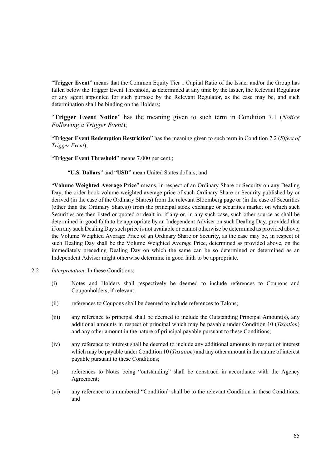"**Trigger Event**" means that the Common Equity Tier 1 Capital Ratio of the Issuer and/or the Group has fallen below the Trigger Event Threshold, as determined at any time by the Issuer, the Relevant Regulator or any agent appointed for such purpose by the Relevant Regulator, as the case may be, and such determination shall be binding on the Holders;

"**Trigger Event Notice**" has the meaning given to such term in Condition 7.1 (*Notice Following a Trigger Event*);

"**Trigger Event Redemption Restriction**" has the meaning given to such term in Condition 7.2 (*Effect of Trigger Event*);

"**Trigger Event Threshold**" means 7.000 per cent.;

"**U.S. Dollars**" and "**USD**" mean United States dollars; and

"**Volume Weighted Average Price**" means, in respect of an Ordinary Share or Security on any Dealing Day, the order book volume-weighted average price of such Ordinary Share or Security published by or derived (in the case of the Ordinary Shares) from the relevant Bloomberg page or (in the case of Securities (other than the Ordinary Shares)) from the principal stock exchange or securities market on which such Securities are then listed or quoted or dealt in, if any or, in any such case, such other source as shall be determined in good faith to be appropriate by an Independent Adviser on such Dealing Day, provided that if on any such Dealing Day such price is not available or cannot otherwise be determined as provided above, the Volume Weighted Average Price of an Ordinary Share or Security, as the case may be, in respect of such Dealing Day shall be the Volume Weighted Average Price, determined as provided above, on the immediately preceding Dealing Day on which the same can be so determined or determined as an Independent Adviser might otherwise determine in good faith to be appropriate.

- 2.2 *Interpretation*: In these Conditions:
	- (i) Notes and Holders shall respectively be deemed to include references to Coupons and Couponholders, if relevant;
	- (ii) references to Coupons shall be deemed to include references to Talons;
	- (iii) any reference to principal shall be deemed to include the Outstanding Principal Amount(s), any additional amounts in respect of principal which may be payable under Condition 10 (*Taxation*) and any other amount in the nature of principal payable pursuant to these Conditions;
	- (iv) any reference to interest shall be deemed to include any additional amounts in respect of interest which may be payable under Condition 10 (*Taxation*) and any other amount in the nature of interest payable pursuant to these Conditions;
	- (v) references to Notes being "outstanding" shall be construed in accordance with the Agency Agreement;
	- (vi) any reference to a numbered "Condition" shall be to the relevant Condition in these Conditions; and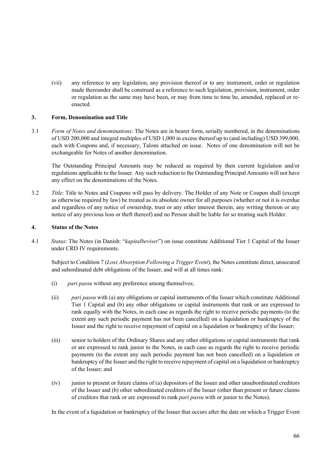(vii) any reference to any legislation, any provision thereof or to any instrument, order or regulation made thereunder shall be construed as a reference to such legislation, provision, instrument, order or regulation as the same may have been, or may from time to time be, amended, replaced or reenacted.

### **3. Form, Denomination and Title**

3.1 *Form of Notes and denominations*: The Notes are in bearer form, serially numbered, in the denominations of USD 200,000 and integral multiples of USD 1,000 in excess thereof up to (and including) USD 399,000, each with Coupons and, if necessary, Talons attached on issue. Notes of one denomination will not be exchangeable for Notes of another denomination.

The Outstanding Principal Amounts may be reduced as required by then current legislation and/or regulations applicable to the Issuer. Any such reduction to the Outstanding Principal Amounts will not have any effect on the denominations of the Notes.

3.2 *Title*: Title to Notes and Coupons will pass by delivery. The Holder of any Note or Coupon shall (except as otherwise required by law) be treated as its absolute owner for all purposes (whether or not it is overdue and regardless of any notice of ownership, trust or any other interest therein, any writing thereon or any notice of any previous loss or theft thereof) and no Person shall be liable for so treating such Holder.

### **4. Status of the Notes**

4.1 *Status*: The Notes (in Danish: "*kapitalbeviser*") on issue constitute Additional Tier 1 Capital of the Issuer under CRD IV requirements.

Subject to Condition 7 (*Loss Absorption Following a Trigger Event*), the Notes constitute direct, unsecured and subordinated debt obligations of the Issuer, and will at all times rank:

- (i) *pari passu* without any preference among themselves;
- (ii) *pari passu* with (a) any obligations or capital instruments of the Issuer which constitute Additional Tier 1 Capital and (b) any other obligations or capital instruments that rank or are expressed to rank equally with the Notes, in each case as regards the right to receive periodic payments (to the extent any such periodic payment has not been cancelled) on a liquidation or bankruptcy of the Issuer and the right to receive repayment of capital on a liquidation or bankruptcy of the Issuer;
- (iii) senior to holders of the Ordinary Shares and any other obligations or capital instruments that rank or are expressed to rank junior to the Notes, in each case as regards the right to receive periodic payments (to the extent any such periodic payment has not been cancelled) on a liquidation or bankruptcy of the Issuer and the right to receive repayment of capital on a liquidation or bankruptcy of the Issuer; and
- (iv) junior to present or future claims of (a) depositors of the Issuer and other unsubordinated creditors of the Issuer and (b) other subordinated creditors of the Issuer (other than present or future claims of creditors that rank or are expressed to rank *pari passu* with or junior to the Notes).

In the event of a liquidation or bankruptcy of the Issuer that occurs after the date on which a Trigger Event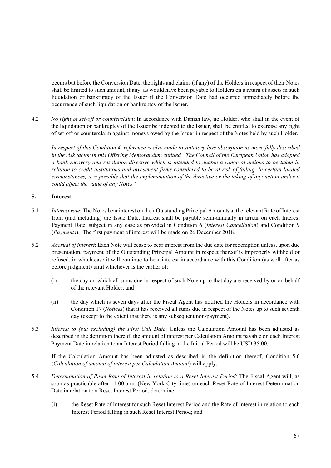occurs but before the Conversion Date, the rights and claims (if any) of the Holders in respect of their Notes shall be limited to such amount, if any, as would have been payable to Holders on a return of assets in such liquidation or bankruptcy of the Issuer if the Conversion Date had occurred immediately before the occurrence of such liquidation or bankruptcy of the Issuer.

4.2 *No right of set-off or counterclaim*: In accordance with Danish law, no Holder, who shall in the event of the liquidation or bankruptcy of the Issuer be indebted to the Issuer, shall be entitled to exercise any right of set-off or counterclaim against moneys owed by the Issuer in respect of the Notes held by such Holder.

*In respect of this Condition 4, reference is also made to statutory loss absorption as more fully described in the risk factor in this Offering Memorandum entitled "The Council of the European Union has adopted a bank recovery and resolution directive which is intended to enable a range of actions to be taken in relation to credit institutions and investment firms considered to be at risk of failing. In certain limited circumstances, it is possible that the implementation of the directive or the taking of any action under it could affect the value of any Notes".* 

## **5. Interest**

- 5.1 *Interest rate*: The Notes bear interest on their Outstanding Principal Amounts at the relevant Rate of Interest from (and including) the Issue Date. Interest shall be payable semi-annually in arrear on each Interest Payment Date, subject in any case as provided in Condition 6 (*Interest Cancellation*) and Condition 9 (*Payments*). The first payment of interest will be made on 26 December 2018.
- 5.2 *Accrual of interest*: Each Note will cease to bear interest from the due date for redemption unless, upon due presentation, payment of the Outstanding Principal Amount in respect thereof is improperly withheld or refused, in which case it will continue to bear interest in accordance with this Condition (as well after as before judgment) until whichever is the earlier of:
	- (i) the day on which all sums due in respect of such Note up to that day are received by or on behalf of the relevant Holder; and
	- (ii) the day which is seven days after the Fiscal Agent has notified the Holders in accordance with Condition 17 (*Notices*) that it has received all sums due in respect of the Notes up to such seventh day (except to the extent that there is any subsequent non-payment).
- 5.3 *Interest to (but excluding) the First Call Date*: Unless the Calculation Amount has been adjusted as described in the definition thereof, the amount of interest per Calculation Amount payable on each Interest Payment Date in relation to an Interest Period falling in the Initial Period will be USD 35.00.

If the Calculation Amount has been adjusted as described in the definition thereof, Condition 5.6 (*Calculation of amount of interest per Calculation Amount*) will apply.

- 5.4 *Determination of Reset Rate of Interest in relation to a Reset Interest Period*: The Fiscal Agent will, as soon as practicable after 11:00 a.m. (New York City time) on each Reset Rate of Interest Determination Date in relation to a Reset Interest Period, determine:
	- (i) the Reset Rate of Interest for such Reset Interest Period and the Rate of Interest in relation to each Interest Period falling in such Reset Interest Period; and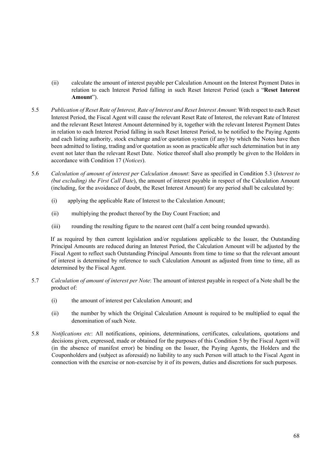- (ii) calculate the amount of interest payable per Calculation Amount on the Interest Payment Dates in relation to each Interest Period falling in such Reset Interest Period (each a "**Reset Interest Amount**").
- 5.5 *Publication of Reset Rate of Interest, Rate of Interest and Reset Interest Amount*: With respect to each Reset Interest Period, the Fiscal Agent will cause the relevant Reset Rate of Interest, the relevant Rate of Interest and the relevant Reset Interest Amount determined by it, together with the relevant Interest Payment Dates in relation to each Interest Period falling in such Reset Interest Period, to be notified to the Paying Agents and each listing authority, stock exchange and/or quotation system (if any) by which the Notes have then been admitted to listing, trading and/or quotation as soon as practicable after such determination but in any event not later than the relevant Reset Date. Notice thereof shall also promptly be given to the Holders in accordance with Condition 17 (*Notices*).
- 5.6 *Calculation of amount of interest per Calculation Amount*: Save as specified in Condition 5.3 (*Interest to (but excluding) the First Call Date*), the amount of interest payable in respect of the Calculation Amount (including, for the avoidance of doubt, the Reset Interest Amount) for any period shall be calculated by:
	- (i) applying the applicable Rate of Interest to the Calculation Amount;
	- (ii) multiplying the product thereof by the Day Count Fraction; and
	- (iii) rounding the resulting figure to the nearest cent (half a cent being rounded upwards).

If as required by then current legislation and/or regulations applicable to the Issuer, the Outstanding Principal Amounts are reduced during an Interest Period, the Calculation Amount will be adjusted by the Fiscal Agent to reflect such Outstanding Principal Amounts from time to time so that the relevant amount of interest is determined by reference to such Calculation Amount as adjusted from time to time, all as determined by the Fiscal Agent.

- 5.7 *Calculation of amount of interest per Note*: The amount of interest payable in respect of a Note shall be the product of:
	- (i) the amount of interest per Calculation Amount; and
	- (ii) the number by which the Original Calculation Amount is required to be multiplied to equal the denomination of such Note.
- 5.8 *Notifications etc*: All notifications, opinions, determinations, certificates, calculations, quotations and decisions given, expressed, made or obtained for the purposes of this Condition 5 by the Fiscal Agent will (in the absence of manifest error) be binding on the Issuer, the Paying Agents, the Holders and the Couponholders and (subject as aforesaid) no liability to any such Person will attach to the Fiscal Agent in connection with the exercise or non-exercise by it of its powers, duties and discretions for such purposes.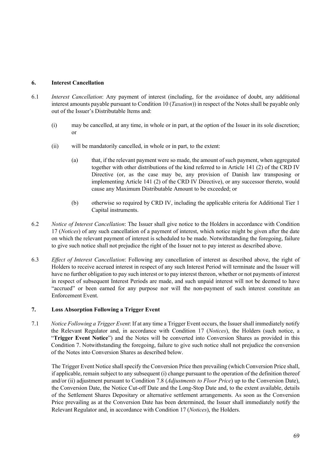## **6. Interest Cancellation**

- 6.1 *Interest Cancellation*: Any payment of interest (including, for the avoidance of doubt, any additional interest amounts payable pursuant to Condition 10 (*Taxation*)) in respect of the Notes shall be payable only out of the Issuer's Distributable Items and:
	- (i) may be cancelled, at any time, in whole or in part, at the option of the Issuer in its sole discretion; or
	- (ii) will be mandatorily cancelled, in whole or in part, to the extent:
		- (a) that, if the relevant payment were so made, the amount of such payment, when aggregated together with other distributions of the kind referred to in Article 141 (2) of the CRD IV Directive (or, as the case may be, any provision of Danish law transposing or implementing Article 141 (2) of the CRD IV Directive), or any successor thereto, would cause any Maximum Distributable Amount to be exceeded; or
		- (b) otherwise so required by CRD IV, including the applicable criteria for Additional Tier 1 Capital instruments.
- 6.2 *Notice of Interest Cancellation*: The Issuer shall give notice to the Holders in accordance with Condition 17 (*Notices*) of any such cancellation of a payment of interest, which notice might be given after the date on which the relevant payment of interest is scheduled to be made. Notwithstanding the foregoing, failure to give such notice shall not prejudice the right of the Issuer not to pay interest as described above.
- 6.3 *Effect of Interest Cancellation*: Following any cancellation of interest as described above, the right of Holders to receive accrued interest in respect of any such Interest Period will terminate and the Issuer will have no further obligation to pay such interest or to pay interest thereon, whether or not payments of interest in respect of subsequent Interest Periods are made, and such unpaid interest will not be deemed to have "accrued" or been earned for any purpose nor will the non-payment of such interest constitute an Enforcement Event.

## **7. Loss Absorption Following a Trigger Event**

7.1 *Notice Following a Trigger Event*: If at any time a Trigger Event occurs, the Issuer shall immediately notify the Relevant Regulator and, in accordance with Condition 17 (*Notices*), the Holders (such notice, a "**Trigger Event Notice**") and the Notes will be converted into Conversion Shares as provided in this Condition 7. Notwithstanding the foregoing, failure to give such notice shall not prejudice the conversion of the Notes into Conversion Shares as described below.

The Trigger Event Notice shall specify the Conversion Price then prevailing (which Conversion Price shall, if applicable, remain subject to any subsequent (i) change pursuant to the operation of the definition thereof and/or (ii) adjustment pursuant to Condition 7.8 (*Adjustments to Floor Price*) up to the Conversion Date), the Conversion Date, the Notice Cut-off Date and the Long-Stop Date and, to the extent available, details of the Settlement Shares Depositary or alternative settlement arrangements. As soon as the Conversion Price prevailing as at the Conversion Date has been determined, the Issuer shall immediately notify the Relevant Regulator and, in accordance with Condition 17 (*Notices*), the Holders.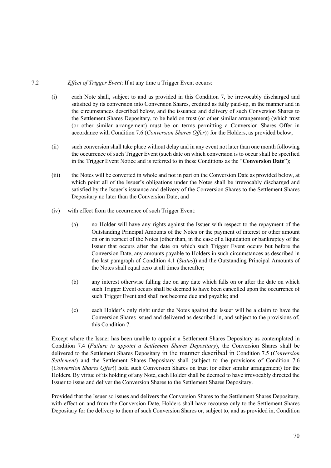## 7.2 *Effect of Trigger Event*: If at any time a Trigger Event occurs:

- (i) each Note shall, subject to and as provided in this Condition 7, be irrevocably discharged and satisfied by its conversion into Conversion Shares, credited as fully paid-up, in the manner and in the circumstances described below, and the issuance and delivery of such Conversion Shares to the Settlement Shares Depositary, to be held on trust (or other similar arrangement) (which trust (or other similar arrangement) must be on terms permitting a Conversion Shares Offer in accordance with Condition 7.6 (*Conversion Shares Offer*)) for the Holders, as provided below;
- (ii) such conversion shall take place without delay and in any event not later than one month following the occurrence of such Trigger Event (such date on which conversion is to occur shall be specified in the Trigger Event Notice and is referred to in these Conditions as the "**Conversion Date**");
- (iii) the Notes will be converted in whole and not in part on the Conversion Date as provided below, at which point all of the Issuer's obligations under the Notes shall be irrevocably discharged and satisfied by the Issuer's issuance and delivery of the Conversion Shares to the Settlement Shares Depositary no later than the Conversion Date; and
- (iv) with effect from the occurrence of such Trigger Event:
	- (a) no Holder will have any rights against the Issuer with respect to the repayment of the Outstanding Principal Amounts of the Notes or the payment of interest or other amount on or in respect of the Notes (other than, in the case of a liquidation or bankruptcy of the Issuer that occurs after the date on which such Trigger Event occurs but before the Conversion Date, any amounts payable to Holders in such circumstances as described in the last paragraph of Condition 4.1 (*Status*)) and the Outstanding Principal Amounts of the Notes shall equal zero at all times thereafter;
	- (b) any interest otherwise falling due on any date which falls on or after the date on which such Trigger Event occurs shall be deemed to have been cancelled upon the occurrence of such Trigger Event and shall not become due and payable; and
	- (c) each Holder's only right under the Notes against the Issuer will be a claim to have the Conversion Shares issued and delivered as described in, and subject to the provisions of, this Condition 7.

Except where the Issuer has been unable to appoint a Settlement Shares Depositary as contemplated in Condition 7.4 (*Failure to appoint a Settlement Shares Depositary*), the Conversion Shares shall be delivered to the Settlement Shares Depositary in the manner described in Condition 7.5 (*Conversion Settlement*) and the Settlement Shares Depositary shall (subject to the provisions of Condition 7.6 (*Conversion Shares Offer*)) hold such Conversion Shares on trust (or other similar arrangement) for the Holders. By virtue of its holding of any Note, each Holder shall be deemed to have irrevocably directed the Issuer to issue and deliver the Conversion Shares to the Settlement Shares Depositary.

Provided that the Issuer so issues and delivers the Conversion Shares to the Settlement Shares Depositary, with effect on and from the Conversion Date, Holders shall have recourse only to the Settlement Shares Depositary for the delivery to them of such Conversion Shares or, subject to, and as provided in, Condition

70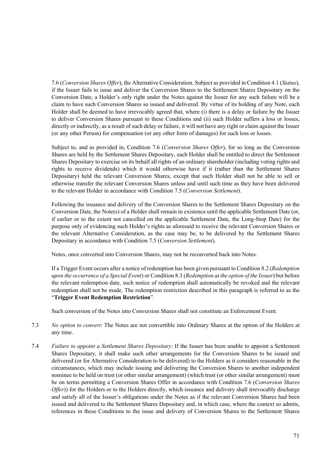7.6 (*Conversion Shares Offer*), the Alternative Consideration. Subject as provided in Condition 4.1 (*Status*), if the Issuer fails to issue and deliver the Conversion Shares to the Settlement Shares Depositary on the Conversion Date, a Holder's only right under the Notes against the Issuer for any such failure will be a claim to have such Conversion Shares so issued and delivered. By virtue of its holding of any Note, each Holder shall be deemed to have irrevocably agreed that, where (i) there is a delay or failure by the Issuer to deliver Conversion Shares pursuant to these Conditions and (ii) such Holder suffers a loss or losses, directly or indirectly, as a result of such delay or failure, it will not have any right or claim against the Issuer (or any other Person) for compensation (or any other form of damages) for such loss or losses.

Subject to, and as provided in, Condition 7.6 (*Conversion Shares Offer*), for so long as the Conversion Shares are held by the Settlement Shares Depositary, each Holder shall be entitled to direct the Settlement Shares Depositary to exercise on its behalf all rights of an ordinary shareholder (including voting rights and rights to receive dividends) which it would otherwise have if it (rather than the Settlement Shares Depositary) held the relevant Conversion Shares, except that such Holder shall not be able to sell or otherwise transfer the relevant Conversion Shares unless and until such time as they have been delivered to the relevant Holder in accordance with Condition 7.5 (*Conversion Settlement*).

Following the issuance and delivery of the Conversion Shares to the Settlement Shares Depositary on the Conversion Date, the Note(s) of a Holder shall remain in existence until the applicable Settlement Date (or, if earlier or to the extent not cancelled on the applicable Settlement Date, the Long-Stop Date) for the purpose only of evidencing such Holder's rights as aforesaid to receive the relevant Conversion Shares or the relevant Alternative Consideration, as the case may be, to be delivered by the Settlement Shares Depositary in accordance with Condition 7.5 (*Conversion Settlement*).

Notes, once converted into Conversion Shares, may not be reconverted back into Notes.

If a Trigger Event occurs after a notice of redemption has been given pursuant to Condition 8.2 (*Redemption upon the occurrence of a Special Event*) or Condition 8.3 (*Redemption at the option of the Issuer*) but before the relevant redemption date, such notice of redemption shall automatically be revoked and the relevant redemption shall not be made. The redemption restriction described in this paragraph is referred to as the "**Trigger Event Redemption Restriction**".

Such conversion of the Notes into Conversion Shares shall not constitute an Enforcement Event.

- 7.3 *No option to convert*: The Notes are not convertible into Ordinary Shares at the option of the Holders at any time.
- 7.4 *Failure to appoint a Settlement Shares Depositary*: If the Issuer has been unable to appoint a Settlement Shares Depositary, it shall make such other arrangements for the Conversion Shares to be issued and delivered (or for Alternative Consideration to be delivered) to the Holders as it considers reasonable in the circumstances, which may include issuing and delivering the Conversion Shares to another independent nominee to be held on trust (or other similar arrangement) (which trust (or other similar arrangement) must be on terms permitting a Conversion Shares Offer in accordance with Condition 7.6 (*Conversion Shares Offer*)) for the Holders or to the Holders directly, which issuance and delivery shall irrevocably discharge and satisfy all of the Issuer's obligations under the Notes as if the relevant Conversion Shares had been issued and delivered to the Settlement Shares Depositary and, in which case, where the context so admits, references in these Conditions to the issue and delivery of Conversion Shares to the Settlement Shares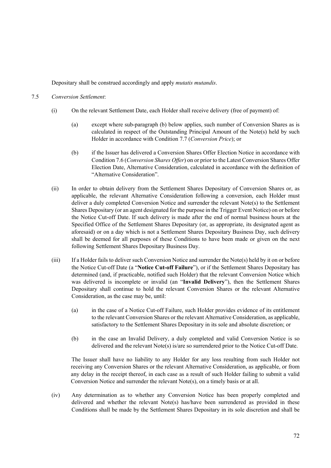Depositary shall be construed accordingly and apply *mutatis mutandis*.

### 7.5 *Conversion Settlement*:

- (i) On the relevant Settlement Date, each Holder shall receive delivery (free of payment) of:
	- (a) except where sub-paragraph (b) below applies, such number of Conversion Shares as is calculated in respect of the Outstanding Principal Amount of the Note(s) held by such Holder in accordance with Condition 7.7 (*Conversion Price*); or
	- (b) if the Issuer has delivered a Conversion Shares Offer Election Notice in accordance with Condition 7.6 (*Conversion Shares Offer*) on or prior to the Latest Conversion Shares Offer Election Date, Alternative Consideration, calculated in accordance with the definition of "Alternative Consideration".
- (ii) In order to obtain delivery from the Settlement Shares Depositary of Conversion Shares or, as applicable, the relevant Alternative Consideration following a conversion, each Holder must deliver a duly completed Conversion Notice and surrender the relevant Note(s) to the Settlement Shares Depositary (or an agent designated for the purpose in the Trigger Event Notice) on or before the Notice Cut-off Date. If such delivery is made after the end of normal business hours at the Specified Office of the Settlement Shares Depositary (or, as appropriate, its designated agent as aforesaid) or on a day which is not a Settlement Shares Depositary Business Day, such delivery shall be deemed for all purposes of these Conditions to have been made or given on the next following Settlement Shares Depositary Business Day.
- (iii) If a Holder fails to deliver such Conversion Notice and surrender the Note(s) held by it on or before the Notice Cut-off Date (a "**Notice Cut-off Failure**"), or if the Settlement Shares Depositary has determined (and, if practicable, notified such Holder) that the relevant Conversion Notice which was delivered is incomplete or invalid (an "**Invalid Delivery**"), then the Settlement Shares Depositary shall continue to hold the relevant Conversion Shares or the relevant Alternative Consideration, as the case may be, until:
	- (a) in the case of a Notice Cut-off Failure, such Holder provides evidence of its entitlement to the relevant Conversion Shares or the relevant Alternative Consideration, as applicable, satisfactory to the Settlement Shares Depositary in its sole and absolute discretion; or
	- (b) in the case an Invalid Delivery, a duly completed and valid Conversion Notice is so delivered and the relevant Note(s) is/are so surrendered prior to the Notice Cut-off Date.

The Issuer shall have no liability to any Holder for any loss resulting from such Holder not receiving any Conversion Shares or the relevant Alternative Consideration, as applicable, or from any delay in the receipt thereof, in each case as a result of such Holder failing to submit a valid Conversion Notice and surrender the relevant Note(s), on a timely basis or at all.

(iv) Any determination as to whether any Conversion Notice has been properly completed and delivered and whether the relevant Note(s) has/have been surrendered as provided in these Conditions shall be made by the Settlement Shares Depositary in its sole discretion and shall be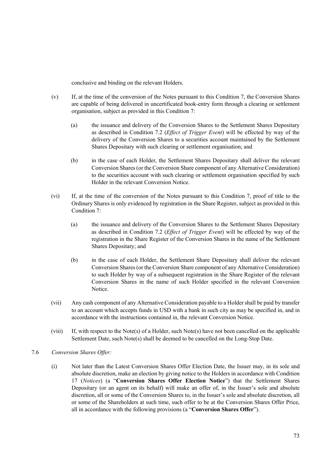conclusive and binding on the relevant Holders.

- (v) If, at the time of the conversion of the Notes pursuant to this Condition 7, the Conversion Shares are capable of being delivered in uncertificated book-entry form through a clearing or settlement organisation, subject as provided in this Condition 7:
	- (a) the issuance and delivery of the Conversion Shares to the Settlement Shares Depositary as described in Condition 7.2 (*Effect of Trigger Event*) will be effected by way of the delivery of the Conversion Shares to a securities account maintained by the Settlement Shares Depositary with such clearing or settlement organisation; and
	- (b) in the case of each Holder, the Settlement Shares Depositary shall deliver the relevant Conversion Shares (or the Conversion Share component of any Alternative Consideration) to the securities account with such clearing or settlement organisation specified by such Holder in the relevant Conversion Notice.
- (vi) If, at the time of the conversion of the Notes pursuant to this Condition 7, proof of title to the Ordinary Shares is only evidenced by registration in the Share Register, subject as provided in this Condition 7:
	- (a) the issuance and delivery of the Conversion Shares to the Settlement Shares Depositary as described in Condition 7.2 (*Effect of Trigger Event*) will be effected by way of the registration in the Share Register of the Conversion Shares in the name of the Settlement Shares Depositary; and
	- (b) in the case of each Holder, the Settlement Share Depositary shall deliver the relevant Conversion Shares (or the Conversion Share component of any Alternative Consideration) to such Holder by way of a subsequent registration in the Share Register of the relevant Conversion Shares in the name of such Holder specified in the relevant Conversion Notice.
- (vii) Any cash component of any Alternative Consideration payable to a Holder shall be paid by transfer to an account which accepts funds in USD with a bank in such city as may be specified in, and in accordance with the instructions contained in, the relevant Conversion Notice.
- (viii) If, with respect to the Note(s) of a Holder, such Note(s) have not been cancelled on the applicable Settlement Date, such Note(s) shall be deemed to be cancelled on the Long-Stop Date.
- 7.6 *Conversion Shares Offer:* 
	- (i) Not later than the Latest Conversion Shares Offer Election Date, the Issuer may, in its sole and absolute discretion, make an election by giving notice to the Holders in accordance with Condition 17 (*Notices*) (a "**Conversion Shares Offer Election Notice**") that the Settlement Shares Depositary (or an agent on its behalf) will make an offer of, in the Issuer's sole and absolute discretion, all or some of the Conversion Shares to, in the Issuer's sole and absolute discretion, all or some of the Shareholders at such time, such offer to be at the Conversion Shares Offer Price, all in accordance with the following provisions (a "**Conversion Shares Offer**").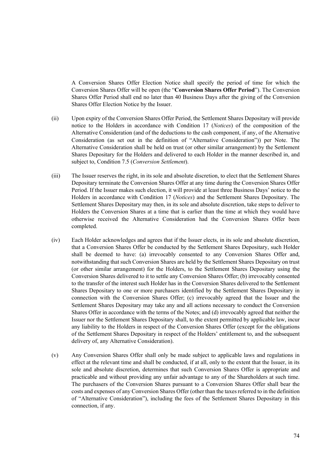A Conversion Shares Offer Election Notice shall specify the period of time for which the Conversion Shares Offer will be open (the "**Conversion Shares Offer Period**"). The Conversion Shares Offer Period shall end no later than 40 Business Days after the giving of the Conversion Shares Offer Election Notice by the Issuer.

- (ii) Upon expiry of the Conversion Shares Offer Period, the Settlement Shares Depositary will provide notice to the Holders in accordance with Condition 17 (*Notices*) of the composition of the Alternative Consideration (and of the deductions to the cash component, if any, of the Alternative Consideration (as set out in the definition of "Alternative Consideration")) per Note. The Alternative Consideration shall be held on trust (or other similar arrangement) by the Settlement Shares Depositary for the Holders and delivered to each Holder in the manner described in, and subject to, Condition 7.5 (*Conversion Settlement*).
- (iii) The Issuer reserves the right, in its sole and absolute discretion, to elect that the Settlement Shares Depositary terminate the Conversion Shares Offer at any time during the Conversion Shares Offer Period. If the Issuer makes such election, it will provide at least three Business Days' notice to the Holders in accordance with Condition 17 (*Notices*) and the Settlement Shares Depositary. The Settlement Shares Depositary may then, in its sole and absolute discretion, take steps to deliver to Holders the Conversion Shares at a time that is earlier than the time at which they would have otherwise received the Alternative Consideration had the Conversion Shares Offer been completed.
- (iv) Each Holder acknowledges and agrees that if the Issuer elects, in its sole and absolute discretion, that a Conversion Shares Offer be conducted by the Settlement Shares Depositary, such Holder shall be deemed to have: (a) irrevocably consented to any Conversion Shares Offer and, notwithstanding that such Conversion Shares are held by the Settlement Shares Depositary on trust (or other similar arrangement) for the Holders, to the Settlement Shares Depositary using the Conversion Shares delivered to it to settle any Conversion Shares Offer; (b) irrevocably consented to the transfer of the interest such Holder has in the Conversion Shares delivered to the Settlement Shares Depositary to one or more purchasers identified by the Settlement Shares Depositary in connection with the Conversion Shares Offer; (c) irrevocably agreed that the Issuer and the Settlement Shares Depositary may take any and all actions necessary to conduct the Conversion Shares Offer in accordance with the terms of the Notes; and (d) irrevocably agreed that neither the Issuer nor the Settlement Shares Depositary shall, to the extent permitted by applicable law, incur any liability to the Holders in respect of the Conversion Shares Offer (except for the obligations of the Settlement Shares Depositary in respect of the Holders' entitlement to, and the subsequent delivery of, any Alternative Consideration).
- (v) Any Conversion Shares Offer shall only be made subject to applicable laws and regulations in effect at the relevant time and shall be conducted, if at all, only to the extent that the Issuer, in its sole and absolute discretion, determines that such Conversion Shares Offer is appropriate and practicable and without providing any unfair advantage to any of the Shareholders at such time. The purchasers of the Conversion Shares pursuant to a Conversion Shares Offer shall bear the costs and expenses of any Conversion Shares Offer (other than the taxes referred to in the definition of "Alternative Consideration"), including the fees of the Settlement Shares Depositary in this connection, if any.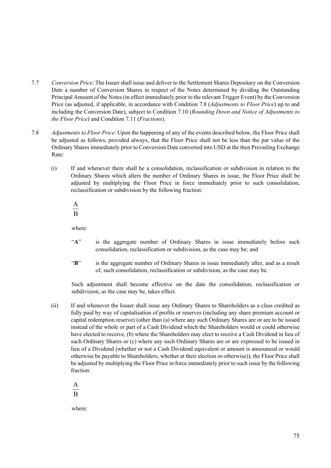- 7.7 *Conversion Price*: The Issuer shall issue and deliver to the Settlement Shares Depositary on the Conversion Date a number of Conversion Shares in respect of the Notes determined by dividing the Outstanding Principal Amount of the Notes (in effect immediately prior to the relevant Trigger Event) by the Conversion Price (as adjusted, if applicable, in accordance with Condition 7.8 (*Adjustments to Floor Price*) up to and including the Conversion Date), subject to Condition 7.10 (*Rounding Down and Notice of Adjustments to the Floor Price*) and Condition 7.11 (*Fractions*).
- 7.8 *Adjustments to Floor Price*: Upon the happening of any of the events described below, the Floor Price shall be adjusted as follows, provided always, that the Floor Price shall not be less than the par value of the Ordinary Shares immediately prior to Conversion Date converted into USD at the then Prevailing Exchange Rate:
	- (i) If and whenever there shall be a consolidation, reclassification or subdivision in relation to the Ordinary Shares which alters the number of Ordinary Shares in issue, the Floor Price shall be adjusted by multiplying the Floor Price in force immediately prior to such consolidation, reclassification or subdivision by the following fraction:

 $\overline{B}$ A

where:

- "A" is the aggregate number of Ordinary Shares in issue immediately before such consolidation, reclassification or subdivision, as the case may be; and
- "**B**" is the aggregate number of Ordinary Shares in issue immediately after, and as a result of, such consolidation, reclassification or subdivision, as the case may be.

Such adjustment shall become effective on the date the consolidation, reclassification or subdivision, as the case may be, takes effect.

(ii) If and whenever the Issuer shall issue any Ordinary Shares to Shareholders as a class credited as fully paid by way of capitalisation of profits or reserves (including any share premium account or capital redemption reserve) (other than (a) where any such Ordinary Shares are or are to be issued instead of the whole or part of a Cash Dividend which the Shareholders would or could otherwise have elected to receive, (b) where the Shareholders may elect to receive a Cash Dividend in lieu of such Ordinary Shares or (c) where any such Ordinary Shares are or are expressed to be issued in lieu of a Dividend (whether or not a Cash Dividend equivalent or amount is announced or would otherwise be payable to Shareholders, whether at their election or otherwise)), the Floor Price shall be adjusted by multiplying the Floor Price in force immediately prior to such issue by the following fraction:

B A

where: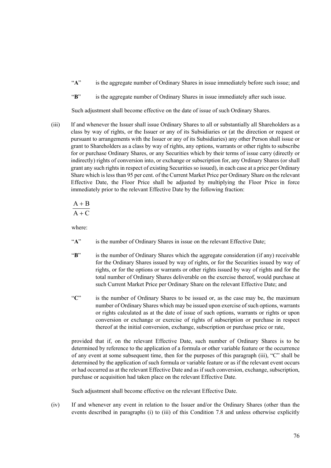- "A" is the aggregate number of Ordinary Shares in issue immediately before such issue; and
- "**B**" is the aggregate number of Ordinary Shares in issue immediately after such issue.

Such adjustment shall become effective on the date of issue of such Ordinary Shares.

(iii) If and whenever the Issuer shall issue Ordinary Shares to all or substantially all Shareholders as a class by way of rights, or the Issuer or any of its Subsidiaries or (at the direction or request or pursuant to arrangements with the Issuer or any of its Subsidiaries) any other Person shall issue or grant to Shareholders as a class by way of rights, any options, warrants or other rights to subscribe for or purchase Ordinary Shares, or any Securities which by their terms of issue carry (directly or indirectly) rights of conversion into, or exchange or subscription for, any Ordinary Shares (or shall grant any such rights in respect of existing Securities so issued), in each case at a price per Ordinary Share which is less than 95 per cent. of the Current Market Price per Ordinary Share on the relevant Effective Date, the Floor Price shall be adjusted by multiplying the Floor Price in force immediately prior to the relevant Effective Date by the following fraction:

$$
\frac{A+B}{A+C}
$$

where:

- "A" is the number of Ordinary Shares in issue on the relevant Effective Date;
- "**B**" is the number of Ordinary Shares which the aggregate consideration (if any) receivable for the Ordinary Shares issued by way of rights, or for the Securities issued by way of rights, or for the options or warrants or other rights issued by way of rights and for the total number of Ordinary Shares deliverable on the exercise thereof, would purchase at such Current Market Price per Ordinary Share on the relevant Effective Date; and
- "**C**" is the number of Ordinary Shares to be issued or, as the case may be, the maximum number of Ordinary Shares which may be issued upon exercise of such options, warrants or rights calculated as at the date of issue of such options, warrants or rights or upon conversion or exchange or exercise of rights of subscription or purchase in respect thereof at the initial conversion, exchange, subscription or purchase price or rate,

provided that if, on the relevant Effective Date, such number of Ordinary Shares is to be determined by reference to the application of a formula or other variable feature or the occurrence of any event at some subsequent time, then for the purposes of this paragraph (iii), "C" shall be determined by the application of such formula or variable feature or as if the relevant event occurs or had occurred as at the relevant Effective Date and as if such conversion, exchange, subscription, purchase or acquisition had taken place on the relevant Effective Date.

Such adjustment shall become effective on the relevant Effective Date.

(iv) If and whenever any event in relation to the Issuer and/or the Ordinary Shares (other than the events described in paragraphs (i) to (iii) of this Condition 7.8 and unless otherwise explicitly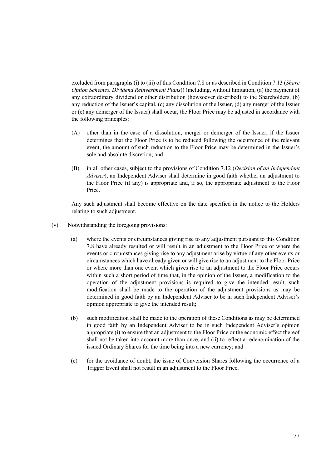excluded from paragraphs (i) to (iii) of this Condition 7.8 or as described in Condition 7.13 (*Share Option Schemes, Dividend Reinvestment Plans*)) (including, without limitation, (a) the payment of any extraordinary dividend or other distribution (howsoever described) to the Shareholders, (b) any reduction of the Issuer's capital, (c) any dissolution of the Issuer, (d) any merger of the Issuer or (e) any demerger of the Issuer) shall occur, the Floor Price may be adjusted in accordance with the following principles:

- (A) other than in the case of a dissolution, merger or demerger of the Issuer, if the Issuer determines that the Floor Price is to be reduced following the occurrence of the relevant event, the amount of such reduction to the Floor Price may be determined in the Issuer's sole and absolute discretion; and
- (B) in all other cases, subject to the provisions of Condition 7.12 (*Decision of an Independent Adviser*), an Independent Adviser shall determine in good faith whether an adjustment to the Floor Price (if any) is appropriate and, if so, the appropriate adjustment to the Floor Price.

Any such adjustment shall become effective on the date specified in the notice to the Holders relating to such adjustment.

- (v) Notwithstanding the foregoing provisions:
	- (a) where the events or circumstances giving rise to any adjustment pursuant to this Condition 7.8 have already resulted or will result in an adjustment to the Floor Price or where the events or circumstances giving rise to any adjustment arise by virtue of any other events or circumstances which have already given or will give rise to an adjustment to the Floor Price or where more than one event which gives rise to an adjustment to the Floor Price occurs within such a short period of time that, in the opinion of the Issuer, a modification to the operation of the adjustment provisions is required to give the intended result, such modification shall be made to the operation of the adjustment provisions as may be determined in good faith by an Independent Adviser to be in such Independent Adviser's opinion appropriate to give the intended result;
	- (b) such modification shall be made to the operation of these Conditions as may be determined in good faith by an Independent Adviser to be in such Independent Adviser's opinion appropriate (i) to ensure that an adjustment to the Floor Price or the economic effect thereof shall not be taken into account more than once, and (ii) to reflect a redenomination of the issued Ordinary Shares for the time being into a new currency; and
	- (c) for the avoidance of doubt, the issue of Conversion Shares following the occurrence of a Trigger Event shall not result in an adjustment to the Floor Price.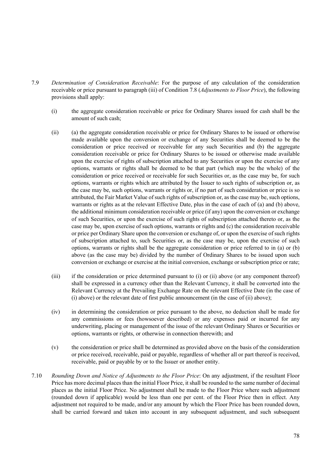- 7.9 *Determination of Consideration Receivable*: For the purpose of any calculation of the consideration receivable or price pursuant to paragraph (iii) of Condition 7.8 (*Adjustments to Floor Price*), the following provisions shall apply:
	- (i) the aggregate consideration receivable or price for Ordinary Shares issued for cash shall be the amount of such cash;
	- (ii) (a) the aggregate consideration receivable or price for Ordinary Shares to be issued or otherwise made available upon the conversion or exchange of any Securities shall be deemed to be the consideration or price received or receivable for any such Securities and (b) the aggregate consideration receivable or price for Ordinary Shares to be issued or otherwise made available upon the exercise of rights of subscription attached to any Securities or upon the exercise of any options, warrants or rights shall be deemed to be that part (which may be the whole) of the consideration or price received or receivable for such Securities or, as the case may be, for such options, warrants or rights which are attributed by the Issuer to such rights of subscription or, as the case may be, such options, warrants or rights or, if no part of such consideration or price is so attributed, the Fair Market Value of such rights of subscription or, as the case may be, such options, warrants or rights as at the relevant Effective Date, plus in the case of each of (a) and (b) above, the additional minimum consideration receivable or price (if any) upon the conversion or exchange of such Securities, or upon the exercise of such rights of subscription attached thereto or, as the case may be, upon exercise of such options, warrants or rights and (c) the consideration receivable or price per Ordinary Share upon the conversion or exchange of, or upon the exercise of such rights of subscription attached to, such Securities or, as the case may be, upon the exercise of such options, warrants or rights shall be the aggregate consideration or price referred to in (a) or (b) above (as the case may be) divided by the number of Ordinary Shares to be issued upon such conversion or exchange or exercise at the initial conversion, exchange or subscription price or rate;
	- (iii) if the consideration or price determined pursuant to (i) or (ii) above (or any component thereof) shall be expressed in a currency other than the Relevant Currency, it shall be converted into the Relevant Currency at the Prevailing Exchange Rate on the relevant Effective Date (in the case of (i) above) or the relevant date of first public announcement (in the case of (ii) above);
	- (iv) in determining the consideration or price pursuant to the above, no deduction shall be made for any commissions or fees (howsoever described) or any expenses paid or incurred for any underwriting, placing or management of the issue of the relevant Ordinary Shares or Securities or options, warrants or rights, or otherwise in connection therewith; and
	- (v) the consideration or price shall be determined as provided above on the basis of the consideration or price received, receivable, paid or payable, regardless of whether all or part thereof is received, receivable, paid or payable by or to the Issuer or another entity.
- 7.10 *Rounding Down and Notice of Adjustments to the Floor Price*: On any adjustment, if the resultant Floor Price has more decimal places than the initial Floor Price, it shall be rounded to the same number of decimal places as the initial Floor Price. No adjustment shall be made to the Floor Price where such adjustment (rounded down if applicable) would be less than one per cent. of the Floor Price then in effect. Any adjustment not required to be made, and/or any amount by which the Floor Price has been rounded down, shall be carried forward and taken into account in any subsequent adjustment, and such subsequent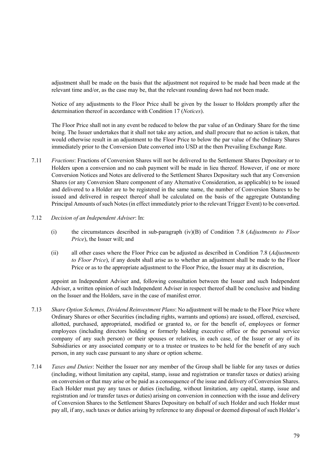adjustment shall be made on the basis that the adjustment not required to be made had been made at the relevant time and/or, as the case may be, that the relevant rounding down had not been made.

Notice of any adjustments to the Floor Price shall be given by the Issuer to Holders promptly after the determination thereof in accordance with Condition 17 (*Notices*).

The Floor Price shall not in any event be reduced to below the par value of an Ordinary Share for the time being. The Issuer undertakes that it shall not take any action, and shall procure that no action is taken, that would otherwise result in an adjustment to the Floor Price to below the par value of the Ordinary Shares immediately prior to the Conversion Date converted into USD at the then Prevailing Exchange Rate.

- 7.11 *Fractions*: Fractions of Conversion Shares will not be delivered to the Settlement Shares Depositary or to Holders upon a conversion and no cash payment will be made in lieu thereof. However, if one or more Conversion Notices and Notes are delivered to the Settlement Shares Depositary such that any Conversion Shares (or any Conversion Share component of any Alternative Consideration, as applicable) to be issued and delivered to a Holder are to be registered in the same name, the number of Conversion Shares to be issued and delivered in respect thereof shall be calculated on the basis of the aggregate Outstanding Principal Amounts of such Notes (in effect immediately prior to the relevant Trigger Event) to be converted.
- 7.12 *Decision of an Independent Adviser*: In:
	- (i) the circumstances described in sub-paragraph (iv)(B) of Condition 7.8 (*Adjustments to Floor Price*), the Issuer will; and
	- (ii) all other cases where the Floor Price can be adjusted as described in Condition 7.8 (*Adjustments to Floor Price*), if any doubt shall arise as to whether an adjustment shall be made to the Floor Price or as to the appropriate adjustment to the Floor Price, the Issuer may at its discretion,

appoint an Independent Adviser and, following consultation between the Issuer and such Independent Adviser, a written opinion of such Independent Adviser in respect thereof shall be conclusive and binding on the Issuer and the Holders, save in the case of manifest error.

- 7.13 *Share Option Schemes, Dividend Reinvestment Plans*: No adjustment will be made to the Floor Price where Ordinary Shares or other Securities (including rights, warrants and options) are issued, offered, exercised, allotted, purchased, appropriated, modified or granted to, or for the benefit of, employees or former employees (including directors holding or formerly holding executive office or the personal service company of any such person) or their spouses or relatives, in each case, of the Issuer or any of its Subsidiaries or any associated company or to a trustee or trustees to be held for the benefit of any such person, in any such case pursuant to any share or option scheme.
- 7.14 *Taxes and Duties*: Neither the Issuer nor any member of the Group shall be liable for any taxes or duties (including, without limitation any capital, stamp, issue and registration or transfer taxes or duties) arising on conversion or that may arise or be paid as a consequence of the issue and delivery of Conversion Shares. Each Holder must pay any taxes or duties (including, without limitation, any capital, stamp, issue and registration and /or transfer taxes or duties) arising on conversion in connection with the issue and delivery of Conversion Shares to the Settlement Shares Depositary on behalf of such Holder and such Holder must pay all, if any, such taxes or duties arising by reference to any disposal or deemed disposal of such Holder's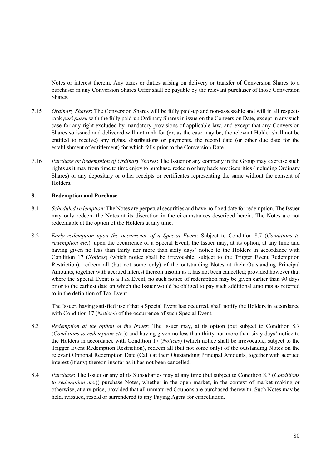Notes or interest therein. Any taxes or duties arising on delivery or transfer of Conversion Shares to a purchaser in any Conversion Shares Offer shall be payable by the relevant purchaser of those Conversion Shares.

- 7.15 *Ordinary Shares*: The Conversion Shares will be fully paid-up and non-assessable and will in all respects rank *pari passu* with the fully paid-up Ordinary Shares in issue on the Conversion Date, except in any such case for any right excluded by mandatory provisions of applicable law, and except that any Conversion Shares so issued and delivered will not rank for (or, as the case may be, the relevant Holder shall not be entitled to receive) any rights, distributions or payments, the record date (or other due date for the establishment of entitlement) for which falls prior to the Conversion Date.
- 7.16 *Purchase or Redemption of Ordinary Shares*: The Issuer or any company in the Group may exercise such rights as it may from time to time enjoy to purchase, redeem or buy back any Securities (including Ordinary Shares) or any depositary or other receipts or certificates representing the same without the consent of Holders.

### **8. Redemption and Purchase**

- 8.1 *Scheduled redemption*: The Notes are perpetual securities and have no fixed date for redemption. The Issuer may only redeem the Notes at its discretion in the circumstances described herein. The Notes are not redeemable at the option of the Holders at any time.
- 8.2 *Early redemption upon the occurrence of a Special Event*: Subject to Condition 8.7 (*Conditions to redemption etc.*), upon the occurrence of a Special Event, the Issuer may, at its option, at any time and having given no less than thirty nor more than sixty days' notice to the Holders in accordance with Condition 17 (*Notices*) (which notice shall be irrevocable, subject to the Trigger Event Redemption Restriction), redeem all (but not some only) of the outstanding Notes at their Outstanding Principal Amounts, together with accrued interest thereon insofar as it has not been cancelled; provided however that where the Special Event is a Tax Event, no such notice of redemption may be given earlier than 90 days prior to the earliest date on which the Issuer would be obliged to pay such additional amounts as referred to in the definition of Tax Event.

The Issuer, having satisfied itself that a Special Event has occurred, shall notify the Holders in accordance with Condition 17 (*Notices*) of the occurrence of such Special Event.

- 8.3 *Redemption at the option of the Issuer*: The Issuer may, at its option (but subject to Condition 8.7 (*Conditions to redemption etc.*)) and having given no less than thirty nor more than sixty days' notice to the Holders in accordance with Condition 17 (*Notices*) (which notice shall be irrevocable, subject to the Trigger Event Redemption Restriction), redeem all (but not some only) of the outstanding Notes on the relevant Optional Redemption Date (Call) at their Outstanding Principal Amounts, together with accrued interest (if any) thereon insofar as it has not been cancelled.
- 8.4 *Purchase*: The Issuer or any of its Subsidiaries may at any time (but subject to Condition 8.7 (*Conditions to redemption etc.*)) purchase Notes, whether in the open market, in the context of market making or otherwise, at any price, provided that all unmatured Coupons are purchased therewith. Such Notes may be held, reissued, resold or surrendered to any Paying Agent for cancellation.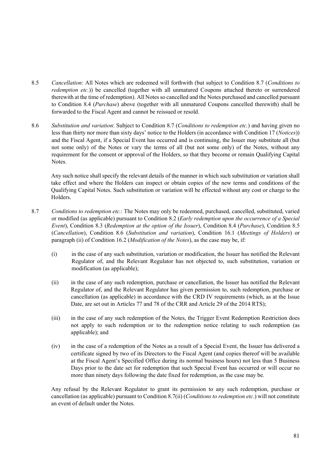- 8.5 *Cancellation*: All Notes which are redeemed will forthwith (but subject to Condition 8.7 (*Conditions to redemption etc.*)) be cancelled (together with all unmatured Coupons attached thereto or surrendered therewith at the time of redemption). All Notes so cancelled and the Notes purchased and cancelled pursuant to Condition 8.4 (*Purchase*) above (together with all unmatured Coupons cancelled therewith) shall be forwarded to the Fiscal Agent and cannot be reissued or resold.
- 8.6 *Substitution and variation*: Subject to Condition 8.7 (*Conditions to redemption etc.*) and having given no less than thirty nor more than sixty days' notice to the Holders (in accordance with Condition 17 (*Notices*)) and the Fiscal Agent, if a Special Event has occurred and is continuing, the Issuer may substitute all (but not some only) of the Notes or vary the terms of all (but not some only) of the Notes, without any requirement for the consent or approval of the Holders, so that they become or remain Qualifying Capital Notes.

Any such notice shall specify the relevant details of the manner in which such substitution or variation shall take effect and where the Holders can inspect or obtain copies of the new terms and conditions of the Qualifying Capital Notes. Such substitution or variation will be effected without any cost or charge to the Holders.

- 8.7 *Conditions to redemption etc.*: The Notes may only be redeemed, purchased, cancelled, substituted, varied or modified (as applicable) pursuant to Condition 8.2 (*Early redemption upon the occurrence of a Special Event*), Condition 8.3 (*Redemption at the option of the Issuer*), Condition 8.4 (*Purchase*), Condition 8.5 (*Cancellation*), Condition 8.6 (*Substitution and variation*), Condition 16.1 (*Meetings of Holders*) or paragraph (ii) of Condition 16.2 (*Modification of the Notes*), as the case may be, if:
	- (i) in the case of any such substitution, variation or modification, the Issuer has notified the Relevant Regulator of, and the Relevant Regulator has not objected to, such substitution, variation or modification (as applicable);
	- (ii) in the case of any such redemption, purchase or cancellation, the Issuer has notified the Relevant Regulator of, and the Relevant Regulator has given permission to, such redemption, purchase or cancellation (as applicable) in accordance with the CRD IV requirements (which, as at the Issue Date, are set out in Articles 77 and 78 of the CRR and Article 29 of the 2014 RTS);
	- (iii) in the case of any such redemption of the Notes, the Trigger Event Redemption Restriction does not apply to such redemption or to the redemption notice relating to such redemption (as applicable); and
	- (iv) in the case of a redemption of the Notes as a result of a Special Event, the Issuer has delivered a certificate signed by two of its Directors to the Fiscal Agent (and copies thereof will be available at the Fiscal Agent's Specified Office during its normal business hours) not less than 5 Business Days prior to the date set for redemption that such Special Event has occurred or will occur no more than ninety days following the date fixed for redemption, as the case may be.

Any refusal by the Relevant Regulator to grant its permission to any such redemption, purchase or cancellation (as applicable) pursuant to Condition 8.7(ii) (*Conditions to redemption etc.*) will not constitute an event of default under the Notes.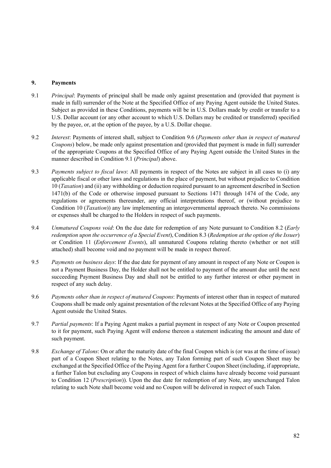## **9. Payments**

- 9.1 *Principal*: Payments of principal shall be made only against presentation and (provided that payment is made in full) surrender of the Note at the Specified Office of any Paying Agent outside the United States. Subject as provided in these Conditions, payments will be in U.S. Dollars made by credit or transfer to a U.S. Dollar account (or any other account to which U.S. Dollars may be credited or transferred) specified by the payee, or, at the option of the payee, by a U.S. Dollar cheque.
- 9.2 *Interest*: Payments of interest shall, subject to Condition 9.6 (*Payments other than in respect of matured Coupons*) below, be made only against presentation and (provided that payment is made in full) surrender of the appropriate Coupons at the Specified Office of any Paying Agent outside the United States in the manner described in Condition 9.1 (*Principal*) above.
- 9.3 *Payments subject to fiscal laws*: All payments in respect of the Notes are subject in all cases to (i) any applicable fiscal or other laws and regulations in the place of payment, but without prejudice to Condition 10 (*Taxation*) and (ii) any withholding or deduction required pursuant to an agreement described in Section 1471(b) of the Code or otherwise imposed pursuant to Sections 1471 through 1474 of the Code, any regulations or agreements thereunder, any official interpretations thereof, or (without prejudice to Condition 10 (*Taxation*)) any law implementing an intergovernmental approach thereto. No commissions or expenses shall be charged to the Holders in respect of such payments.
- 9.4 *Unmatured Coupons void*: On the due date for redemption of any Note pursuant to Condition 8.2 (*Early redemption upon the occurrence of a Special Event*), Condition 8.3 (*Redemption at the option of the Issuer*) or Condition 11 (*Enforcement Events*), all unmatured Coupons relating thereto (whether or not still attached) shall become void and no payment will be made in respect thereof.
- 9.5 *Payments on business days*: If the due date for payment of any amount in respect of any Note or Coupon is not a Payment Business Day, the Holder shall not be entitled to payment of the amount due until the next succeeding Payment Business Day and shall not be entitled to any further interest or other payment in respect of any such delay.
- 9.6 *Payments other than in respect of matured Coupons*: Payments of interest other than in respect of matured Coupons shall be made only against presentation of the relevant Notes at the Specified Office of any Paying Agent outside the United States.
- 9.7 *Partial payments*: If a Paying Agent makes a partial payment in respect of any Note or Coupon presented to it for payment, such Paying Agent will endorse thereon a statement indicating the amount and date of such payment.
- 9.8 *Exchange of Talons*: On or after the maturity date of the final Coupon which is (or was at the time of issue) part of a Coupon Sheet relating to the Notes, any Talon forming part of such Coupon Sheet may be exchanged at the Specified Office of the Paying Agent for a further Coupon Sheet (including, if appropriate, a further Talon but excluding any Coupons in respect of which claims have already become void pursuant to Condition 12 (*Prescription*)). Upon the due date for redemption of any Note, any unexchanged Talon relating to such Note shall become void and no Coupon will be delivered in respect of such Talon.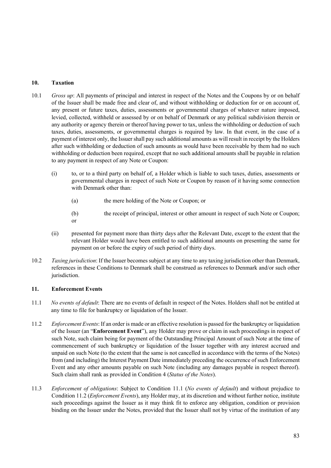# **10. Taxation**

- 10.1 *Gross up*: All payments of principal and interest in respect of the Notes and the Coupons by or on behalf of the Issuer shall be made free and clear of, and without withholding or deduction for or on account of, any present or future taxes, duties, assessments or governmental charges of whatever nature imposed, levied, collected, withheld or assessed by or on behalf of Denmark or any political subdivision therein or any authority or agency therein or thereof having power to tax, unless the withholding or deduction of such taxes, duties, assessments, or governmental charges is required by law. In that event, in the case of a payment of interest only, the Issuer shall pay such additional amounts as will result in receipt by the Holders after such withholding or deduction of such amounts as would have been receivable by them had no such withholding or deduction been required, except that no such additional amounts shall be payable in relation to any payment in respect of any Note or Coupon:
	- (i) to, or to a third party on behalf of, a Holder which is liable to such taxes, duties, assessments or governmental charges in respect of such Note or Coupon by reason of it having some connection with Denmark other than:
		- (a) the mere holding of the Note or Coupon; or
		- (b) the receipt of principal, interest or other amount in respect of such Note or Coupon; or
	- (ii) presented for payment more than thirty days after the Relevant Date, except to the extent that the relevant Holder would have been entitled to such additional amounts on presenting the same for payment on or before the expiry of such period of thirty days.
- 10.2 *Taxing jurisdiction*: If the Issuer becomes subject at any time to any taxing jurisdiction other than Denmark, references in these Conditions to Denmark shall be construed as references to Denmark and/or such other jurisdiction.

# **11. Enforcement Events**

- 11.1 *No events of default*: There are no events of default in respect of the Notes. Holders shall not be entitled at any time to file for bankruptcy or liquidation of the Issuer.
- 11.2 *Enforcement Events*: If an order is made or an effective resolution is passed for the bankruptcy or liquidation of the Issuer (an "**Enforcement Event**"), any Holder may prove or claim in such proceedings in respect of such Note, such claim being for payment of the Outstanding Principal Amount of such Note at the time of commencement of such bankruptcy or liquidation of the Issuer together with any interest accrued and unpaid on such Note (to the extent that the same is not cancelled in accordance with the terms of the Notes) from (and including) the Interest Payment Date immediately preceding the occurrence of such Enforcement Event and any other amounts payable on such Note (including any damages payable in respect thereof). Such claim shall rank as provided in Condition 4 (*Status of the Notes*).
- 11.3 *Enforcement of obligations*: Subject to Condition 11.1 (*No events of default*) and without prejudice to Condition 11.2 (*Enforcement Events*), any Holder may, at its discretion and without further notice, institute such proceedings against the Issuer as it may think fit to enforce any obligation, condition or provision binding on the Issuer under the Notes, provided that the Issuer shall not by virtue of the institution of any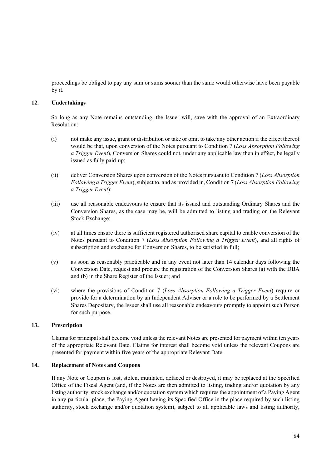proceedings be obliged to pay any sum or sums sooner than the same would otherwise have been payable by it.

## **12. Undertakings**

So long as any Note remains outstanding, the Issuer will, save with the approval of an Extraordinary Resolution:

- (i) not make any issue, grant or distribution or take or omit to take any other action if the effect thereof would be that, upon conversion of the Notes pursuant to Condition 7 (*Loss Absorption Following a Trigger Event*), Conversion Shares could not, under any applicable law then in effect, be legally issued as fully paid-up;
- (ii) deliver Conversion Shares upon conversion of the Notes pursuant to Condition 7 (*Loss Absorption Following a Trigger Event*), subject to, and as provided in, Condition 7 (*Loss Absorption Following a Trigger Event*);
- (iii) use all reasonable endeavours to ensure that its issued and outstanding Ordinary Shares and the Conversion Shares, as the case may be, will be admitted to listing and trading on the Relevant Stock Exchange;
- (iv) at all times ensure there is sufficient registered authorised share capital to enable conversion of the Notes pursuant to Condition 7 (*Loss Absorption Following a Trigger Event*), and all rights of subscription and exchange for Conversion Shares, to be satisfied in full;
- (v) as soon as reasonably practicable and in any event not later than 14 calendar days following the Conversion Date, request and procure the registration of the Conversion Shares (a) with the DBA and (b) in the Share Register of the Issuer; and
- (vi) where the provisions of Condition 7 (*Loss Absorption Following a Trigger Event*) require or provide for a determination by an Independent Adviser or a role to be performed by a Settlement Shares Depositary, the Issuer shall use all reasonable endeavours promptly to appoint such Person for such purpose.

## **13. Prescription**

Claims for principal shall become void unless the relevant Notes are presented for payment within ten years of the appropriate Relevant Date. Claims for interest shall become void unless the relevant Coupons are presented for payment within five years of the appropriate Relevant Date.

#### **14. Replacement of Notes and Coupons**

If any Note or Coupon is lost, stolen, mutilated, defaced or destroyed, it may be replaced at the Specified Office of the Fiscal Agent (and, if the Notes are then admitted to listing, trading and/or quotation by any listing authority, stock exchange and/or quotation system which requires the appointment of a Paying Agent in any particular place, the Paying Agent having its Specified Office in the place required by such listing authority, stock exchange and/or quotation system), subject to all applicable laws and listing authority,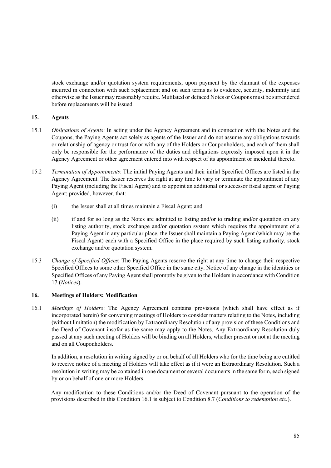stock exchange and/or quotation system requirements, upon payment by the claimant of the expenses incurred in connection with such replacement and on such terms as to evidence, security, indemnity and otherwise as the Issuer may reasonably require. Mutilated or defaced Notes or Coupons must be surrendered before replacements will be issued.

## **15. Agents**

- 15.1 *Obligations of Agents*: In acting under the Agency Agreement and in connection with the Notes and the Coupons, the Paying Agents act solely as agents of the Issuer and do not assume any obligations towards or relationship of agency or trust for or with any of the Holders or Couponholders, and each of them shall only be responsible for the performance of the duties and obligations expressly imposed upon it in the Agency Agreement or other agreement entered into with respect of its appointment or incidental thereto.
- 15.2 *Termination of Appointments*: The initial Paying Agents and their initial Specified Offices are listed in the Agency Agreement. The Issuer reserves the right at any time to vary or terminate the appointment of any Paying Agent (including the Fiscal Agent) and to appoint an additional or successor fiscal agent or Paying Agent; provided, however, that:
	- (i) the Issuer shall at all times maintain a Fiscal Agent; and
	- (ii) if and for so long as the Notes are admitted to listing and/or to trading and/or quotation on any listing authority, stock exchange and/or quotation system which requires the appointment of a Paying Agent in any particular place, the Issuer shall maintain a Paying Agent (which may be the Fiscal Agent) each with a Specified Office in the place required by such listing authority, stock exchange and/or quotation system.
- 15.3 *Change of Specified Offices*: The Paying Agents reserve the right at any time to change their respective Specified Offices to some other Specified Office in the same city. Notice of any change in the identities or Specified Offices of any Paying Agent shall promptly be given to the Holders in accordance with Condition 17 (*Notices*).

# **16. Meetings of Holders; Modification**

16.1 *Meetings of Holders*: The Agency Agreement contains provisions (which shall have effect as if incorporated herein) for convening meetings of Holders to consider matters relating to the Notes, including (without limitation) the modification by Extraordinary Resolution of any provision of these Conditions and the Deed of Covenant insofar as the same may apply to the Notes. Any Extraordinary Resolution duly passed at any such meeting of Holders will be binding on all Holders, whether present or not at the meeting and on all Couponholders.

In addition, a resolution in writing signed by or on behalf of all Holders who for the time being are entitled to receive notice of a meeting of Holders will take effect as if it were an Extraordinary Resolution. Such a resolution in writing may be contained in one document or several documents in the same form, each signed by or on behalf of one or more Holders.

 Any modification to these Conditions and/or the Deed of Covenant pursuant to the operation of the provisions described in this Condition 16.1 is subject to Condition 8.7 (*Conditions to redemption etc.*).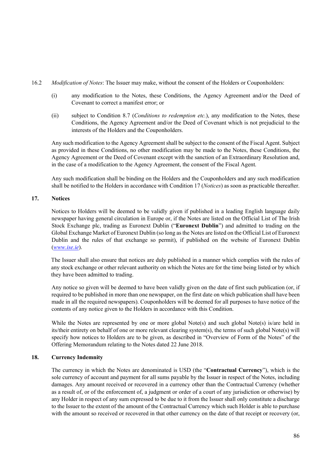- 16.2 *Modification of Notes*: The Issuer may make, without the consent of the Holders or Couponholders:
	- (i) any modification to the Notes, these Conditions, the Agency Agreement and/or the Deed of Covenant to correct a manifest error; or
	- (ii) subject to Condition 8.7 (*Conditions to redemption etc.*), any modification to the Notes, these Conditions, the Agency Agreement and/or the Deed of Covenant which is not prejudicial to the interests of the Holders and the Couponholders.

Any such modification to the Agency Agreement shall be subject to the consent of the Fiscal Agent. Subject as provided in these Conditions, no other modification may be made to the Notes, these Conditions, the Agency Agreement or the Deed of Covenant except with the sanction of an Extraordinary Resolution and, in the case of a modification to the Agency Agreement, the consent of the Fiscal Agent.

Any such modification shall be binding on the Holders and the Couponholders and any such modification shall be notified to the Holders in accordance with Condition 17 (*Notices*) as soon as practicable thereafter.

## **17. Notices**

Notices to Holders will be deemed to be validly given if published in a leading English language daily newspaper having general circulation in Europe or, if the Notes are listed on the Official List of The Irish Stock Exchange plc, trading as Euronext Dublin ("**Euronext Dublin**") and admitted to trading on the Global Exchange Market of Euronext Dublin (so long as the Notes are listed on the Official List of Euronext Dublin and the rules of that exchange so permit), if published on the website of Euronext Dublin (*www.ise.ie*).

The Issuer shall also ensure that notices are duly published in a manner which complies with the rules of any stock exchange or other relevant authority on which the Notes are for the time being listed or by which they have been admitted to trading.

Any notice so given will be deemed to have been validly given on the date of first such publication (or, if required to be published in more than one newspaper, on the first date on which publication shall have been made in all the required newspapers). Couponholders will be deemed for all purposes to have notice of the contents of any notice given to the Holders in accordance with this Condition.

While the Notes are represented by one or more global Note(s) and such global Note(s) is/are held in its/their entirety on behalf of one or more relevant clearing system(s), the terms of such global Note(s) will specify how notices to Holders are to be given, as described in "Overview of Form of the Notes" of the Offering Memorandum relating to the Notes dated 22 June 2018.

## **18. Currency Indemnity**

The currency in which the Notes are denominated is USD (the "**Contractual Currency**"), which is the sole currency of account and payment for all sums payable by the Issuer in respect of the Notes, including damages. Any amount received or recovered in a currency other than the Contractual Currency (whether as a result of, or of the enforcement of, a judgment or order of a court of any jurisdiction or otherwise) by any Holder in respect of any sum expressed to be due to it from the Issuer shall only constitute a discharge to the Issuer to the extent of the amount of the Contractual Currency which such Holder is able to purchase with the amount so received or recovered in that other currency on the date of that receipt or recovery (or,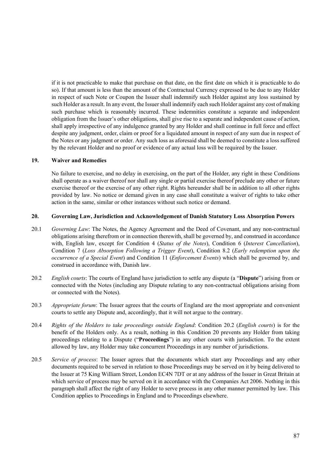if it is not practicable to make that purchase on that date, on the first date on which it is practicable to do so). If that amount is less than the amount of the Contractual Currency expressed to be due to any Holder in respect of such Note or Coupon the Issuer shall indemnify such Holder against any loss sustained by such Holder as a result. In any event, the Issuer shall indemnify each such Holder against any cost of making such purchase which is reasonably incurred. These indemnities constitute a separate and independent obligation from the Issuer's other obligations, shall give rise to a separate and independent cause of action, shall apply irrespective of any indulgence granted by any Holder and shall continue in full force and effect despite any judgment, order, claim or proof for a liquidated amount in respect of any sum due in respect of the Notes or any judgment or order. Any such loss as aforesaid shall be deemed to constitute a loss suffered by the relevant Holder and no proof or evidence of any actual loss will be required by the Issuer.

### **19. Waiver and Remedies**

No failure to exercise, and no delay in exercising, on the part of the Holder, any right in these Conditions shall operate as a waiver thereof nor shall any single or partial exercise thereof preclude any other or future exercise thereof or the exercise of any other right. Rights hereunder shall be in addition to all other rights provided by law. No notice or demand given in any case shall constitute a waiver of rights to take other action in the same, similar or other instances without such notice or demand.

## **20. Governing Law, Jurisdiction and Acknowledgement of Danish Statutory Loss Absorption Powers**

- 20.1 *Governing Law*: The Notes, the Agency Agreement and the Deed of Covenant, and any non-contractual obligations arising therefrom or in connection therewith, shall be governed by, and construed in accordance with, English law, except for Condition 4 (*Status of the Notes*), Condition 6 (*Interest Cancellation*), Condition 7 (*Loss Absorption Following a Trigger Event*), Condition 8.2 (*Early redemption upon the occurrence of a Special Event*) and Condition 11 (*Enforcement Events*) which shall be governed by, and construed in accordance with, Danish law.
- 20.2 *English courts*: The courts of England have jurisdiction to settle any dispute (a "**Dispute**") arising from or connected with the Notes (including any Dispute relating to any non-contractual obligations arising from or connected with the Notes).
- 20.3 *Appropriate forum*: The Issuer agrees that the courts of England are the most appropriate and convenient courts to settle any Dispute and, accordingly, that it will not argue to the contrary.
- 20.4 *Rights of the Holders to take proceedings outside England*: Condition 20.2 (*English courts*) is for the benefit of the Holders only. As a result, nothing in this Condition 20 prevents any Holder from taking proceedings relating to a Dispute ("**Proceedings**") in any other courts with jurisdiction. To the extent allowed by law, any Holder may take concurrent Proceedings in any number of jurisdictions.
- 20.5 *Service of process*: The Issuer agrees that the documents which start any Proceedings and any other documents required to be served in relation to those Proceedings may be served on it by being delivered to the Issuer at 75 King William Street, London EC4N 7DT or at any address of the Issuer in Great Britain at which service of process may be served on it in accordance with the Companies Act 2006. Nothing in this paragraph shall affect the right of any Holder to serve process in any other manner permitted by law. This Condition applies to Proceedings in England and to Proceedings elsewhere.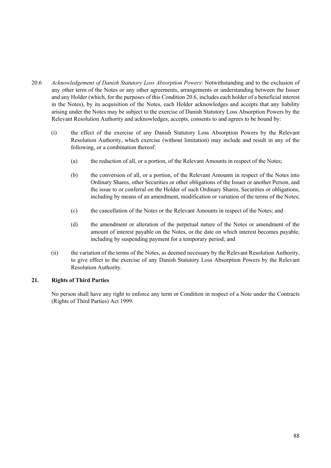- 20.6 *Acknowledgement of Danish Statutory Loss Absorption Powers*: Notwithstanding and to the exclusion of any other term of the Notes or any other agreements, arrangements or understanding between the Issuer and any Holder (which, for the purposes of this Condition 20.6, includes each holder of a beneficial interest in the Notes), by its acquisition of the Notes, each Holder acknowledges and accepts that any liability arising under the Notes may be subject to the exercise of Danish Statutory Loss Absorption Powers by the Relevant Resolution Authority and acknowledges, accepts, consents to and agrees to be bound by:
	- (i) the effect of the exercise of any Danish Statutory Loss Absorption Powers by the Relevant Resolution Authority, which exercise (without limitation) may include and result in any of the following, or a combination thereof:
		- (a) the reduction of all, or a portion, of the Relevant Amounts in respect of the Notes;
		- (b) the conversion of all, or a portion, of the Relevant Amounts in respect of the Notes into Ordinary Shares, other Securities or other obligations of the Issuer or another Person, and the issue to or conferral on the Holder of such Ordinary Shares, Securities or obligations, including by means of an amendment, modification or variation of the terms of the Notes;
		- (c) the cancellation of the Notes or the Relevant Amounts in respect of the Notes; and
		- (d) the amendment or alteration of the perpetual nature of the Notes or amendment of the amount of interest payable on the Notes, or the date on which interest becomes payable, including by suspending payment for a temporary period; and
	- (ii) the variation of the terms of the Notes, as deemed necessary by the Relevant Resolution Authority, to give effect to the exercise of any Danish Statutory Loss Absorption Powers by the Relevant Resolution Authority.

# **21. Rights of Third Parties**

 No person shall have any right to enforce any term or Condition in respect of a Note under the Contracts (Rights of Third Parties) Act 1999.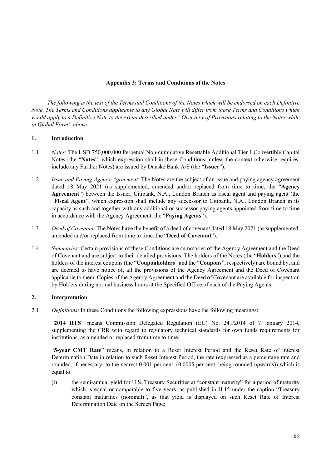# **Appendix 3: Terms and Conditions of the Notes**

*The following is the text of the Terms and Conditions of the Notes which will be endorsed on each Definitive Note. The Terms and Conditions applicable to any Global Note will differ from those Terms and Conditions which would apply to a Definitive Note to the extent described under "Overview of Provisions relating to the Notes while in Global Form" above.* 

## **1. Introduction**

- 1.1 *Notes*: The USD 750,000,000 Perpetual Non-cumulative Resettable Additional Tier 1 Convertible Capital Notes (the "**Notes**", which expression shall in these Conditions, unless the context otherwise requires, include any Further Notes) are issued by Danske Bank A/S (the "**Issuer**").
- 1.2 *Issue and Paying Agency Agreement*: The Notes are the subject of an issue and paying agency agreement dated 18 May 2021 (as supplemented, amended and/or replaced from time to time, the "**Agency Agreement**") between the Issuer, Citibank, N.A., London Branch as fiscal agent and paying agent (the "**Fiscal Agent**", which expression shall include any successor to Citibank, N.A., London Branch in its capacity as such and together with any additional or successor paying agents appointed from time to time in accordance with the Agency Agreement, the "**Paying Agents**").
- 1.3 *Deed of Covenant*: The Notes have the benefit of a deed of covenant dated 18 May 2021 (as supplemented, amended and/or replaced from time to time, the "**Deed of Covenant**").
- 1.4 *Summaries*: Certain provisions of these Conditions are summaries of the Agency Agreement and the Deed of Covenant and are subject to their detailed provisions. The holders of the Notes (the "**Holders**") and the holders of the interest coupons (the "**Couponholders**" and the "**Coupons**", respectively) are bound by, and are deemed to have notice of, all the provisions of the Agency Agreement and the Deed of Covenant applicable to them. Copies of the Agency Agreement and the Deed of Covenant are available for inspection by Holders during normal business hours at the Specified Office of each of the Paying Agents.

# **2. Interpretation**

2.1 *Definitions*: In these Conditions the following expressions have the following meanings:

"**2014 RTS**" means Commission Delegated Regulation (EU) No. 241/2014 of 7 January 2014, supplementing the CRR with regard to regulatory technical standards for own funds requirements for institutions, as amended or replaced from time to time;

"**5-year CMT Rate**" means, in relation to a Reset Interest Period and the Reset Rate of Interest Determination Date in relation to such Reset Interest Period, the rate (expressed as a percentage rate and rounded, if necessary, to the nearest 0.001 per cent. (0.0005 per cent. being rounded upwards)) which is equal to:

(i) the semi-annual yield for U.S. Treasury Securities at "constant maturity" for a period of maturity which is equal or comparable to five years, as published in H.15 under the caption "Treasury constant maturities (nominal)", as that yield is displayed on such Reset Rate of Interest Determination Date on the Screen Page;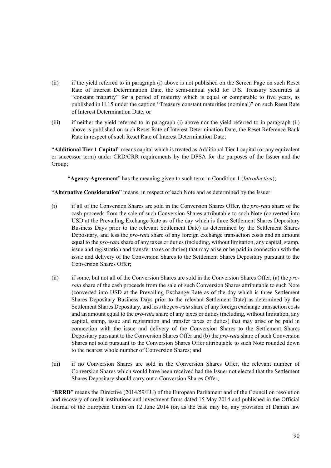- (ii) if the yield referred to in paragraph (i) above is not published on the Screen Page on such Reset Rate of Interest Determination Date, the semi-annual yield for U.S. Treasury Securities at "constant maturity" for a period of maturity which is equal or comparable to five years, as published in H.15 under the caption "Treasury constant maturities (nominal)" on such Reset Rate of Interest Determination Date; or
- (iii) if neither the yield referred to in paragraph (i) above nor the yield referred to in paragraph (ii) above is published on such Reset Rate of Interest Determination Date, the Reset Reference Bank Rate in respect of such Reset Rate of Interest Determination Date;

"**Additional Tier 1 Capital**" means capital which is treated as Additional Tier 1 capital (or any equivalent or successor term) under CRD/CRR requirements by the DFSA for the purposes of the Issuer and the Group;

"**Agency Agreement**" has the meaning given to such term in Condition 1 (*Introduction*);

"**Alternative Consideration**" means, in respect of each Note and as determined by the Issuer:

- (i) if all of the Conversion Shares are sold in the Conversion Shares Offer, the *pro-rata* share of the cash proceeds from the sale of such Conversion Shares attributable to such Note (converted into USD at the Prevailing Exchange Rate as of the day which is three Settlement Shares Depositary Business Days prior to the relevant Settlement Date) as determined by the Settlement Shares Depositary, and less the *pro-rata* share of any foreign exchange transaction costs and an amount equal to the *pro-rata* share of any taxes or duties (including, without limitation, any capital, stamp, issue and registration and transfer taxes or duties) that may arise or be paid in connection with the issue and delivery of the Conversion Shares to the Settlement Shares Depositary pursuant to the Conversion Shares Offer;
- (ii) if some, but not all of the Conversion Shares are sold in the Conversion Shares Offer, (a) the *prorata* share of the cash proceeds from the sale of such Conversion Shares attributable to such Note (converted into USD at the Prevailing Exchange Rate as of the day which is three Settlement Shares Depositary Business Days prior to the relevant Settlement Date) as determined by the Settlement Shares Depositary, and less the *pro-rata* share of any foreign exchange transaction costs and an amount equal to the *pro-rata* share of any taxes or duties (including, without limitation, any capital, stamp, issue and registration and transfer taxes or duties) that may arise or be paid in connection with the issue and delivery of the Conversion Shares to the Settlement Shares Depositary pursuant to the Conversion Shares Offer and (b) the *pro-rata* share of such Conversion Shares not sold pursuant to the Conversion Shares Offer attributable to such Note rounded down to the nearest whole number of Conversion Shares; and
- (iii) if no Conversion Shares are sold in the Conversion Shares Offer, the relevant number of Conversion Shares which would have been received had the Issuer not elected that the Settlement Shares Depositary should carry out a Conversion Shares Offer;

"**BRRD**" means the Directive (2014/59/EU) of the European Parliament and of the Council on resolution and recovery of credit institutions and investment firms dated 15 May 2014 and published in the Official Journal of the European Union on 12 June 2014 (or, as the case may be, any provision of Danish law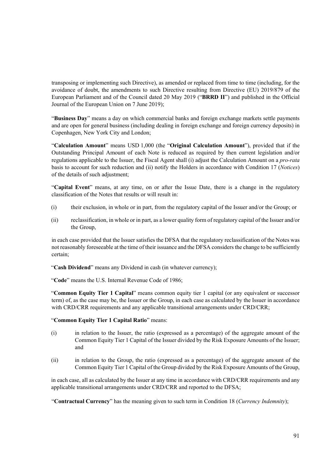transposing or implementing such Directive), as amended or replaced from time to time (including, for the avoidance of doubt, the amendments to such Directive resulting from Directive (EU) 2019/879 of the European Parliament and of the Council dated 20 May 2019 ("**BRRD II**") and published in the Official Journal of the European Union on 7 June 2019);

"**Business Day**" means a day on which commercial banks and foreign exchange markets settle payments and are open for general business (including dealing in foreign exchange and foreign currency deposits) in Copenhagen, New York City and London;

"**Calculation Amount**" means USD 1,000 (the "**Original Calculation Amount**"), provided that if the Outstanding Principal Amount of each Note is reduced as required by then current legislation and/or regulations applicable to the Issuer, the Fiscal Agent shall (i) adjust the Calculation Amount on a *pro-rata* basis to account for such reduction and (ii) notify the Holders in accordance with Condition 17 (*Notices*) of the details of such adjustment;

"**Capital Event**" means, at any time, on or after the Issue Date, there is a change in the regulatory classification of the Notes that results or will result in:

- (i) their exclusion, in whole or in part, from the regulatory capital of the Issuer and/or the Group; or
- (ii) reclassification, in whole or in part, as a lower quality form of regulatory capital of the Issuer and/or the Group,

in each case provided that the Issuer satisfies the DFSA that the regulatory reclassification of the Notes was not reasonably foreseeable at the time of their issuance and the DFSA considers the change to be sufficiently certain;

"**Cash Dividend**" means any Dividend in cash (in whatever currency);

"**Code**" means the U.S. Internal Revenue Code of 1986;

"**Common Equity Tier 1 Capital**" means common equity tier 1 capital (or any equivalent or successor term) of, as the case may be, the Issuer or the Group, in each case as calculated by the Issuer in accordance with CRD/CRR requirements and any applicable transitional arrangements under CRD/CRR;

## "**Common Equity Tier 1 Capital Ratio**" means:

- (i) in relation to the Issuer, the ratio (expressed as a percentage) of the aggregate amount of the Common Equity Tier 1 Capital of the Issuer divided by the Risk Exposure Amounts of the Issuer; and
- (ii) in relation to the Group, the ratio (expressed as a percentage) of the aggregate amount of the Common Equity Tier 1 Capital of the Group divided by the Risk Exposure Amounts of the Group,

in each case, all as calculated by the Issuer at any time in accordance with CRD/CRR requirements and any applicable transitional arrangements under CRD/CRR and reported to the DFSA;

"**Contractual Currency**" has the meaning given to such term in Condition 18 (*Currency Indemnity*);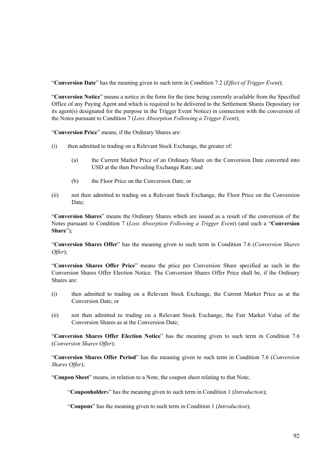"**Conversion Date**" has the meaning given to such term in Condition 7.2 (*Effect of Trigger Event*);

"**Conversion Notice**" means a notice in the form for the time being currently available from the Specified Office of any Paying Agent and which is required to be delivered to the Settlement Shares Depositary (or its agent(s) designated for the purpose in the Trigger Event Notice) in connection with the conversion of the Notes pursuant to Condition 7 (*Loss Absorption Following a Trigger Event*);

"**Conversion Price**" means, if the Ordinary Shares are:

- (i) then admitted to trading on a Relevant Stock Exchange, the greater of:
	- (a) the Current Market Price of an Ordinary Share on the Conversion Date converted into USD at the then Prevailing Exchange Rate; and
	- (b) the Floor Price on the Conversion Date; or
- (ii) not then admitted to trading on a Relevant Stock Exchange, the Floor Price on the Conversion Date;

"**Conversion Shares**" means the Ordinary Shares which are issued as a result of the conversion of the Notes pursuant to Condition 7 (*Loss Absorption Following a Trigger Event*) (and each a "**Conversion Share**");

"**Conversion Shares Offer**" has the meaning given to such term in Condition 7.6 (*Conversion Shares Offer*);

"**Conversion Shares Offer Price**" means the price per Conversion Share specified as such in the Conversion Shares Offer Election Notice. The Conversion Shares Offer Price shall be, if the Ordinary Shares are:

- (i) then admitted to trading on a Relevant Stock Exchange, the Current Market Price as at the Conversion Date; or
- (ii) not then admitted to trading on a Relevant Stock Exchange, the Fair Market Value of the Conversion Shares as at the Conversion Date;

"**Conversion Shares Offer Election Notice**" has the meaning given to such term in Condition 7.6 (*Conversion Shares Offer*);

"**Conversion Shares Offer Period**" has the meaning given to such term in Condition 7.6 (*Conversion Shares Offer*);

"**Coupon Sheet**" means, in relation to a Note, the coupon sheet relating to that Note;

"**Couponholder**s" has the meaning given to such term in Condition 1 (*Introduction*);

"**Coupons**" has the meaning given to such term in Condition 1 (*Introduction*);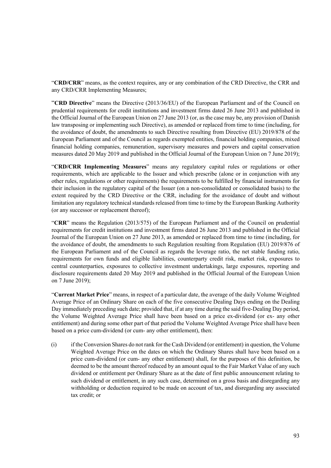"**CRD/CRR**" means, as the context requires, any or any combination of the CRD Directive, the CRR and any CRD/CRR Implementing Measures;

"**CRD Directive**" means the Directive (2013/36/EU) of the European Parliament and of the Council on prudential requirements for credit institutions and investment firms dated 26 June 2013 and published in the Official Journal of the European Union on 27 June 2013 (or, as the case may be, any provision of Danish law transposing or implementing such Directive), as amended or replaced from time to time (including, for the avoidance of doubt, the amendments to such Directive resulting from Directive (EU) 2019/878 of the European Parliament and of the Council as regards exempted entities, financial holding companies, mixed financial holding companies, remuneration, supervisory measures and powers and capital conservation measures dated 20 May 2019 and published in the Official Journal of the European Union on 7 June 2019);

"**CRD/CRR Implementing Measures**" means any regulatory capital rules or regulations or other requirements, which are applicable to the Issuer and which prescribe (alone or in conjunction with any other rules, regulations or other requirements) the requirements to be fulfilled by financial instruments for their inclusion in the regulatory capital of the Issuer (on a non-consolidated or consolidated basis) to the extent required by the CRD Directive or the CRR, including for the avoidance of doubt and without limitation any regulatory technical standards released from time to time by the European Banking Authority (or any successor or replacement thereof);

"**CRR**" means the Regulation (2013/575) of the European Parliament and of the Council on prudential requirements for credit institutions and investment firms dated 26 June 2013 and published in the Official Journal of the European Union on 27 June 2013, as amended or replaced from time to time (including, for the avoidance of doubt, the amendments to such Regulation resulting from Regulation (EU) 2019/876 of the European Parliament and of the Council as regards the leverage ratio, the net stable funding ratio, requirements for own funds and eligible liabilities, counterparty credit risk, market risk, exposures to central counterparties, exposures to collective investment undertakings, large exposures, reporting and disclosure requirements dated 20 May 2019 and published in the Official Journal of the European Union on 7 June 2019);

"**Current Market Price**" means, in respect of a particular date, the average of the daily Volume Weighted Average Price of an Ordinary Share on each of the five consecutive Dealing Days ending on the Dealing Day immediately preceding such date; provided that, if at any time during the said five-Dealing Day period, the Volume Weighted Average Price shall have been based on a price ex-dividend (or ex- any other entitlement) and during some other part of that period the Volume Weighted Average Price shall have been based on a price cum-dividend (or cum- any other entitlement), then:

(i) if the Conversion Shares do not rank for the Cash Dividend (or entitlement) in question, the Volume Weighted Average Price on the dates on which the Ordinary Shares shall have been based on a price cum-dividend (or cum- any other entitlement) shall, for the purposes of this definition, be deemed to be the amount thereof reduced by an amount equal to the Fair Market Value of any such dividend or entitlement per Ordinary Share as at the date of first public announcement relating to such dividend or entitlement, in any such case, determined on a gross basis and disregarding any withholding or deduction required to be made on account of tax, and disregarding any associated tax credit; or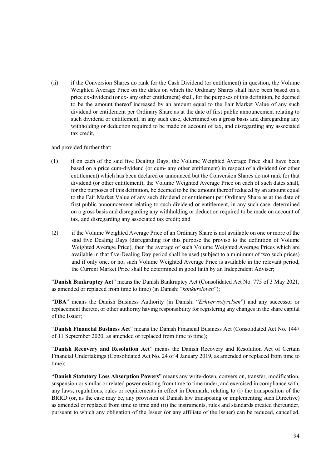(ii) if the Conversion Shares do rank for the Cash Dividend (or entitlement) in question, the Volume Weighted Average Price on the dates on which the Ordinary Shares shall have been based on a price ex-dividend (or ex- any other entitlement) shall, for the purposes of this definition, be deemed to be the amount thereof increased by an amount equal to the Fair Market Value of any such dividend or entitlement per Ordinary Share as at the date of first public announcement relating to such dividend or entitlement, in any such case, determined on a gross basis and disregarding any withholding or deduction required to be made on account of tax, and disregarding any associated tax credit,

and provided further that:

- (1) if on each of the said five Dealing Days, the Volume Weighted Average Price shall have been based on a price cum-dividend (or cum- any other entitlement) in respect of a dividend (or other entitlement) which has been declared or announced but the Conversion Shares do not rank for that dividend (or other entitlement), the Volume Weighted Average Price on each of such dates shall, for the purposes of this definition, be deemed to be the amount thereof reduced by an amount equal to the Fair Market Value of any such dividend or entitlement per Ordinary Share as at the date of first public announcement relating to such dividend or entitlement, in any such case, determined on a gross basis and disregarding any withholding or deduction required to be made on account of tax, and disregarding any associated tax credit; and
- (2) if the Volume Weighted Average Price of an Ordinary Share is not available on one or more of the said five Dealing Days (disregarding for this purpose the proviso to the definition of Volume Weighted Average Price), then the average of such Volume Weighted Average Prices which are available in that five-Dealing Day period shall be used (subject to a minimum of two such prices) and if only one, or no, such Volume Weighted Average Price is available in the relevant period, the Current Market Price shall be determined in good faith by an Independent Adviser;

"**Danish Bankruptcy Act**" means the Danish Bankruptcy Act (Consolidated Act No. 775 of 3 May 2021, as amended or replaced from time to time) (in Danish: "*konkursloven*");

"**DBA**" means the Danish Business Authority (in Danish: "*Erhvervsstyrelsen*") and any successor or replacement thereto, or other authority having responsibility for registering any changes in the share capital of the Issuer;

"**Danish Financial Business Act**" means the Danish Financial Business Act (Consolidated Act No. 1447 of 11 September 2020, as amended or replaced from time to time);

"**Danish Recovery and Resolution Act**" means the Danish Recovery and Resolution Act of Certain Financial Undertakings (Consolidated Act No. 24 of 4 January 2019, as amended or replaced from time to time);

"**Danish Statutory Loss Absorption Powers**" means any write-down, conversion, transfer, modification, suspension or similar or related power existing from time to time under, and exercised in compliance with, any laws, regulations, rules or requirements in effect in Denmark, relating to (i) the transposition of the BRRD (or, as the case may be, any provision of Danish law transposing or implementing such Directive) as amended or replaced from time to time and (ii) the instruments, rules and standards created thereunder, pursuant to which any obligation of the Issuer (or any affiliate of the Issuer) can be reduced, cancelled,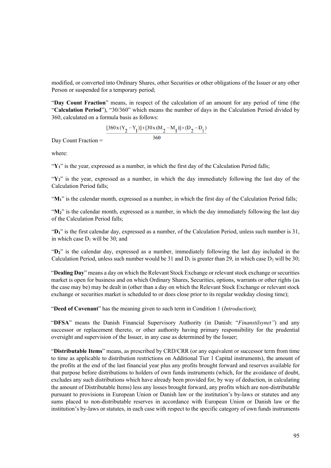modified, or converted into Ordinary Shares, other Securities or other obligations of the Issuer or any other Person or suspended for a temporary period;

"**Day Count Fraction**" means, in respect of the calculation of an amount for any period of time (the "**Calculation Period**"), "30/360" which means the number of days in the Calculation Period divided by 360, calculated on a formula basis as follows:

$$
\frac{[360x(Y_2-Y_1)]+[30x(M_2-M_1)]+(D_2-D_1)}{360}
$$

Day Count Fraction =

where:

"**Y1**" is the year, expressed as a number, in which the first day of the Calculation Period falls;

"Y<sub>2</sub>" is the year, expressed as a number, in which the day immediately following the last day of the Calculation Period falls;

" $M_1$ " is the calendar month, expressed as a number, in which the first day of the Calculation Period falls;

"M<sub>2</sub>" is the calendar month, expressed as a number, in which the day immediately following the last day of the Calculation Period falls;

"**D1**" is the first calendar day, expressed as a number, of the Calculation Period, unless such number is 31, in which case  $D_1$  will be 30; and

"**D2**" is the calendar day, expressed as a number, immediately following the last day included in the Calculation Period, unless such number would be 31 and  $D_1$  is greater than 29, in which case  $D_2$  will be 30;

"**Dealing Day**" means a day on which the Relevant Stock Exchange or relevant stock exchange or securities market is open for business and on which Ordinary Shares, Securities, options, warrants or other rights (as the case may be) may be dealt in (other than a day on which the Relevant Stock Exchange or relevant stock exchange or securities market is scheduled to or does close prior to its regular weekday closing time);

"**Deed of Covenant**" has the meaning given to such term in Condition 1 (*Introduction*);

"**DFSA**" means the Danish Financial Supervisory Authority (in Danish: "*Finanstilsynet"*) and any successor or replacement thereto, or other authority having primary responsibility for the prudential oversight and supervision of the Issuer, in any case as determined by the Issuer;

"**Distributable Items**" means, as prescribed by CRD/CRR (or any equivalent or successor term from time to time as applicable to distribution restrictions on Additional Tier 1 Capital instruments), the amount of the profits at the end of the last financial year plus any profits brought forward and reserves available for that purpose before distributions to holders of own funds instruments (which, for the avoidance of doubt, excludes any such distributions which have already been provided for, by way of deduction, in calculating the amount of Distributable Items) less any losses brought forward, any profits which are non-distributable pursuant to provisions in European Union or Danish law or the institution's by-laws or statutes and any sums placed to non-distributable reserves in accordance with European Union or Danish law or the institution's by-laws or statutes, in each case with respect to the specific category of own funds instruments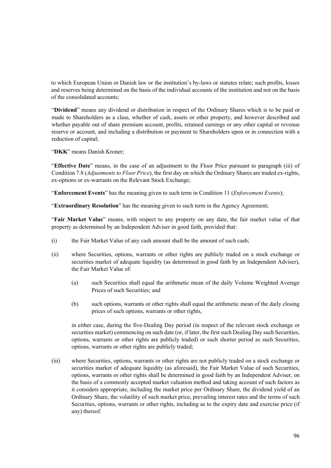to which European Union or Danish law or the institution's by-laws or statutes relate; such profits, losses and reserves being determined on the basis of the individual accounts of the institution and not on the basis of the consolidated accounts;

"**Dividend**" means any dividend or distribution in respect of the Ordinary Shares which is to be paid or made to Shareholders as a class, whether of cash, assets or other property, and however described and whether payable out of share premium account, profits, retained earnings or any other capital or revenue reserve or account, and including a distribution or payment to Shareholders upon or in connection with a reduction of capital;

"**DKK**" means Danish Kroner;

"**Effective Date**" means, in the case of an adjustment to the Floor Price pursuant to paragraph (iii) of Condition 7.8 (*Adjustments to Floor Price*), the first day on which the Ordinary Shares are traded ex-rights, ex-options or ex-warrants on the Relevant Stock Exchange;

"**Enforcement Events**" has the meaning given to such term in Condition 11 (*Enforcement Events*);

"**Extraordinary Resolution**" has the meaning given to such term in the Agency Agreement;

"**Fair Market Value**" means, with respect to any property on any date, the fair market value of that property as determined by an Independent Adviser in good faith, provided that:

- (i) the Fair Market Value of any cash amount shall be the amount of such cash;
- (ii) where Securities, options, warrants or other rights are publicly traded on a stock exchange or securities market of adequate liquidity (as determined in good faith by an Independent Adviser), the Fair Market Value of:
	- (a) such Securities shall equal the arithmetic mean of the daily Volume Weighted Average Prices of such Securities; and
	- (b) such options, warrants or other rights shall equal the arithmetic mean of the daily closing prices of such options, warrants or other rights,

in either case, during the five-Dealing Day period (in respect of the relevant stock exchange or securities market) commencing on such date (or, if later, the first such Dealing Day such Securities, options, warrants or other rights are publicly traded) or such shorter period as such Securities, options, warrants or other rights are publicly traded;

(iii) where Securities, options, warrants or other rights are not publicly traded on a stock exchange or securities market of adequate liquidity (as aforesaid), the Fair Market Value of such Securities, options, warrants or other rights shall be determined in good faith by an Independent Adviser, on the basis of a commonly accepted market valuation method and taking account of such factors as it considers appropriate, including the market price per Ordinary Share, the dividend yield of an Ordinary Share, the volatility of such market price, prevailing interest rates and the terms of such Securities, options, warrants or other rights, including as to the expiry date and exercise price (if any) thereof.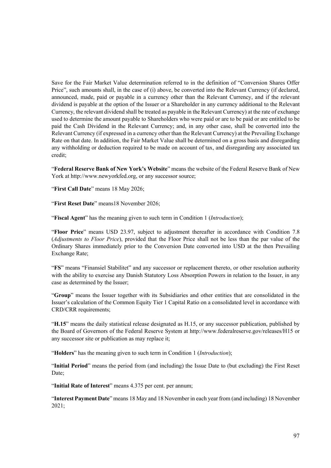Save for the Fair Market Value determination referred to in the definition of "Conversion Shares Offer Price", such amounts shall, in the case of (i) above, be converted into the Relevant Currency (if declared, announced, made, paid or payable in a currency other than the Relevant Currency, and if the relevant dividend is payable at the option of the Issuer or a Shareholder in any currency additional to the Relevant Currency, the relevant dividend shall be treated as payable in the Relevant Currency) at the rate of exchange used to determine the amount payable to Shareholders who were paid or are to be paid or are entitled to be paid the Cash Dividend in the Relevant Currency; and, in any other case, shall be converted into the Relevant Currency (if expressed in a currency other than the Relevant Currency) at the Prevailing Exchange Rate on that date. In addition, the Fair Market Value shall be determined on a gross basis and disregarding any withholding or deduction required to be made on account of tax, and disregarding any associated tax credit;

"**Federal Reserve Bank of New York's Website**" means the website of the Federal Reserve Bank of New York at http://www.newyorkfed.org, or any successor source;

"**First Call Date**" means 18 May 2026;

"**First Reset Date**" means18 November 2026;

"**Fiscal Agent**" has the meaning given to such term in Condition 1 (*Introduction*);

"**Floor Price**" means USD 23.97, subject to adjustment thereafter in accordance with Condition 7.8 (*Adjustments to Floor Price*), provided that the Floor Price shall not be less than the par value of the Ordinary Shares immediately prior to the Conversion Date converted into USD at the then Prevailing Exchange Rate;

"**FS**" means "Finansiel Stabilitet" and any successor or replacement thereto, or other resolution authority with the ability to exercise any Danish Statutory Loss Absorption Powers in relation to the Issuer, in any case as determined by the Issuer;

"**Group**" means the Issuer together with its Subsidiaries and other entities that are consolidated in the Issuer's calculation of the Common Equity Tier 1 Capital Ratio on a consolidated level in accordance with CRD/CRR requirements;

"**H.15**" means the daily statistical release designated as H.15, or any successor publication, published by the Board of Governors of the Federal Reserve System at http://www.federalreserve.gov/releases/H15 or any successor site or publication as may replace it;

"**Holders**" has the meaning given to such term in Condition 1 (*Introduction*);

"**Initial Period**" means the period from (and including) the Issue Date to (but excluding) the First Reset Date;

"**Initial Rate of Interest**" means 4.375 per cent. per annum;

"**Interest Payment Date**" means 18 May and 18 November in each year from (and including) 18 November 2021;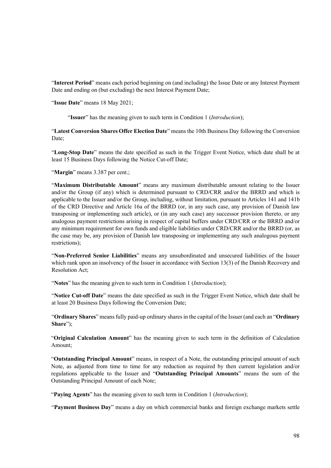"**Interest Period**" means each period beginning on (and including) the Issue Date or any Interest Payment Date and ending on (but excluding) the next Interest Payment Date;

"**Issue Date**" means 18 May 2021;

"**Issuer**" has the meaning given to such term in Condition 1 (*Introduction*);

"**Latest Conversion Shares Offer Election Date**" means the 10th Business Day following the Conversion Date;

"**Long-Stop Date**" means the date specified as such in the Trigger Event Notice, which date shall be at least 15 Business Days following the Notice Cut-off Date;

"**Margin**" means 3.387 per cent.;

"**Maximum Distributable Amount**" means any maximum distributable amount relating to the Issuer and/or the Group (if any) which is determined pursuant to CRD/CRR and/or the BRRD and which is applicable to the Issuer and/or the Group, including, without limitation, pursuant to Articles 141 and 141b of the CRD Directive and Article 16a of the BRRD (or, in any such case, any provision of Danish law transposing or implementing such article), or (in any such case) any successor provision thereto, or any analogous payment restrictions arising in respect of capital buffers under CRD/CRR or the BRRD and/or any minimum requirement for own funds and eligible liabilities under CRD/CRR and/or the BRRD (or, as the case may be, any provision of Danish law transposing or implementing any such analogous payment restrictions);

"**Non-Preferred Senior Liabilities**" means any unsubordinated and unsecured liabilities of the Issuer which rank upon an insolvency of the Issuer in accordance with Section 13(3) of the Danish Recovery and Resolution Act;

"**Notes**" has the meaning given to such term in Condition 1 (*Introduction*);

"**Notice Cut-off Date**" means the date specified as such in the Trigger Event Notice, which date shall be at least 20 Business Days following the Conversion Date;

"**Ordinary Shares**" means fully paid-up ordinary shares in the capital of the Issuer (and each an "**Ordinary Share**");

"**Original Calculation Amount**" has the meaning given to such term in the definition of Calculation Amount;

"**Outstanding Principal Amount**" means, in respect of a Note, the outstanding principal amount of such Note, as adjusted from time to time for any reduction as required by then current legislation and/or regulations applicable to the Issuer and "**Outstanding Principal Amounts**" means the sum of the Outstanding Principal Amount of each Note;

"**Paying Agents**" has the meaning given to such term in Condition 1 (*Introduction*);

"**Payment Business Day**" means a day on which commercial banks and foreign exchange markets settle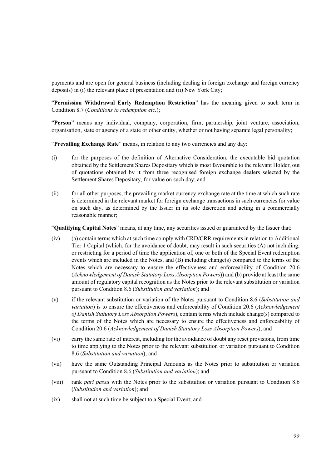payments and are open for general business (including dealing in foreign exchange and foreign currency deposits) in (i) the relevant place of presentation and (ii) New York City;

"**Permission Withdrawal Early Redemption Restriction**" has the meaning given to such term in Condition 8.7 (*Conditions to redemption etc.*);

"**Person**" means any individual, company, corporation, firm, partnership, joint venture, association, organisation, state or agency of a state or other entity, whether or not having separate legal personality;

"**Prevailing Exchange Rate**" means, in relation to any two currencies and any day:

- (i) for the purposes of the definition of Alternative Consideration, the executable bid quotation obtained by the Settlement Shares Depositary which is most favourable to the relevant Holder, out of quotations obtained by it from three recognised foreign exchange dealers selected by the Settlement Shares Depositary, for value on such day; and
- (ii) for all other purposes, the prevailing market currency exchange rate at the time at which such rate is determined in the relevant market for foreign exchange transactions in such currencies for value on such day, as determined by the Issuer in its sole discretion and acting in a commercially reasonable manner;

"**Qualifying Capital Notes**" means, at any time, any securities issued or guaranteed by the Issuer that:

- (iv) (a) contain terms which at such time comply with CRD/CRR requirements in relation to Additional Tier 1 Capital (which, for the avoidance of doubt, may result in such securities (A) not including, or restricting for a period of time the application of, one or both of the Special Event redemption events which are included in the Notes, and (B) including change(s) compared to the terms of the Notes which are necessary to ensure the effectiveness and enforceability of Condition 20.6 (*Acknowledgement of Danish Statutory Loss Absorption Powers*)) and (b) provide at least the same amount of regulatory capital recognition as the Notes prior to the relevant substitution or variation pursuant to Condition 8.6 (*Substitution and variation*); and
- (v) if the relevant substitution or variation of the Notes pursuant to Condition 8.6 (*Substitution and variation*) is to ensure the effectiveness and enforceability of Condition 20.6 (*Acknowledgement of Danish Statutory Loss Absorption Powers*), contain terms which include change(s) compared to the terms of the Notes which are necessary to ensure the effectiveness and enforceability of Condition 20.6 (*Acknowledgement of Danish Statutory Loss Absorption Powers*); and
- (vi) carry the same rate of interest, including for the avoidance of doubt any reset provisions, from time to time applying to the Notes prior to the relevant substitution or variation pursuant to Condition 8.6 (*Substitution and variation*); and
- (vii) have the same Outstanding Principal Amounts as the Notes prior to substitution or variation pursuant to Condition 8.6 (*Substitution and variation*); and
- (viii) rank *pari passu* with the Notes prior to the substitution or variation pursuant to Condition 8.6 (*Substitution and variation*); and
- (ix) shall not at such time be subject to a Special Event; and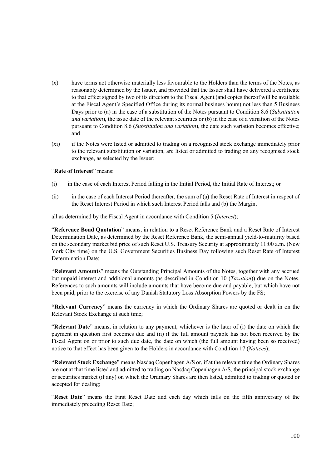- (x) have terms not otherwise materially less favourable to the Holders than the terms of the Notes, as reasonably determined by the Issuer, and provided that the Issuer shall have delivered a certificate to that effect signed by two of its directors to the Fiscal Agent (and copies thereof will be available at the Fiscal Agent's Specified Office during its normal business hours) not less than 5 Business Days prior to (a) in the case of a substitution of the Notes pursuant to Condition 8.6 (*Substitution and variation*), the issue date of the relevant securities or (b) in the case of a variation of the Notes pursuant to Condition 8.6 (*Substitution and variation*), the date such variation becomes effective; and
- (xi) if the Notes were listed or admitted to trading on a recognised stock exchange immediately prior to the relevant substitution or variation, are listed or admitted to trading on any recognised stock exchange, as selected by the Issuer;

## "**Rate of Interest**" means:

- (i) in the case of each Interest Period falling in the Initial Period, the Initial Rate of Interest; or
- (ii) in the case of each Interest Period thereafter, the sum of (a) the Reset Rate of Interest in respect of the Reset Interest Period in which such Interest Period falls and (b) the Margin,

all as determined by the Fiscal Agent in accordance with Condition 5 (*Interest*);

"**Reference Bond Quotation**" means, in relation to a Reset Reference Bank and a Reset Rate of Interest Determination Date, as determined by the Reset Reference Bank, the semi-annual yield-to-maturity based on the secondary market bid price of such Reset U.S. Treasury Security at approximately 11:00 a.m. (New York City time) on the U.S. Government Securities Business Day following such Reset Rate of Interest Determination Date;

"**Relevant Amounts**" means the Outstanding Principal Amounts of the Notes, together with any accrued but unpaid interest and additional amounts (as described in Condition 10 (*Taxation*)) due on the Notes. References to such amounts will include amounts that have become due and payable, but which have not been paid, prior to the exercise of any Danish Statutory Loss Absorption Powers by the FS;

**"Relevant Currency**" means the currency in which the Ordinary Shares are quoted or dealt in on the Relevant Stock Exchange at such time;

"**Relevant Date**" means, in relation to any payment, whichever is the later of (i) the date on which the payment in question first becomes due and (ii) if the full amount payable has not been received by the Fiscal Agent on or prior to such due date, the date on which (the full amount having been so received) notice to that effect has been given to the Holders in accordance with Condition 17 (*Notices*);

"**Relevant Stock Exchange**" means Nasdaq Copenhagen A/S or, if at the relevant time the Ordinary Shares are not at that time listed and admitted to trading on Nasdaq Copenhagen A/S, the principal stock exchange or securities market (if any) on which the Ordinary Shares are then listed, admitted to trading or quoted or accepted for dealing;

"**Reset Date**" means the First Reset Date and each day which falls on the fifth anniversary of the immediately preceding Reset Date;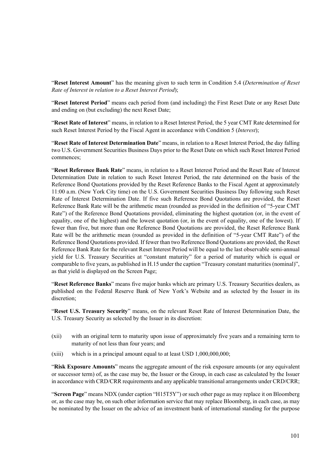"**Reset Interest Amount**" has the meaning given to such term in Condition 5.4 (*Determination of Reset Rate of Interest in relation to a Reset Interest Period*);

"**Reset Interest Period**" means each period from (and including) the First Reset Date or any Reset Date and ending on (but excluding) the next Reset Date;

"**Reset Rate of Interest**" means, in relation to a Reset Interest Period, the 5 year CMT Rate determined for such Reset Interest Period by the Fiscal Agent in accordance with Condition 5 (*Interest*);

"**Reset Rate of Interest Determination Date**" means, in relation to a Reset Interest Period, the day falling two U.S. Government Securities Business Days prior to the Reset Date on which such Reset Interest Period commences;

"**Reset Reference Bank Rate**" means, in relation to a Reset Interest Period and the Reset Rate of Interest Determination Date in relation to such Reset Interest Period, the rate determined on the basis of the Reference Bond Quotations provided by the Reset Reference Banks to the Fiscal Agent at approximately 11:00 a.m. (New York City time) on the U.S. Government Securities Business Day following such Reset Rate of Interest Determination Date. If five such Reference Bond Quotations are provided, the Reset Reference Bank Rate will be the arithmetic mean (rounded as provided in the definition of "5-year CMT Rate") of the Reference Bond Quotations provided, eliminating the highest quotation (or, in the event of equality, one of the highest) and the lowest quotation (or, in the event of equality, one of the lowest). If fewer than five, but more than one Reference Bond Quotations are provided, the Reset Reference Bank Rate will be the arithmetic mean (rounded as provided in the definition of "5-year CMT Rate") of the Reference Bond Quotations provided. If fewer than two Reference Bond Quotations are provided, the Reset Reference Bank Rate for the relevant Reset Interest Period will be equal to the last observable semi-annual yield for U.S. Treasury Securities at "constant maturity" for a period of maturity which is equal or comparable to five years, as published in H.15 under the caption "Treasury constant maturities (nominal)", as that yield is displayed on the Screen Page;

"**Reset Reference Banks**" means five major banks which are primary U.S. Treasury Securities dealers, as published on the Federal Reserve Bank of New York's Website and as selected by the Issuer in its discretion;

"**Reset U.S. Treasury Security**" means, on the relevant Reset Rate of Interest Determination Date, the U.S. Treasury Security as selected by the Issuer in its discretion:

- (xii) with an original term to maturity upon issue of approximately five years and a remaining term to maturity of not less than four years; and
- $(xiii)$  which is in a principal amount equal to at least USD  $1,000,000,000;$

"**Risk Exposure Amounts**" means the aggregate amount of the risk exposure amounts (or any equivalent or successor term) of, as the case may be, the Issuer or the Group, in each case as calculated by the Issuer in accordance with CRD/CRR requirements and any applicable transitional arrangements under CRD/CRR;

"**Screen Page**" means NDX (under caption "H15T5Y") or such other page as may replace it on Bloomberg or, as the case may be, on such other information service that may replace Bloomberg, in each case, as may be nominated by the Issuer on the advice of an investment bank of international standing for the purpose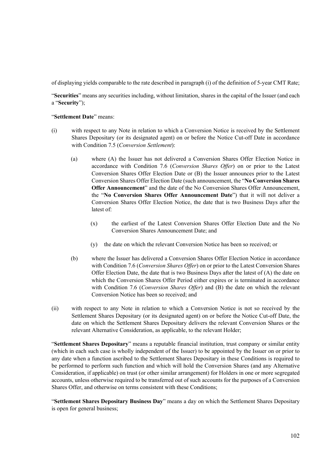of displaying yields comparable to the rate described in paragraph (i) of the definition of 5-year CMT Rate;

"**Securities**" means any securities including, without limitation, shares in the capital of the Issuer (and each a "**Security**");

### "**Settlement Date**" means:

- (i) with respect to any Note in relation to which a Conversion Notice is received by the Settlement Shares Depositary (or its designated agent) on or before the Notice Cut-off Date in accordance with Condition 7.5 (*Conversion Settlement*):
	- (a) where (A) the Issuer has not delivered a Conversion Shares Offer Election Notice in accordance with Condition 7.6 (*Conversion Shares Offer*) on or prior to the Latest Conversion Shares Offer Election Date or (B) the Issuer announces prior to the Latest Conversion Shares Offer Election Date (such announcement, the "**No Conversion Shares Offer Announcement**" and the date of the No Conversion Shares Offer Announcement, the "**No Conversion Shares Offer Announcement Date**") that it will not deliver a Conversion Shares Offer Election Notice, the date that is two Business Days after the latest of:
		- (x) the earliest of the Latest Conversion Shares Offer Election Date and the No Conversion Shares Announcement Date; and
		- (y) the date on which the relevant Conversion Notice has been so received; or
	- (b) where the Issuer has delivered a Conversion Shares Offer Election Notice in accordance with Condition 7.6 (*Conversion Shares Offer*) on or prior to the Latest Conversion Shares Offer Election Date, the date that is two Business Days after the latest of  $(A)$  the date on which the Conversion Shares Offer Period either expires or is terminated in accordance with Condition 7.6 (*Conversion Shares Offer*) and (B) the date on which the relevant Conversion Notice has been so received; and
- (ii) with respect to any Note in relation to which a Conversion Notice is not so received by the Settlement Shares Depositary (or its designated agent) on or before the Notice Cut-off Date, the date on which the Settlement Shares Depositary delivers the relevant Conversion Shares or the relevant Alternative Consideration, as applicable, to the relevant Holder;

"**Settlement Shares Depositary**" means a reputable financial institution, trust company or similar entity (which in each such case is wholly independent of the Issuer) to be appointed by the Issuer on or prior to any date when a function ascribed to the Settlement Shares Depositary in these Conditions is required to be performed to perform such function and which will hold the Conversion Shares (and any Alternative Consideration, if applicable) on trust (or other similar arrangement) for Holders in one or more segregated accounts, unless otherwise required to be transferred out of such accounts for the purposes of a Conversion Shares Offer, and otherwise on terms consistent with these Conditions;

"**Settlement Shares Depositary Business Day**" means a day on which the Settlement Shares Depositary is open for general business;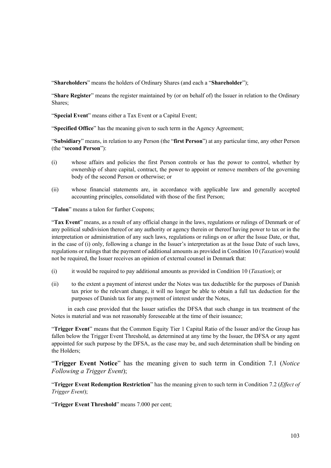"**Shareholders**" means the holders of Ordinary Shares (and each a "**Shareholder**");

"**Share Register**" means the register maintained by (or on behalf of) the Issuer in relation to the Ordinary Shares;

"**Special Event**" means either a Tax Event or a Capital Event;

"**Specified Office**" has the meaning given to such term in the Agency Agreement;

"**Subsidiary**" means, in relation to any Person (the "**first Person**") at any particular time, any other Person (the "**second Person**"):

- (i) whose affairs and policies the first Person controls or has the power to control, whether by ownership of share capital, contract, the power to appoint or remove members of the governing body of the second Person or otherwise; or
- (ii) whose financial statements are, in accordance with applicable law and generally accepted accounting principles, consolidated with those of the first Person;

"**Talon**" means a talon for further Coupons;

"**Tax Event**" means, as a result of any official change in the laws, regulations or rulings of Denmark or of any political subdivision thereof or any authority or agency therein or thereof having power to tax or in the interpretation or administration of any such laws, regulations or rulings on or after the Issue Date, or that, in the case of (i) only, following a change in the Issuer's interpretation as at the Issue Date of such laws, regulations or rulings that the payment of additional amounts as provided in Condition 10 (*Taxation*) would not be required, the Issuer receives an opinion of external counsel in Denmark that:

- (i) it would be required to pay additional amounts as provided in Condition 10 (*Taxation*); or
- (ii) to the extent a payment of interest under the Notes was tax deductible for the purposes of Danish tax prior to the relevant change, it will no longer be able to obtain a full tax deduction for the purposes of Danish tax for any payment of interest under the Notes,

 in each case provided that the Issuer satisfies the DFSA that such change in tax treatment of the Notes is material and was not reasonably foreseeable at the time of their issuance;

"**Trigger Event**" means that the Common Equity Tier 1 Capital Ratio of the Issuer and/or the Group has fallen below the Trigger Event Threshold, as determined at any time by the Issuer, the DFSA or any agent appointed for such purpose by the DFSA, as the case may be, and such determination shall be binding on the Holders;

"**Trigger Event Notice**" has the meaning given to such term in Condition 7.1 (*Notice Following a Trigger Event*);

"**Trigger Event Redemption Restriction**" has the meaning given to such term in Condition 7.2 (*Effect of Trigger Event*);

"**Trigger Event Threshold**" means 7.000 per cent;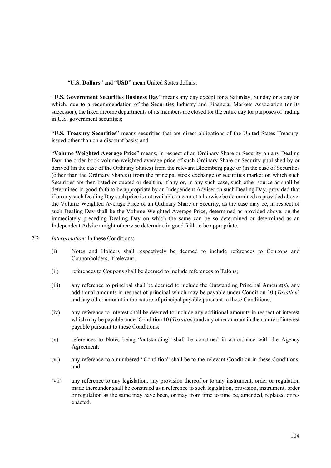"**U.S. Dollars**" and "**USD**" mean United States dollars;

"**U.S. Government Securities Business Day**" means any day except for a Saturday, Sunday or a day on which, due to a recommendation of the Securities Industry and Financial Markets Association (or its successor), the fixed income departments of its members are closed for the entire day for purposes of trading in U.S. government securities;

"**U.S. Treasury Securities**" means securities that are direct obligations of the United States Treasury, issued other than on a discount basis; and

"**Volume Weighted Average Price**" means, in respect of an Ordinary Share or Security on any Dealing Day, the order book volume-weighted average price of such Ordinary Share or Security published by or derived (in the case of the Ordinary Shares) from the relevant Bloomberg page or (in the case of Securities (other than the Ordinary Shares)) from the principal stock exchange or securities market on which such Securities are then listed or quoted or dealt in, if any or, in any such case, such other source as shall be determined in good faith to be appropriate by an Independent Adviser on such Dealing Day, provided that if on any such Dealing Day such price is not available or cannot otherwise be determined as provided above, the Volume Weighted Average Price of an Ordinary Share or Security, as the case may be, in respect of such Dealing Day shall be the Volume Weighted Average Price, determined as provided above, on the immediately preceding Dealing Day on which the same can be so determined or determined as an Independent Adviser might otherwise determine in good faith to be appropriate.

- 2.2 *Interpretation*: In these Conditions:
	- (i) Notes and Holders shall respectively be deemed to include references to Coupons and Couponholders, if relevant;
	- (ii) references to Coupons shall be deemed to include references to Talons;
	- (iii) any reference to principal shall be deemed to include the Outstanding Principal Amount(s), any additional amounts in respect of principal which may be payable under Condition 10 (*Taxation*) and any other amount in the nature of principal payable pursuant to these Conditions;
	- (iv) any reference to interest shall be deemed to include any additional amounts in respect of interest which may be payable under Condition 10 (*Taxation*) and any other amount in the nature of interest payable pursuant to these Conditions;
	- (v) references to Notes being "outstanding" shall be construed in accordance with the Agency Agreement;
	- (vi) any reference to a numbered "Condition" shall be to the relevant Condition in these Conditions; and
	- (vii) any reference to any legislation, any provision thereof or to any instrument, order or regulation made thereunder shall be construed as a reference to such legislation, provision, instrument, order or regulation as the same may have been, or may from time to time be, amended, replaced or reenacted.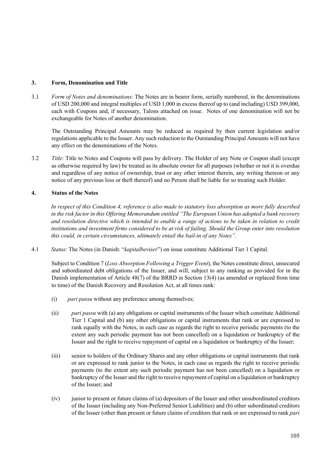# **3. Form, Denomination and Title**

3.1 *Form of Notes and denominations*: The Notes are in bearer form, serially numbered, in the denominations of USD 200,000 and integral multiples of USD 1,000 in excess thereof up to (and including) USD 399,000, each with Coupons and, if necessary, Talons attached on issue. Notes of one denomination will not be exchangeable for Notes of another denomination.

The Outstanding Principal Amounts may be reduced as required by then current legislation and/or regulations applicable to the Issuer. Any such reduction to the Outstanding Principal Amounts will not have any effect on the denominations of the Notes.

3.2 *Title*: Title to Notes and Coupons will pass by delivery. The Holder of any Note or Coupon shall (except as otherwise required by law) be treated as its absolute owner for all purposes (whether or not it is overdue and regardless of any notice of ownership, trust or any other interest therein, any writing thereon or any notice of any previous loss or theft thereof) and no Person shall be liable for so treating such Holder.

# **4. Status of the Notes**

*In respect of this Condition 4, reference is also made to statutory loss absorption as more fully described in the risk factor in this Offering Memorandum entitled "The European Union has adopted a bank recovery and resolution directive which is intended to enable a range of actions to be taken in relation to credit institutions and investment firms considered to be at risk of failing. Should the Group enter into resolution this could, in certain circumstances, ultimately entail the bail-in of any Notes".*

4.1 *Status*: The Notes (in Danish: "*kapitalbeviser*") on issue constitute Additional Tier 1 Capital.

Subject to Condition 7 (*Loss Absorption Following a Trigger Event*), the Notes constitute direct, unsecured and subordinated debt obligations of the Issuer, and will, subject to any ranking as provided for in the Danish implementation of Article 48(7) of the BRRD in Section 13(4) (as amended or replaced from time to time) of the Danish Recovery and Resolution Act, at all times rank:

- (i) *pari passu* without any preference among themselves;
- (ii) *pari passu* with (a) any obligations or capital instruments of the Issuer which constitute Additional Tier 1 Capital and (b) any other obligations or capital instruments that rank or are expressed to rank equally with the Notes, in each case as regards the right to receive periodic payments (to the extent any such periodic payment has not been cancelled) on a liquidation or bankruptcy of the Issuer and the right to receive repayment of capital on a liquidation or bankruptcy of the Issuer;
- (iii) senior to holders of the Ordinary Shares and any other obligations or capital instruments that rank or are expressed to rank junior to the Notes, in each case as regards the right to receive periodic payments (to the extent any such periodic payment has not been cancelled) on a liquidation or bankruptcy of the Issuer and the right to receive repayment of capital on a liquidation or bankruptcy of the Issuer; and
- (iv) junior to present or future claims of (a) depositors of the Issuer and other unsubordinated creditors of the Issuer (including any Non-Preferred Senior Liabilities) and (b) other subordinated creditors of the Issuer (other than present or future claims of creditors that rank or are expressed to rank *pari*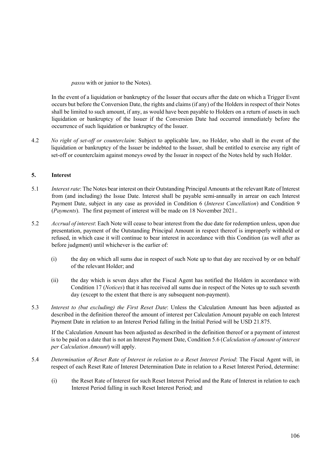*passu* with or junior to the Notes).

In the event of a liquidation or bankruptcy of the Issuer that occurs after the date on which a Trigger Event occurs but before the Conversion Date, the rights and claims (if any) of the Holders in respect of their Notes shall be limited to such amount, if any, as would have been payable to Holders on a return of assets in such liquidation or bankruptcy of the Issuer if the Conversion Date had occurred immediately before the occurrence of such liquidation or bankruptcy of the Issuer.

4.2 *No right of set-off or counterclaim*: Subject to applicable law, no Holder, who shall in the event of the liquidation or bankruptcy of the Issuer be indebted to the Issuer, shall be entitled to exercise any right of set-off or counterclaim against moneys owed by the Issuer in respect of the Notes held by such Holder.

# **5. Interest**

- 5.1 *Interest rate*: The Notes bear interest on their Outstanding Principal Amounts at the relevant Rate of Interest from (and including) the Issue Date. Interest shall be payable semi-annually in arrear on each Interest Payment Date, subject in any case as provided in Condition 6 (*Interest Cancellation*) and Condition 9 (*Payments*). The first payment of interest will be made on 18 November 2021..
- 5.2 *Accrual of interest*: Each Note will cease to bear interest from the due date for redemption unless, upon due presentation, payment of the Outstanding Principal Amount in respect thereof is improperly withheld or refused, in which case it will continue to bear interest in accordance with this Condition (as well after as before judgment) until whichever is the earlier of:
	- (i) the day on which all sums due in respect of such Note up to that day are received by or on behalf of the relevant Holder; and
	- (ii) the day which is seven days after the Fiscal Agent has notified the Holders in accordance with Condition 17 (*Notices*) that it has received all sums due in respect of the Notes up to such seventh day (except to the extent that there is any subsequent non-payment).
- 5.3 *Interest to (but excluding) the First Reset Date*: Unless the Calculation Amount has been adjusted as described in the definition thereof the amount of interest per Calculation Amount payable on each Interest Payment Date in relation to an Interest Period falling in the Initial Period will be USD 21.875.

If the Calculation Amount has been adjusted as described in the definition thereof or a payment of interest is to be paid on a date that is not an Interest Payment Date, Condition 5.6 (*Calculation of amount of interest per Calculation Amount*) will apply.

- 5.4 *Determination of Reset Rate of Interest in relation to a Reset Interest Period*: The Fiscal Agent will, in respect of each Reset Rate of Interest Determination Date in relation to a Reset Interest Period, determine:
	- (i) the Reset Rate of Interest for such Reset Interest Period and the Rate of Interest in relation to each Interest Period falling in such Reset Interest Period; and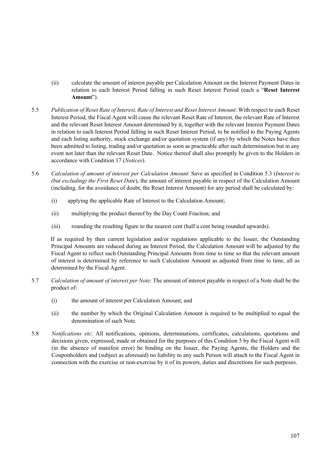- (ii) calculate the amount of interest payable per Calculation Amount on the Interest Payment Dates in relation to each Interest Period falling in such Reset Interest Period (each a "**Reset Interest Amount**").
- 5.5 *Publication of Reset Rate of Interest, Rate of Interest and Reset Interest Amount*: With respect to each Reset Interest Period, the Fiscal Agent will cause the relevant Reset Rate of Interest, the relevant Rate of Interest and the relevant Reset Interest Amount determined by it, together with the relevant Interest Payment Dates in relation to each Interest Period falling in such Reset Interest Period, to be notified to the Paying Agents and each listing authority, stock exchange and/or quotation system (if any) by which the Notes have then been admitted to listing, trading and/or quotation as soon as practicable after such determination but in any event not later than the relevant Reset Date. Notice thereof shall also promptly be given to the Holders in accordance with Condition 17 (*Notices*).
- 5.6 *Calculation of amount of interest per Calculation Amount*: Save as specified in Condition 5.3 (*Interest to (but excluding) the First Reset Date*), the amount of interest payable in respect of the Calculation Amount (including, for the avoidance of doubt, the Reset Interest Amount) for any period shall be calculated by:
	- (i) applying the applicable Rate of Interest to the Calculation Amount;
	- (ii) multiplying the product thereof by the Day Count Fraction; and
	- (iii) rounding the resulting figure to the nearest cent (half a cent being rounded upwards).

If as required by then current legislation and/or regulations applicable to the Issuer, the Outstanding Principal Amounts are reduced during an Interest Period, the Calculation Amount will be adjusted by the Fiscal Agent to reflect such Outstanding Principal Amounts from time to time so that the relevant amount of interest is determined by reference to such Calculation Amount as adjusted from time to time, all as determined by the Fiscal Agent.

- 5.7 *Calculation of amount of interest per Note*: The amount of interest payable in respect of a Note shall be the product of:
	- (i) the amount of interest per Calculation Amount; and
	- (ii) the number by which the Original Calculation Amount is required to be multiplied to equal the denomination of such Note.
- 5.8 *Notifications etc*: All notifications, opinions, determinations, certificates, calculations, quotations and decisions given, expressed, made or obtained for the purposes of this Condition 5 by the Fiscal Agent will (in the absence of manifest error) be binding on the Issuer, the Paying Agents, the Holders and the Couponholders and (subject as aforesaid) no liability to any such Person will attach to the Fiscal Agent in connection with the exercise or non-exercise by it of its powers, duties and discretions for such purposes.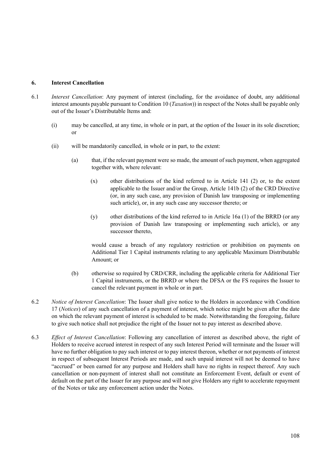# **6. Interest Cancellation**

- 6.1 *Interest Cancellation*: Any payment of interest (including, for the avoidance of doubt, any additional interest amounts payable pursuant to Condition 10 (*Taxation*)) in respect of the Notes shall be payable only out of the Issuer's Distributable Items and:
	- (i) may be cancelled, at any time, in whole or in part, at the option of the Issuer in its sole discretion; or
	- (ii) will be mandatorily cancelled, in whole or in part, to the extent:
		- (a) that, if the relevant payment were so made, the amount of such payment, when aggregated together with, where relevant:
			- (x) other distributions of the kind referred to in Article 141 (2) or, to the extent applicable to the Issuer and/or the Group, Article 141b (2) of the CRD Directive (or, in any such case, any provision of Danish law transposing or implementing such article), or, in any such case any successor thereto; or
			- (y) other distributions of the kind referred to in Article 16a (1) of the BRRD (or any provision of Danish law transposing or implementing such article), or any successor thereto,

would cause a breach of any regulatory restriction or prohibition on payments on Additional Tier 1 Capital instruments relating to any applicable Maximum Distributable Amount; or

- (b) otherwise so required by CRD/CRR, including the applicable criteria for Additional Tier 1 Capital instruments, or the BRRD or where the DFSA or the FS requires the Issuer to cancel the relevant payment in whole or in part.
- 6.2 *Notice of Interest Cancellation*: The Issuer shall give notice to the Holders in accordance with Condition 17 (*Notices*) of any such cancellation of a payment of interest, which notice might be given after the date on which the relevant payment of interest is scheduled to be made. Notwithstanding the foregoing, failure to give such notice shall not prejudice the right of the Issuer not to pay interest as described above.
- 6.3 *Effect of Interest Cancellation*: Following any cancellation of interest as described above, the right of Holders to receive accrued interest in respect of any such Interest Period will terminate and the Issuer will have no further obligation to pay such interest or to pay interest thereon, whether or not payments of interest in respect of subsequent Interest Periods are made, and such unpaid interest will not be deemed to have "accrued" or been earned for any purpose and Holders shall have no rights in respect thereof. Any such cancellation or non-payment of interest shall not constitute an Enforcement Event, default or event of default on the part of the Issuer for any purpose and will not give Holders any right to accelerate repayment of the Notes or take any enforcement action under the Notes.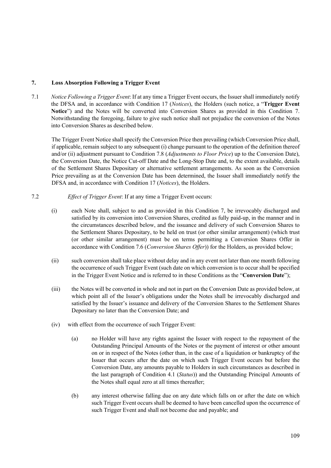## **7. Loss Absorption Following a Trigger Event**

7.1 *Notice Following a Trigger Event*: If at any time a Trigger Event occurs, the Issuer shall immediately notify the DFSA and, in accordance with Condition 17 (*Notices*), the Holders (such notice, a "**Trigger Event Notice**") and the Notes will be converted into Conversion Shares as provided in this Condition 7. Notwithstanding the foregoing, failure to give such notice shall not prejudice the conversion of the Notes into Conversion Shares as described below.

The Trigger Event Notice shall specify the Conversion Price then prevailing (which Conversion Price shall, if applicable, remain subject to any subsequent (i) change pursuant to the operation of the definition thereof and/or (ii) adjustment pursuant to Condition 7.8 (*Adjustments to Floor Price*) up to the Conversion Date), the Conversion Date, the Notice Cut-off Date and the Long-Stop Date and, to the extent available, details of the Settlement Shares Depositary or alternative settlement arrangements. As soon as the Conversion Price prevailing as at the Conversion Date has been determined, the Issuer shall immediately notify the DFSA and, in accordance with Condition 17 (*Notices*), the Holders.

### 7.2 *Effect of Trigger Event*: If at any time a Trigger Event occurs:

- (i) each Note shall, subject to and as provided in this Condition 7, be irrevocably discharged and satisfied by its conversion into Conversion Shares, credited as fully paid-up, in the manner and in the circumstances described below, and the issuance and delivery of such Conversion Shares to the Settlement Shares Depositary, to be held on trust (or other similar arrangement) (which trust (or other similar arrangement) must be on terms permitting a Conversion Shares Offer in accordance with Condition 7.6 (*Conversion Shares Offer*)) for the Holders, as provided below;
- (ii) such conversion shall take place without delay and in any event not later than one month following the occurrence of such Trigger Event (such date on which conversion is to occur shall be specified in the Trigger Event Notice and is referred to in these Conditions as the "**Conversion Date**");
- (iii) the Notes will be converted in whole and not in part on the Conversion Date as provided below, at which point all of the Issuer's obligations under the Notes shall be irrevocably discharged and satisfied by the Issuer's issuance and delivery of the Conversion Shares to the Settlement Shares Depositary no later than the Conversion Date; and
- (iv) with effect from the occurrence of such Trigger Event:
	- (a) no Holder will have any rights against the Issuer with respect to the repayment of the Outstanding Principal Amounts of the Notes or the payment of interest or other amount on or in respect of the Notes (other than, in the case of a liquidation or bankruptcy of the Issuer that occurs after the date on which such Trigger Event occurs but before the Conversion Date, any amounts payable to Holders in such circumstances as described in the last paragraph of Condition 4.1 (*Status*)) and the Outstanding Principal Amounts of the Notes shall equal zero at all times thereafter;
	- (b) any interest otherwise falling due on any date which falls on or after the date on which such Trigger Event occurs shall be deemed to have been cancelled upon the occurrence of such Trigger Event and shall not become due and payable; and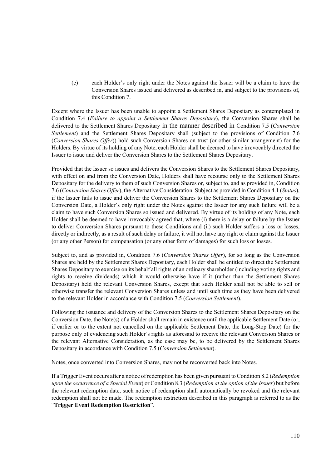(c) each Holder's only right under the Notes against the Issuer will be a claim to have the Conversion Shares issued and delivered as described in, and subject to the provisions of, this Condition 7.

Except where the Issuer has been unable to appoint a Settlement Shares Depositary as contemplated in Condition 7.4 (*Failure to appoint a Settlement Shares Depositary*), the Conversion Shares shall be delivered to the Settlement Shares Depositary in the manner described in Condition 7.5 (*Conversion Settlement*) and the Settlement Shares Depositary shall (subject to the provisions of Condition 7.6 (*Conversion Shares Offer*)) hold such Conversion Shares on trust (or other similar arrangement) for the Holders. By virtue of its holding of any Note, each Holder shall be deemed to have irrevocably directed the Issuer to issue and deliver the Conversion Shares to the Settlement Shares Depositary.

Provided that the Issuer so issues and delivers the Conversion Shares to the Settlement Shares Depositary, with effect on and from the Conversion Date, Holders shall have recourse only to the Settlement Shares Depositary for the delivery to them of such Conversion Shares or, subject to, and as provided in, Condition 7.6 (*Conversion Shares Offer*), the Alternative Consideration. Subject as provided in Condition 4.1 (*Status*), if the Issuer fails to issue and deliver the Conversion Shares to the Settlement Shares Depositary on the Conversion Date, a Holder's only right under the Notes against the Issuer for any such failure will be a claim to have such Conversion Shares so issued and delivered. By virtue of its holding of any Note, each Holder shall be deemed to have irrevocably agreed that, where (i) there is a delay or failure by the Issuer to deliver Conversion Shares pursuant to these Conditions and (ii) such Holder suffers a loss or losses, directly or indirectly, as a result of such delay or failure, it will not have any right or claim against the Issuer (or any other Person) for compensation (or any other form of damages) for such loss or losses.

Subject to, and as provided in, Condition 7.6 (*Conversion Shares Offer*), for so long as the Conversion Shares are held by the Settlement Shares Depositary, each Holder shall be entitled to direct the Settlement Shares Depositary to exercise on its behalf all rights of an ordinary shareholder (including voting rights and rights to receive dividends) which it would otherwise have if it (rather than the Settlement Shares Depositary) held the relevant Conversion Shares, except that such Holder shall not be able to sell or otherwise transfer the relevant Conversion Shares unless and until such time as they have been delivered to the relevant Holder in accordance with Condition 7.5 (*Conversion Settlement*).

Following the issuance and delivery of the Conversion Shares to the Settlement Shares Depositary on the Conversion Date, the Note(s) of a Holder shall remain in existence until the applicable Settlement Date (or, if earlier or to the extent not cancelled on the applicable Settlement Date, the Long-Stop Date) for the purpose only of evidencing such Holder's rights as aforesaid to receive the relevant Conversion Shares or the relevant Alternative Consideration, as the case may be, to be delivered by the Settlement Shares Depositary in accordance with Condition 7.5 (*Conversion Settlement*).

Notes, once converted into Conversion Shares, may not be reconverted back into Notes.

If a Trigger Event occurs after a notice of redemption has been given pursuant to Condition 8.2 (*Redemption upon the occurrence of a Special Event*) or Condition 8.3 (*Redemption at the option of the Issuer*) but before the relevant redemption date, such notice of redemption shall automatically be revoked and the relevant redemption shall not be made. The redemption restriction described in this paragraph is referred to as the "**Trigger Event Redemption Restriction**".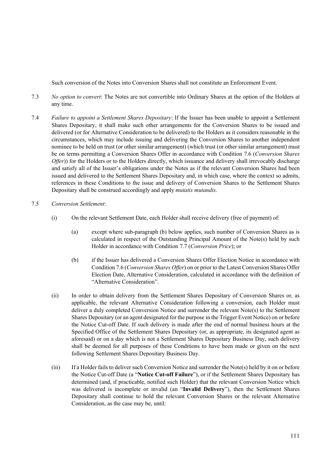Such conversion of the Notes into Conversion Shares shall not constitute an Enforcement Event.

- 7.3 *No option to convert*: The Notes are not convertible into Ordinary Shares at the option of the Holders at any time.
- 7.4 *Failure to appoint a Settlement Shares Depositary*: If the Issuer has been unable to appoint a Settlement Shares Depositary, it shall make such other arrangements for the Conversion Shares to be issued and delivered (or for Alternative Consideration to be delivered) to the Holders as it considers reasonable in the circumstances, which may include issuing and delivering the Conversion Shares to another independent nominee to be held on trust (or other similar arrangement) (which trust (or other similar arrangement) must be on terms permitting a Conversion Shares Offer in accordance with Condition 7.6 (*Conversion Shares Offer*)) for the Holders or to the Holders directly, which issuance and delivery shall irrevocably discharge and satisfy all of the Issuer's obligations under the Notes as if the relevant Conversion Shares had been issued and delivered to the Settlement Shares Depositary and, in which case, where the context so admits, references in these Conditions to the issue and delivery of Conversion Shares to the Settlement Shares Depositary shall be construed accordingly and apply *mutatis mutandis*.

### 7.5 *Conversion Settlement*:

- (i) On the relevant Settlement Date, each Holder shall receive delivery (free of payment) of:
	- (a) except where sub-paragraph (b) below applies, such number of Conversion Shares as is calculated in respect of the Outstanding Principal Amount of the Note(s) held by such Holder in accordance with Condition 7.7 (*Conversion Price*); or
	- (b) if the Issuer has delivered a Conversion Shares Offer Election Notice in accordance with Condition 7.6 (*Conversion Shares Offer*) on or prior to the Latest Conversion Shares Offer Election Date, Alternative Consideration, calculated in accordance with the definition of "Alternative Consideration".
- (ii) In order to obtain delivery from the Settlement Shares Depositary of Conversion Shares or, as applicable, the relevant Alternative Consideration following a conversion, each Holder must deliver a duly completed Conversion Notice and surrender the relevant Note(s) to the Settlement Shares Depositary (or an agent designated for the purpose in the Trigger Event Notice) on or before the Notice Cut-off Date. If such delivery is made after the end of normal business hours at the Specified Office of the Settlement Shares Depositary (or, as appropriate, its designated agent as aforesaid) or on a day which is not a Settlement Shares Depositary Business Day, such delivery shall be deemed for all purposes of these Conditions to have been made or given on the next following Settlement Shares Depositary Business Day.
- (iii) If a Holder fails to deliver such Conversion Notice and surrender the Note(s) held by it on or before the Notice Cut-off Date (a "**Notice Cut-off Failure**"), or if the Settlement Shares Depositary has determined (and, if practicable, notified such Holder) that the relevant Conversion Notice which was delivered is incomplete or invalid (an "**Invalid Delivery**"), then the Settlement Shares Depositary shall continue to hold the relevant Conversion Shares or the relevant Alternative Consideration, as the case may be, until: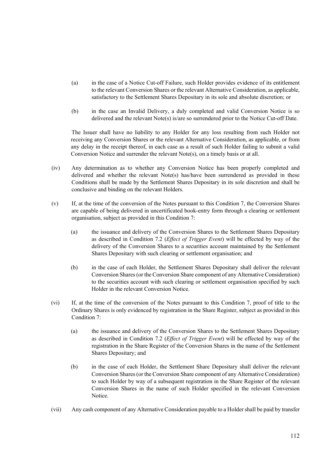- (a) in the case of a Notice Cut-off Failure, such Holder provides evidence of its entitlement to the relevant Conversion Shares or the relevant Alternative Consideration, as applicable, satisfactory to the Settlement Shares Depositary in its sole and absolute discretion; or
- (b) in the case an Invalid Delivery, a duly completed and valid Conversion Notice is so delivered and the relevant Note(s) is/are so surrendered prior to the Notice Cut-off Date.

The Issuer shall have no liability to any Holder for any loss resulting from such Holder not receiving any Conversion Shares or the relevant Alternative Consideration, as applicable, or from any delay in the receipt thereof, in each case as a result of such Holder failing to submit a valid Conversion Notice and surrender the relevant Note(s), on a timely basis or at all.

- (iv) Any determination as to whether any Conversion Notice has been properly completed and delivered and whether the relevant Note(s) has/have been surrendered as provided in these Conditions shall be made by the Settlement Shares Depositary in its sole discretion and shall be conclusive and binding on the relevant Holders.
- (v) If, at the time of the conversion of the Notes pursuant to this Condition 7, the Conversion Shares are capable of being delivered in uncertificated book-entry form through a clearing or settlement organisation, subject as provided in this Condition 7:
	- (a) the issuance and delivery of the Conversion Shares to the Settlement Shares Depositary as described in Condition 7.2 (*Effect of Trigger Event*) will be effected by way of the delivery of the Conversion Shares to a securities account maintained by the Settlement Shares Depositary with such clearing or settlement organisation; and
	- (b) in the case of each Holder, the Settlement Shares Depositary shall deliver the relevant Conversion Shares (or the Conversion Share component of any Alternative Consideration) to the securities account with such clearing or settlement organisation specified by such Holder in the relevant Conversion Notice.
- (vi) If, at the time of the conversion of the Notes pursuant to this Condition 7, proof of title to the Ordinary Shares is only evidenced by registration in the Share Register, subject as provided in this Condition 7:
	- (a) the issuance and delivery of the Conversion Shares to the Settlement Shares Depositary as described in Condition 7.2 (*Effect of Trigger Event*) will be effected by way of the registration in the Share Register of the Conversion Shares in the name of the Settlement Shares Depositary; and
	- (b) in the case of each Holder, the Settlement Share Depositary shall deliver the relevant Conversion Shares (or the Conversion Share component of any Alternative Consideration) to such Holder by way of a subsequent registration in the Share Register of the relevant Conversion Shares in the name of such Holder specified in the relevant Conversion Notice.
- (vii) Any cash component of any Alternative Consideration payable to a Holder shall be paid by transfer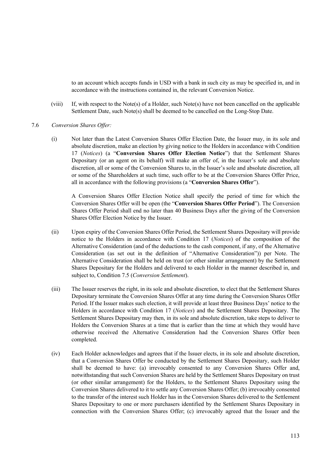to an account which accepts funds in USD with a bank in such city as may be specified in, and in accordance with the instructions contained in, the relevant Conversion Notice.

- (viii) If, with respect to the Note(s) of a Holder, such Note(s) have not been cancelled on the applicable Settlement Date, such Note(s) shall be deemed to be cancelled on the Long-Stop Date.
- 7.6 *Conversion Shares Offer:* 
	- (i) Not later than the Latest Conversion Shares Offer Election Date, the Issuer may, in its sole and absolute discretion, make an election by giving notice to the Holders in accordance with Condition 17 (*Notices*) (a "**Conversion Shares Offer Election Notice**") that the Settlement Shares Depositary (or an agent on its behalf) will make an offer of, in the Issuer's sole and absolute discretion, all or some of the Conversion Shares to, in the Issuer's sole and absolute discretion, all or some of the Shareholders at such time, such offer to be at the Conversion Shares Offer Price, all in accordance with the following provisions (a "**Conversion Shares Offer**").

A Conversion Shares Offer Election Notice shall specify the period of time for which the Conversion Shares Offer will be open (the "**Conversion Shares Offer Period**"). The Conversion Shares Offer Period shall end no later than 40 Business Days after the giving of the Conversion Shares Offer Election Notice by the Issuer.

- (ii) Upon expiry of the Conversion Shares Offer Period, the Settlement Shares Depositary will provide notice to the Holders in accordance with Condition 17 (*Notices*) of the composition of the Alternative Consideration (and of the deductions to the cash component, if any, of the Alternative Consideration (as set out in the definition of "Alternative Consideration")) per Note. The Alternative Consideration shall be held on trust (or other similar arrangement) by the Settlement Shares Depositary for the Holders and delivered to each Holder in the manner described in, and subject to, Condition 7.5 (*Conversion Settlement*).
- (iii) The Issuer reserves the right, in its sole and absolute discretion, to elect that the Settlement Shares Depositary terminate the Conversion Shares Offer at any time during the Conversion Shares Offer Period. If the Issuer makes such election, it will provide at least three Business Days' notice to the Holders in accordance with Condition 17 (*Notices*) and the Settlement Shares Depositary. The Settlement Shares Depositary may then, in its sole and absolute discretion, take steps to deliver to Holders the Conversion Shares at a time that is earlier than the time at which they would have otherwise received the Alternative Consideration had the Conversion Shares Offer been completed.
- (iv) Each Holder acknowledges and agrees that if the Issuer elects, in its sole and absolute discretion, that a Conversion Shares Offer be conducted by the Settlement Shares Depositary, such Holder shall be deemed to have: (a) irrevocably consented to any Conversion Shares Offer and, notwithstanding that such Conversion Shares are held by the Settlement Shares Depositary on trust (or other similar arrangement) for the Holders, to the Settlement Shares Depositary using the Conversion Shares delivered to it to settle any Conversion Shares Offer; (b) irrevocably consented to the transfer of the interest such Holder has in the Conversion Shares delivered to the Settlement Shares Depositary to one or more purchasers identified by the Settlement Shares Depositary in connection with the Conversion Shares Offer; (c) irrevocably agreed that the Issuer and the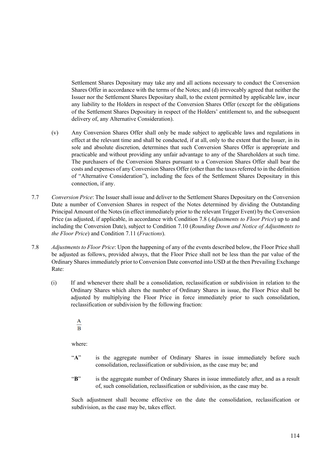Settlement Shares Depositary may take any and all actions necessary to conduct the Conversion Shares Offer in accordance with the terms of the Notes; and (d) irrevocably agreed that neither the Issuer nor the Settlement Shares Depositary shall, to the extent permitted by applicable law, incur any liability to the Holders in respect of the Conversion Shares Offer (except for the obligations of the Settlement Shares Depositary in respect of the Holders' entitlement to, and the subsequent delivery of, any Alternative Consideration).

- (v) Any Conversion Shares Offer shall only be made subject to applicable laws and regulations in effect at the relevant time and shall be conducted, if at all, only to the extent that the Issuer, in its sole and absolute discretion, determines that such Conversion Shares Offer is appropriate and practicable and without providing any unfair advantage to any of the Shareholders at such time. The purchasers of the Conversion Shares pursuant to a Conversion Shares Offer shall bear the costs and expenses of any Conversion Shares Offer (other than the taxes referred to in the definition of "Alternative Consideration"), including the fees of the Settlement Shares Depositary in this connection, if any.
- 7.7 *Conversion Price*: The Issuer shall issue and deliver to the Settlement Shares Depositary on the Conversion Date a number of Conversion Shares in respect of the Notes determined by dividing the Outstanding Principal Amount of the Notes (in effect immediately prior to the relevant Trigger Event) by the Conversion Price (as adjusted, if applicable, in accordance with Condition 7.8 (*Adjustments to Floor Price*) up to and including the Conversion Date), subject to Condition 7.10 (*Rounding Down and Notice of Adjustments to the Floor Price*) and Condition 7.11 (*Fractions*).
- 7.8 *Adjustments to Floor Price*: Upon the happening of any of the events described below, the Floor Price shall be adjusted as follows, provided always, that the Floor Price shall not be less than the par value of the Ordinary Shares immediately prior to Conversion Date converted into USD at the then Prevailing Exchange Rate:
	- (i) If and whenever there shall be a consolidation, reclassification or subdivision in relation to the Ordinary Shares which alters the number of Ordinary Shares in issue, the Floor Price shall be adjusted by multiplying the Floor Price in force immediately prior to such consolidation, reclassification or subdivision by the following fraction:

$$
\frac{\mathbf{A}}{\mathbf{B}}
$$

where:

- "A" is the aggregate number of Ordinary Shares in issue immediately before such consolidation, reclassification or subdivision, as the case may be; and
- "**B**" is the aggregate number of Ordinary Shares in issue immediately after, and as a result of, such consolidation, reclassification or subdivision, as the case may be.

Such adjustment shall become effective on the date the consolidation, reclassification or subdivision, as the case may be, takes effect.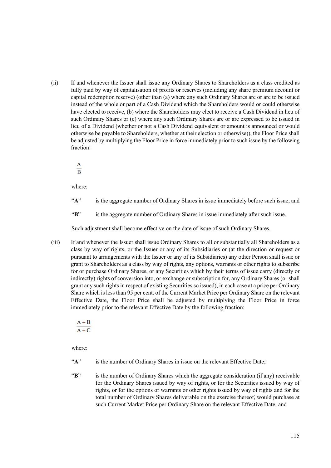(ii) If and whenever the Issuer shall issue any Ordinary Shares to Shareholders as a class credited as fully paid by way of capitalisation of profits or reserves (including any share premium account or capital redemption reserve) (other than (a) where any such Ordinary Shares are or are to be issued instead of the whole or part of a Cash Dividend which the Shareholders would or could otherwise have elected to receive, (b) where the Shareholders may elect to receive a Cash Dividend in lieu of such Ordinary Shares or (c) where any such Ordinary Shares are or are expressed to be issued in lieu of a Dividend (whether or not a Cash Dividend equivalent or amount is announced or would otherwise be payable to Shareholders, whether at their election or otherwise)), the Floor Price shall be adjusted by multiplying the Floor Price in force immediately prior to such issue by the following fraction:

 $\frac{A}{B}$ 

where:

- "**A**" is the aggregate number of Ordinary Shares in issue immediately before such issue; and
- "B" is the aggregate number of Ordinary Shares in issue immediately after such issue.

Such adjustment shall become effective on the date of issue of such Ordinary Shares.

(iii) If and whenever the Issuer shall issue Ordinary Shares to all or substantially all Shareholders as a class by way of rights, or the Issuer or any of its Subsidiaries or (at the direction or request or pursuant to arrangements with the Issuer or any of its Subsidiaries) any other Person shall issue or grant to Shareholders as a class by way of rights, any options, warrants or other rights to subscribe for or purchase Ordinary Shares, or any Securities which by their terms of issue carry (directly or indirectly) rights of conversion into, or exchange or subscription for, any Ordinary Shares (or shall grant any such rights in respect of existing Securities so issued), in each case at a price per Ordinary Share which is less than 95 per cent. of the Current Market Price per Ordinary Share on the relevant Effective Date, the Floor Price shall be adjusted by multiplying the Floor Price in force immediately prior to the relevant Effective Date by the following fraction:

 $\frac{A+B}{A+C}$ 

where:

- "A" is the number of Ordinary Shares in issue on the relevant Effective Date;
- "**B**" is the number of Ordinary Shares which the aggregate consideration (if any) receivable for the Ordinary Shares issued by way of rights, or for the Securities issued by way of rights, or for the options or warrants or other rights issued by way of rights and for the total number of Ordinary Shares deliverable on the exercise thereof, would purchase at such Current Market Price per Ordinary Share on the relevant Effective Date; and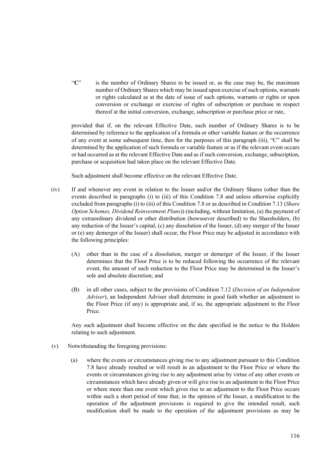"**C**" is the number of Ordinary Shares to be issued or, as the case may be, the maximum number of Ordinary Shares which may be issued upon exercise of such options, warrants or rights calculated as at the date of issue of such options, warrants or rights or upon conversion or exchange or exercise of rights of subscription or purchase in respect thereof at the initial conversion, exchange, subscription or purchase price or rate,

provided that if, on the relevant Effective Date, such number of Ordinary Shares is to be determined by reference to the application of a formula or other variable feature or the occurrence of any event at some subsequent time, then for the purposes of this paragraph (iii), "C" shall be determined by the application of such formula or variable feature or as if the relevant event occurs or had occurred as at the relevant Effective Date and as if such conversion, exchange, subscription, purchase or acquisition had taken place on the relevant Effective Date.

Such adjustment shall become effective on the relevant Effective Date.

- (iv) If and whenever any event in relation to the Issuer and/or the Ordinary Shares (other than the events described in paragraphs (i) to (iii) of this Condition 7.8 and unless otherwise explicitly excluded from paragraphs (i) to (iii) of this Condition 7.8 or as described in Condition 7.13 (*Share Option Schemes, Dividend Reinvestment Plans*)) (including, without limitation, (a) the payment of any extraordinary dividend or other distribution (howsoever described) to the Shareholders, (b) any reduction of the Issuer's capital, (c) any dissolution of the Issuer, (d) any merger of the Issuer or (e) any demerger of the Issuer) shall occur, the Floor Price may be adjusted in accordance with the following principles:
	- (A) other than in the case of a dissolution, merger or demerger of the Issuer, if the Issuer determines that the Floor Price is to be reduced following the occurrence of the relevant event, the amount of such reduction to the Floor Price may be determined in the Issuer's sole and absolute discretion; and
	- (B) in all other cases, subject to the provisions of Condition 7.12 (*Decision of an Independent Adviser*), an Independent Adviser shall determine in good faith whether an adjustment to the Floor Price (if any) is appropriate and, if so, the appropriate adjustment to the Floor Price.

Any such adjustment shall become effective on the date specified in the notice to the Holders relating to such adjustment.

- (v) Notwithstanding the foregoing provisions:
	- (a) where the events or circumstances giving rise to any adjustment pursuant to this Condition 7.8 have already resulted or will result in an adjustment to the Floor Price or where the events or circumstances giving rise to any adjustment arise by virtue of any other events or circumstances which have already given or will give rise to an adjustment to the Floor Price or where more than one event which gives rise to an adjustment to the Floor Price occurs within such a short period of time that, in the opinion of the Issuer, a modification to the operation of the adjustment provisions is required to give the intended result, such modification shall be made to the operation of the adjustment provisions as may be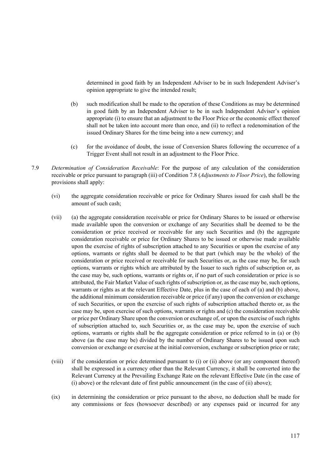determined in good faith by an Independent Adviser to be in such Independent Adviser's opinion appropriate to give the intended result;

- (b) such modification shall be made to the operation of these Conditions as may be determined in good faith by an Independent Adviser to be in such Independent Adviser's opinion appropriate (i) to ensure that an adjustment to the Floor Price or the economic effect thereof shall not be taken into account more than once, and (ii) to reflect a redenomination of the issued Ordinary Shares for the time being into a new currency; and
- (c) for the avoidance of doubt, the issue of Conversion Shares following the occurrence of a Trigger Event shall not result in an adjustment to the Floor Price.
- 7.9 *Determination of Consideration Receivable*: For the purpose of any calculation of the consideration receivable or price pursuant to paragraph (iii) of Condition 7.8 (*Adjustments to Floor Price*), the following provisions shall apply:
	- (vi) the aggregate consideration receivable or price for Ordinary Shares issued for cash shall be the amount of such cash;
	- (vii) (a) the aggregate consideration receivable or price for Ordinary Shares to be issued or otherwise made available upon the conversion or exchange of any Securities shall be deemed to be the consideration or price received or receivable for any such Securities and (b) the aggregate consideration receivable or price for Ordinary Shares to be issued or otherwise made available upon the exercise of rights of subscription attached to any Securities or upon the exercise of any options, warrants or rights shall be deemed to be that part (which may be the whole) of the consideration or price received or receivable for such Securities or, as the case may be, for such options, warrants or rights which are attributed by the Issuer to such rights of subscription or, as the case may be, such options, warrants or rights or, if no part of such consideration or price is so attributed, the Fair Market Value of such rights of subscription or, as the case may be, such options, warrants or rights as at the relevant Effective Date, plus in the case of each of (a) and (b) above, the additional minimum consideration receivable or price (if any) upon the conversion or exchange of such Securities, or upon the exercise of such rights of subscription attached thereto or, as the case may be, upon exercise of such options, warrants or rights and (c) the consideration receivable or price per Ordinary Share upon the conversion or exchange of, or upon the exercise of such rights of subscription attached to, such Securities or, as the case may be, upon the exercise of such options, warrants or rights shall be the aggregate consideration or price referred to in (a) or (b) above (as the case may be) divided by the number of Ordinary Shares to be issued upon such conversion or exchange or exercise at the initial conversion, exchange or subscription price or rate;
	- (viii) if the consideration or price determined pursuant to (i) or (ii) above (or any component thereof) shall be expressed in a currency other than the Relevant Currency, it shall be converted into the Relevant Currency at the Prevailing Exchange Rate on the relevant Effective Date (in the case of (i) above) or the relevant date of first public announcement (in the case of (ii) above);
	- (ix) in determining the consideration or price pursuant to the above, no deduction shall be made for any commissions or fees (howsoever described) or any expenses paid or incurred for any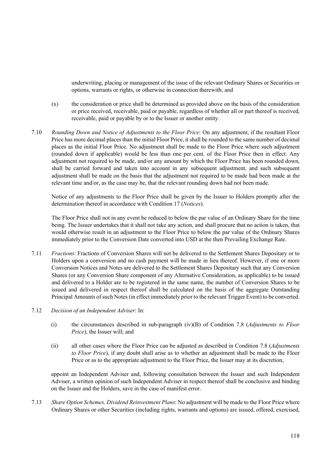underwriting, placing or management of the issue of the relevant Ordinary Shares or Securities or options, warrants or rights, or otherwise in connection therewith; and

- (x) the consideration or price shall be determined as provided above on the basis of the consideration or price received, receivable, paid or payable, regardless of whether all or part thereof is received, receivable, paid or payable by or to the Issuer or another entity.
- 7.10 *Rounding Down and Notice of Adjustments to the Floor Price*: On any adjustment, if the resultant Floor Price has more decimal places than the initial Floor Price, it shall be rounded to the same number of decimal places as the initial Floor Price. No adjustment shall be made to the Floor Price where such adjustment (rounded down if applicable) would be less than one per cent. of the Floor Price then in effect. Any adjustment not required to be made, and/or any amount by which the Floor Price has been rounded down, shall be carried forward and taken into account in any subsequent adjustment, and such subsequent adjustment shall be made on the basis that the adjustment not required to be made had been made at the relevant time and/or, as the case may be, that the relevant rounding down had not been made.

Notice of any adjustments to the Floor Price shall be given by the Issuer to Holders promptly after the determination thereof in accordance with Condition 17 (*Notices*).

The Floor Price shall not in any event be reduced to below the par value of an Ordinary Share for the time being. The Issuer undertakes that it shall not take any action, and shall procure that no action is taken, that would otherwise result in an adjustment to the Floor Price to below the par value of the Ordinary Shares immediately prior to the Conversion Date converted into USD at the then Prevailing Exchange Rate.

- 7.11 *Fractions*: Fractions of Conversion Shares will not be delivered to the Settlement Shares Depositary or to Holders upon a conversion and no cash payment will be made in lieu thereof. However, if one or more Conversion Notices and Notes are delivered to the Settlement Shares Depositary such that any Conversion Shares (or any Conversion Share component of any Alternative Consideration, as applicable) to be issued and delivered to a Holder are to be registered in the same name, the number of Conversion Shares to be issued and delivered in respect thereof shall be calculated on the basis of the aggregate Outstanding Principal Amounts of such Notes (in effect immediately prior to the relevant Trigger Event) to be converted.
- 7.12 *Decision of an Independent Adviser*: In:
	- (i) the circumstances described in sub-paragraph (iv)(B) of Condition 7.8 (*Adjustments to Floor Price*), the Issuer will; and
	- (ii) all other cases where the Floor Price can be adjusted as described in Condition 7.8 (*Adjustments to Floor Price*), if any doubt shall arise as to whether an adjustment shall be made to the Floor Price or as to the appropriate adjustment to the Floor Price, the Issuer may at its discretion,

appoint an Independent Adviser and, following consultation between the Issuer and such Independent Adviser, a written opinion of such Independent Adviser in respect thereof shall be conclusive and binding on the Issuer and the Holders, save in the case of manifest error.

7.13 *Share Option Schemes, Dividend Reinvestment Plans*: No adjustment will be made to the Floor Price where Ordinary Shares or other Securities (including rights, warrants and options) are issued, offered, exercised,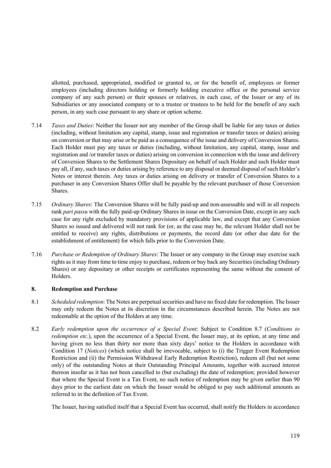allotted, purchased, appropriated, modified or granted to, or for the benefit of, employees or former employees (including directors holding or formerly holding executive office or the personal service company of any such person) or their spouses or relatives, in each case, of the Issuer or any of its Subsidiaries or any associated company or to a trustee or trustees to be held for the benefit of any such person, in any such case pursuant to any share or option scheme.

- 7.14 *Taxes and Duties*: Neither the Issuer nor any member of the Group shall be liable for any taxes or duties (including, without limitation any capital, stamp, issue and registration or transfer taxes or duties) arising on conversion or that may arise or be paid as a consequence of the issue and delivery of Conversion Shares. Each Holder must pay any taxes or duties (including, without limitation, any capital, stamp, issue and registration and /or transfer taxes or duties) arising on conversion in connection with the issue and delivery of Conversion Shares to the Settlement Shares Depositary on behalf of such Holder and such Holder must pay all, if any, such taxes or duties arising by reference to any disposal or deemed disposal of such Holder's Notes or interest therein. Any taxes or duties arising on delivery or transfer of Conversion Shares to a purchaser in any Conversion Shares Offer shall be payable by the relevant purchaser of those Conversion Shares.
- 7.15 *Ordinary Shares*: The Conversion Shares will be fully paid-up and non-assessable and will in all respects rank *pari passu* with the fully paid-up Ordinary Shares in issue on the Conversion Date, except in any such case for any right excluded by mandatory provisions of applicable law, and except that any Conversion Shares so issued and delivered will not rank for (or, as the case may be, the relevant Holder shall not be entitled to receive) any rights, distributions or payments, the record date (or other due date for the establishment of entitlement) for which falls prior to the Conversion Date.
- 7.16 *Purchase or Redemption of Ordinary Shares*: The Issuer or any company in the Group may exercise such rights as it may from time to time enjoy to purchase, redeem or buy back any Securities (including Ordinary Shares) or any depositary or other receipts or certificates representing the same without the consent of Holders.

### **8. Redemption and Purchase**

- 8.1 *Scheduled redemption*: The Notes are perpetual securities and have no fixed date for redemption. The Issuer may only redeem the Notes at its discretion in the circumstances described herein. The Notes are not redeemable at the option of the Holders at any time.
- 8.2 *Early redemption upon the occurrence of a Special Event*: Subject to Condition 8.7 (*Conditions to redemption etc.*), upon the occurrence of a Special Event, the Issuer may, at its option, at any time and having given no less than thirty nor more than sixty days' notice to the Holders in accordance with Condition 17 (*Notices*) (which notice shall be irrevocable, subject to (i) the Trigger Event Redemption Restriction and (ii) the Permission Withdrawal Early Redemption Restriction), redeem all (but not some only) of the outstanding Notes at their Outstanding Principal Amounts, together with accrued interest thereon insofar as it has not been cancelled to (but excluding) the date of redemption; provided however that where the Special Event is a Tax Event, no such notice of redemption may be given earlier than 90 days prior to the earliest date on which the Issuer would be obliged to pay such additional amounts as referred to in the definition of Tax Event.

The Issuer, having satisfied itself that a Special Event has occurred, shall notify the Holders in accordance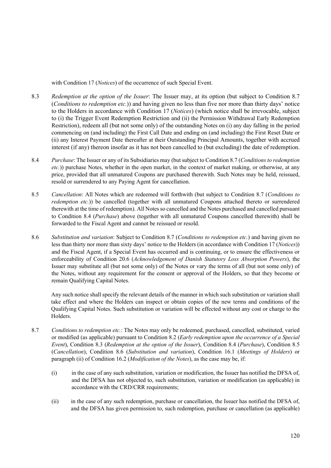with Condition 17 (*Notices*) of the occurrence of such Special Event.

- 8.3 *Redemption at the option of the Issuer*: The Issuer may, at its option (but subject to Condition 8.7 (*Conditions to redemption etc.*)) and having given no less than five nor more than thirty days' notice to the Holders in accordance with Condition 17 (*Notices*) (which notice shall be irrevocable, subject to (i) the Trigger Event Redemption Restriction and (ii) the Permission Withdrawal Early Redemption Restriction), redeem all (but not some only) of the outstanding Notes on (i) any day falling in the period commencing on (and including) the First Call Date and ending on (and including) the First Reset Date or (ii) any Interest Payment Date thereafter at their Outstanding Principal Amounts, together with accrued interest (if any) thereon insofar as it has not been cancelled to (but excluding) the date of redemption.
- 8.4 *Purchase*: The Issuer or any of its Subsidiaries may (but subject to Condition 8.7 (*Conditions to redemption etc.*)) purchase Notes, whether in the open market, in the context of market making, or otherwise, at any price, provided that all unmatured Coupons are purchased therewith. Such Notes may be held, reissued, resold or surrendered to any Paying Agent for cancellation.
- 8.5 *Cancellation*: All Notes which are redeemed will forthwith (but subject to Condition 8.7 (*Conditions to redemption etc.*)) be cancelled (together with all unmatured Coupons attached thereto or surrendered therewith at the time of redemption). All Notes so cancelled and the Notes purchased and cancelled pursuant to Condition 8.4 (*Purchase*) above (together with all unmatured Coupons cancelled therewith) shall be forwarded to the Fiscal Agent and cannot be reissued or resold.
- 8.6 *Substitution and variation*: Subject to Condition 8.7 (*Conditions to redemption etc.*) and having given no less than thirty nor more than sixty days' notice to the Holders (in accordance with Condition 17 (*Notices*)) and the Fiscal Agent, if a Special Event has occurred and is continuing, or to ensure the effectiveness or enforceability of Condition 20.6 (*Acknowledgement of Danish Statutory Loss Absorption Powers*), the Issuer may substitute all (but not some only) of the Notes or vary the terms of all (but not some only) of the Notes, without any requirement for the consent or approval of the Holders, so that they become or remain Qualifying Capital Notes.

Any such notice shall specify the relevant details of the manner in which such substitution or variation shall take effect and where the Holders can inspect or obtain copies of the new terms and conditions of the Qualifying Capital Notes. Such substitution or variation will be effected without any cost or charge to the Holders.

- 8.7 *Conditions to redemption etc.*: The Notes may only be redeemed, purchased, cancelled, substituted, varied or modified (as applicable) pursuant to Condition 8.2 (*Early redemption upon the occurrence of a Special Event*), Condition 8.3 (*Redemption at the option of the Issuer*), Condition 8.4 (*Purchase*), Condition 8.5 (*Cancellation*), Condition 8.6 (*Substitution and variation*), Condition 16.1 (*Meetings of Holders*) or paragraph (ii) of Condition 16.2 (*Modification of the Notes*), as the case may be, if:
	- (i) in the case of any such substitution, variation or modification, the Issuer has notified the DFSA of, and the DFSA has not objected to, such substitution, variation or modification (as applicable) in accordance with the CRD/CRR requirements;
	- (ii) in the case of any such redemption, purchase or cancellation, the Issuer has notified the DFSA of, and the DFSA has given permission to, such redemption, purchase or cancellation (as applicable)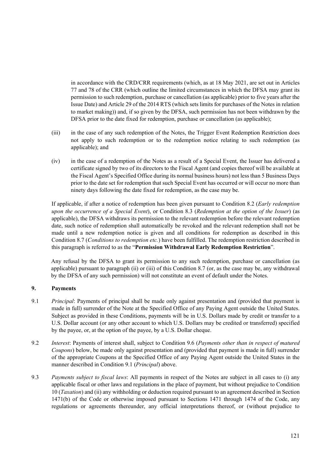in accordance with the CRD/CRR requirements (which, as at 18 May 2021, are set out in Articles 77 and 78 of the CRR (which outline the limited circumstances in which the DFSA may grant its permission to such redemption, purchase or cancellation (as applicable) prior to five years after the Issue Date) and Article 29 of the 2014 RTS (which sets limits for purchases of the Notes in relation to market making)) and, if so given by the DFSA, such permission has not been withdrawn by the DFSA prior to the date fixed for redemption, purchase or cancellation (as applicable);

- (iii) in the case of any such redemption of the Notes, the Trigger Event Redemption Restriction does not apply to such redemption or to the redemption notice relating to such redemption (as applicable); and
- (iv) in the case of a redemption of the Notes as a result of a Special Event, the Issuer has delivered a certificate signed by two of its directors to the Fiscal Agent (and copies thereof will be available at the Fiscal Agent's Specified Office during its normal business hours) not less than 5 Business Days prior to the date set for redemption that such Special Event has occurred or will occur no more than ninety days following the date fixed for redemption, as the case may be.

If applicable, if after a notice of redemption has been given pursuant to Condition 8.2 (*Early redemption upon the occurrence of a Special Event*), or Condition 8.3 (*Redemption at the option of the Issuer*) (as applicable), the DFSA withdraws its permission to the relevant redemption before the relevant redemption date, such notice of redemption shall automatically be revoked and the relevant redemption shall not be made until a new redemption notice is given and all conditions for redemption as described in this Condition 8.7 (*Conditions to redemption etc.*) have been fulfilled. The redemption restriction described in this paragraph is referred to as the "**Permission Withdrawal Early Redemption Restriction**".

Any refusal by the DFSA to grant its permission to any such redemption, purchase or cancellation (as applicable) pursuant to paragraph (ii) or (iii) of this Condition 8.7 (or, as the case may be, any withdrawal by the DFSA of any such permission) will not constitute an event of default under the Notes.

# **9. Payments**

- 9.1 *Principal*: Payments of principal shall be made only against presentation and (provided that payment is made in full) surrender of the Note at the Specified Office of any Paying Agent outside the United States. Subject as provided in these Conditions, payments will be in U.S. Dollars made by credit or transfer to a U.S. Dollar account (or any other account to which U.S. Dollars may be credited or transferred) specified by the payee, or, at the option of the payee, by a U.S. Dollar cheque.
- 9.2 *Interest*: Payments of interest shall, subject to Condition 9.6 (*Payments other than in respect of matured Coupons*) below, be made only against presentation and (provided that payment is made in full) surrender of the appropriate Coupons at the Specified Office of any Paying Agent outside the United States in the manner described in Condition 9.1 (*Principal*) above.
- 9.3 *Payments subject to fiscal laws*: All payments in respect of the Notes are subject in all cases to (i) any applicable fiscal or other laws and regulations in the place of payment, but without prejudice to Condition 10 (*Taxation*) and (ii) any withholding or deduction required pursuant to an agreement described in Section 1471(b) of the Code or otherwise imposed pursuant to Sections 1471 through 1474 of the Code, any regulations or agreements thereunder, any official interpretations thereof, or (without prejudice to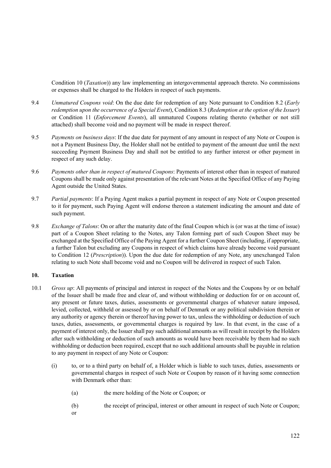Condition 10 (*Taxation*)) any law implementing an intergovernmental approach thereto. No commissions or expenses shall be charged to the Holders in respect of such payments.

- 9.4 *Unmatured Coupons void*: On the due date for redemption of any Note pursuant to Condition 8.2 (*Early redemption upon the occurrence of a Special Event*), Condition 8.3 (*Redemption at the option of the Issuer*) or Condition 11 (*Enforcement Events*), all unmatured Coupons relating thereto (whether or not still attached) shall become void and no payment will be made in respect thereof.
- 9.5 *Payments on business days*: If the due date for payment of any amount in respect of any Note or Coupon is not a Payment Business Day, the Holder shall not be entitled to payment of the amount due until the next succeeding Payment Business Day and shall not be entitled to any further interest or other payment in respect of any such delay.
- 9.6 *Payments other than in respect of matured Coupons*: Payments of interest other than in respect of matured Coupons shall be made only against presentation of the relevant Notes at the Specified Office of any Paying Agent outside the United States.
- 9.7 *Partial payments*: If a Paying Agent makes a partial payment in respect of any Note or Coupon presented to it for payment, such Paying Agent will endorse thereon a statement indicating the amount and date of such payment.
- 9.8 *Exchange of Talons*: On or after the maturity date of the final Coupon which is (or was at the time of issue) part of a Coupon Sheet relating to the Notes, any Talon forming part of such Coupon Sheet may be exchanged at the Specified Office of the Paying Agent for a further Coupon Sheet (including, if appropriate, a further Talon but excluding any Coupons in respect of which claims have already become void pursuant to Condition 12 (*Prescription*)). Upon the due date for redemption of any Note, any unexchanged Talon relating to such Note shall become void and no Coupon will be delivered in respect of such Talon.

### **10. Taxation**

- 10.1 *Gross up*: All payments of principal and interest in respect of the Notes and the Coupons by or on behalf of the Issuer shall be made free and clear of, and without withholding or deduction for or on account of, any present or future taxes, duties, assessments or governmental charges of whatever nature imposed, levied, collected, withheld or assessed by or on behalf of Denmark or any political subdivision therein or any authority or agency therein or thereof having power to tax, unless the withholding or deduction of such taxes, duties, assessments, or governmental charges is required by law. In that event, in the case of a payment of interest only, the Issuer shall pay such additional amounts as will result in receipt by the Holders after such withholding or deduction of such amounts as would have been receivable by them had no such withholding or deduction been required, except that no such additional amounts shall be payable in relation to any payment in respect of any Note or Coupon:
	- (i) to, or to a third party on behalf of, a Holder which is liable to such taxes, duties, assessments or governmental charges in respect of such Note or Coupon by reason of it having some connection with Denmark other than:
		- (a) the mere holding of the Note or Coupon; or
		- (b) the receipt of principal, interest or other amount in respect of such Note or Coupon;
		- or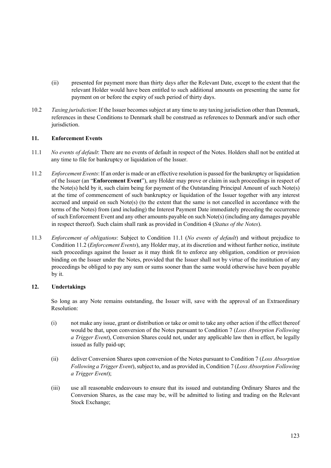- (ii) presented for payment more than thirty days after the Relevant Date, except to the extent that the relevant Holder would have been entitled to such additional amounts on presenting the same for payment on or before the expiry of such period of thirty days.
- 10.2 *Taxing jurisdiction*: If the Issuer becomes subject at any time to any taxing jurisdiction other than Denmark, references in these Conditions to Denmark shall be construed as references to Denmark and/or such other jurisdiction.

### **11. Enforcement Events**

- 11.1 *No events of default*: There are no events of default in respect of the Notes. Holders shall not be entitled at any time to file for bankruptcy or liquidation of the Issuer.
- 11.2 *Enforcement Events*: If an order is made or an effective resolution is passed for the bankruptcy or liquidation of the Issuer (an "**Enforcement Event**"), any Holder may prove or claim in such proceedings in respect of the Note(s) held by it, such claim being for payment of the Outstanding Principal Amount of such Note(s) at the time of commencement of such bankruptcy or liquidation of the Issuer together with any interest accrued and unpaid on such Note(s) (to the extent that the same is not cancelled in accordance with the terms of the Notes) from (and including) the Interest Payment Date immediately preceding the occurrence of such Enforcement Event and any other amounts payable on such Note(s) (including any damages payable in respect thereof). Such claim shall rank as provided in Condition 4 (*Status of the Notes*).
- 11.3 *Enforcement of obligations*: Subject to Condition 11.1 (*No events of default*) and without prejudice to Condition 11.2 (*Enforcement Events*), any Holder may, at its discretion and without further notice, institute such proceedings against the Issuer as it may think fit to enforce any obligation, condition or provision binding on the Issuer under the Notes, provided that the Issuer shall not by virtue of the institution of any proceedings be obliged to pay any sum or sums sooner than the same would otherwise have been payable by it.

# **12. Undertakings**

So long as any Note remains outstanding, the Issuer will, save with the approval of an Extraordinary Resolution:

- (i) not make any issue, grant or distribution or take or omit to take any other action if the effect thereof would be that, upon conversion of the Notes pursuant to Condition 7 (*Loss Absorption Following a Trigger Event*), Conversion Shares could not, under any applicable law then in effect, be legally issued as fully paid-up;
- (ii) deliver Conversion Shares upon conversion of the Notes pursuant to Condition 7 (*Loss Absorption Following a Trigger Event*), subject to, and as provided in, Condition 7 (*Loss Absorption Following a Trigger Event*);
- (iii) use all reasonable endeavours to ensure that its issued and outstanding Ordinary Shares and the Conversion Shares, as the case may be, will be admitted to listing and trading on the Relevant Stock Exchange;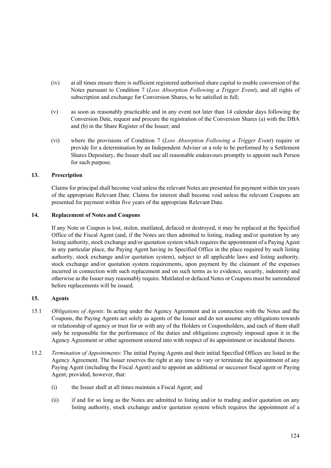- (iv) at all times ensure there is sufficient registered authorised share capital to enable conversion of the Notes pursuant to Condition 7 (*Loss Absorption Following a Trigger Event*), and all rights of subscription and exchange for Conversion Shares, to be satisfied in full;
- (v) as soon as reasonably practicable and in any event not later than 14 calendar days following the Conversion Date, request and procure the registration of the Conversion Shares (a) with the DBA and (b) in the Share Register of the Issuer; and
- (vi) where the provisions of Condition 7 (*Loss Absorption Following a Trigger Event*) require or provide for a determination by an Independent Adviser or a role to be performed by a Settlement Shares Depositary, the Issuer shall use all reasonable endeavours promptly to appoint such Person for such purpose.

## **13. Prescription**

Claims for principal shall become void unless the relevant Notes are presented for payment within ten years of the appropriate Relevant Date. Claims for interest shall become void unless the relevant Coupons are presented for payment within five years of the appropriate Relevant Date.

### **14. Replacement of Notes and Coupons**

If any Note or Coupon is lost, stolen, mutilated, defaced or destroyed, it may be replaced at the Specified Office of the Fiscal Agent (and, if the Notes are then admitted to listing, trading and/or quotation by any listing authority, stock exchange and/or quotation system which requires the appointment of a Paying Agent in any particular place, the Paying Agent having its Specified Office in the place required by such listing authority, stock exchange and/or quotation system), subject to all applicable laws and listing authority, stock exchange and/or quotation system requirements, upon payment by the claimant of the expenses incurred in connection with such replacement and on such terms as to evidence, security, indemnity and otherwise as the Issuer may reasonably require. Mutilated or defaced Notes or Coupons must be surrendered before replacements will be issued.

### **15. Agents**

- 15.1 *Obligations of Agents*: In acting under the Agency Agreement and in connection with the Notes and the Coupons, the Paying Agents act solely as agents of the Issuer and do not assume any obligations towards or relationship of agency or trust for or with any of the Holders or Couponholders, and each of them shall only be responsible for the performance of the duties and obligations expressly imposed upon it in the Agency Agreement or other agreement entered into with respect of its appointment or incidental thereto.
- 15.2 *Termination of Appointments*: The initial Paying Agents and their initial Specified Offices are listed in the Agency Agreement. The Issuer reserves the right at any time to vary or terminate the appointment of any Paying Agent (including the Fiscal Agent) and to appoint an additional or successor fiscal agent or Paying Agent; provided, however, that:
	- (i) the Issuer shall at all times maintain a Fiscal Agent; and
	- (ii) if and for so long as the Notes are admitted to listing and/or to trading and/or quotation on any listing authority, stock exchange and/or quotation system which requires the appointment of a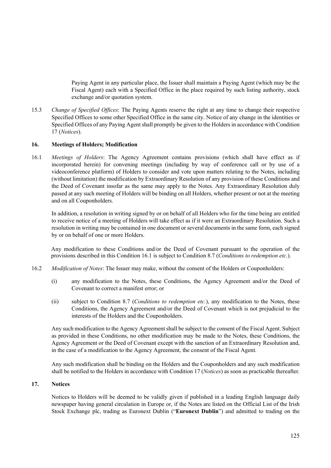Paying Agent in any particular place, the Issuer shall maintain a Paying Agent (which may be the Fiscal Agent) each with a Specified Office in the place required by such listing authority, stock exchange and/or quotation system.

15.3 *Change of Specified Offices*: The Paying Agents reserve the right at any time to change their respective Specified Offices to some other Specified Office in the same city. Notice of any change in the identities or Specified Offices of any Paying Agent shall promptly be given to the Holders in accordance with Condition 17 (*Notices*).

### **16. Meetings of Holders; Modification**

16.1 *Meetings of Holders*: The Agency Agreement contains provisions (which shall have effect as if incorporated herein) for convening meetings (including by way of conference call or by use of a videoconference platform) of Holders to consider and vote upon matters relating to the Notes, including (without limitation) the modification by Extraordinary Resolution of any provision of these Conditions and the Deed of Covenant insofar as the same may apply to the Notes. Any Extraordinary Resolution duly passed at any such meeting of Holders will be binding on all Holders, whether present or not at the meeting and on all Couponholders.

In addition, a resolution in writing signed by or on behalf of all Holders who for the time being are entitled to receive notice of a meeting of Holders will take effect as if it were an Extraordinary Resolution. Such a resolution in writing may be contained in one document or several documents in the same form, each signed by or on behalf of one or more Holders.

 Any modification to these Conditions and/or the Deed of Covenant pursuant to the operation of the provisions described in this Condition 16.1 is subject to Condition 8.7 (*Conditions to redemption etc.*).

- 16.2 *Modification of Notes*: The Issuer may make, without the consent of the Holders or Couponholders:
	- (i) any modification to the Notes, these Conditions, the Agency Agreement and/or the Deed of Covenant to correct a manifest error; or
	- (ii) subject to Condition 8.7 (*Conditions to redemption etc.*), any modification to the Notes, these Conditions, the Agency Agreement and/or the Deed of Covenant which is not prejudicial to the interests of the Holders and the Couponholders.

Any such modification to the Agency Agreement shall be subject to the consent of the Fiscal Agent. Subject as provided in these Conditions, no other modification may be made to the Notes, these Conditions, the Agency Agreement or the Deed of Covenant except with the sanction of an Extraordinary Resolution and, in the case of a modification to the Agency Agreement, the consent of the Fiscal Agent.

Any such modification shall be binding on the Holders and the Couponholders and any such modification shall be notified to the Holders in accordance with Condition 17 (*Notices*) as soon as practicable thereafter.

#### **17. Notices**

Notices to Holders will be deemed to be validly given if published in a leading English language daily newspaper having general circulation in Europe or, if the Notes are listed on the Official List of the Irish Stock Exchange plc, trading as Euronext Dublin ("**Euronext Dublin**") and admitted to trading on the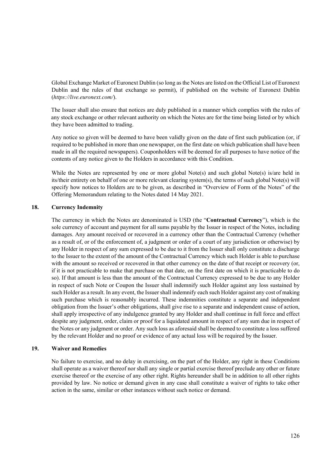Global Exchange Market of Euronext Dublin (so long as the Notes are listed on the Official List of Euronext Dublin and the rules of that exchange so permit), if published on the website of Euronext Dublin (*https://live.euronext.com/*).

The Issuer shall also ensure that notices are duly published in a manner which complies with the rules of any stock exchange or other relevant authority on which the Notes are for the time being listed or by which they have been admitted to trading.

Any notice so given will be deemed to have been validly given on the date of first such publication (or, if required to be published in more than one newspaper, on the first date on which publication shall have been made in all the required newspapers). Couponholders will be deemed for all purposes to have notice of the contents of any notice given to the Holders in accordance with this Condition.

While the Notes are represented by one or more global Note(s) and such global Note(s) is/are held in its/their entirety on behalf of one or more relevant clearing system(s), the terms of such global Note(s) will specify how notices to Holders are to be given, as described in "Overview of Form of the Notes" of the Offering Memorandum relating to the Notes dated 14 May 2021.

### **18. Currency Indemnity**

The currency in which the Notes are denominated is USD (the "**Contractual Currency**"), which is the sole currency of account and payment for all sums payable by the Issuer in respect of the Notes, including damages. Any amount received or recovered in a currency other than the Contractual Currency (whether as a result of, or of the enforcement of, a judgment or order of a court of any jurisdiction or otherwise) by any Holder in respect of any sum expressed to be due to it from the Issuer shall only constitute a discharge to the Issuer to the extent of the amount of the Contractual Currency which such Holder is able to purchase with the amount so received or recovered in that other currency on the date of that receipt or recovery (or, if it is not practicable to make that purchase on that date, on the first date on which it is practicable to do so). If that amount is less than the amount of the Contractual Currency expressed to be due to any Holder in respect of such Note or Coupon the Issuer shall indemnify such Holder against any loss sustained by such Holder as a result. In any event, the Issuer shall indemnify each such Holder against any cost of making such purchase which is reasonably incurred. These indemnities constitute a separate and independent obligation from the Issuer's other obligations, shall give rise to a separate and independent cause of action, shall apply irrespective of any indulgence granted by any Holder and shall continue in full force and effect despite any judgment, order, claim or proof for a liquidated amount in respect of any sum due in respect of the Notes or any judgment or order. Any such loss as aforesaid shall be deemed to constitute a loss suffered by the relevant Holder and no proof or evidence of any actual loss will be required by the Issuer.

#### **19. Waiver and Remedies**

No failure to exercise, and no delay in exercising, on the part of the Holder, any right in these Conditions shall operate as a waiver thereof nor shall any single or partial exercise thereof preclude any other or future exercise thereof or the exercise of any other right. Rights hereunder shall be in addition to all other rights provided by law. No notice or demand given in any case shall constitute a waiver of rights to take other action in the same, similar or other instances without such notice or demand.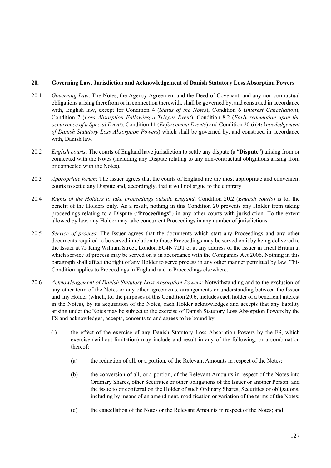### **20. Governing Law, Jurisdiction and Acknowledgement of Danish Statutory Loss Absorption Powers**

- 20.1 *Governing Law*: The Notes, the Agency Agreement and the Deed of Covenant, and any non-contractual obligations arising therefrom or in connection therewith, shall be governed by, and construed in accordance with, English law, except for Condition 4 (*Status of the Notes*), Condition 6 (*Interest Cancellation*), Condition 7 (*Loss Absorption Following a Trigger Event*), Condition 8.2 (*Early redemption upon the occurrence of a Special Event*), Condition 11 (*Enforcement Events*) and Condition 20.6 (*Acknowledgement of Danish Statutory Loss Absorption Powers*) which shall be governed by, and construed in accordance with, Danish law.
- 20.2 *English courts*: The courts of England have jurisdiction to settle any dispute (a "**Dispute**") arising from or connected with the Notes (including any Dispute relating to any non-contractual obligations arising from or connected with the Notes).
- 20.3 *Appropriate forum*: The Issuer agrees that the courts of England are the most appropriate and convenient courts to settle any Dispute and, accordingly, that it will not argue to the contrary.
- 20.4 *Rights of the Holders to take proceedings outside England*: Condition 20.2 (*English courts*) is for the benefit of the Holders only. As a result, nothing in this Condition 20 prevents any Holder from taking proceedings relating to a Dispute ("**Proceedings**") in any other courts with jurisdiction. To the extent allowed by law, any Holder may take concurrent Proceedings in any number of jurisdictions.
- 20.5 *Service of process*: The Issuer agrees that the documents which start any Proceedings and any other documents required to be served in relation to those Proceedings may be served on it by being delivered to the Issuer at 75 King William Street, London EC4N 7DT or at any address of the Issuer in Great Britain at which service of process may be served on it in accordance with the Companies Act 2006. Nothing in this paragraph shall affect the right of any Holder to serve process in any other manner permitted by law. This Condition applies to Proceedings in England and to Proceedings elsewhere.
- 20.6 *Acknowledgement of Danish Statutory Loss Absorption Powers*: Notwithstanding and to the exclusion of any other term of the Notes or any other agreements, arrangements or understanding between the Issuer and any Holder (which, for the purposes of this Condition 20.6, includes each holder of a beneficial interest in the Notes), by its acquisition of the Notes, each Holder acknowledges and accepts that any liability arising under the Notes may be subject to the exercise of Danish Statutory Loss Absorption Powers by the FS and acknowledges, accepts, consents to and agrees to be bound by:
	- (i) the effect of the exercise of any Danish Statutory Loss Absorption Powers by the FS, which exercise (without limitation) may include and result in any of the following, or a combination thereof:
		- (a) the reduction of all, or a portion, of the Relevant Amounts in respect of the Notes;
		- (b) the conversion of all, or a portion, of the Relevant Amounts in respect of the Notes into Ordinary Shares, other Securities or other obligations of the Issuer or another Person, and the issue to or conferral on the Holder of such Ordinary Shares, Securities or obligations, including by means of an amendment, modification or variation of the terms of the Notes;
		- (c) the cancellation of the Notes or the Relevant Amounts in respect of the Notes; and